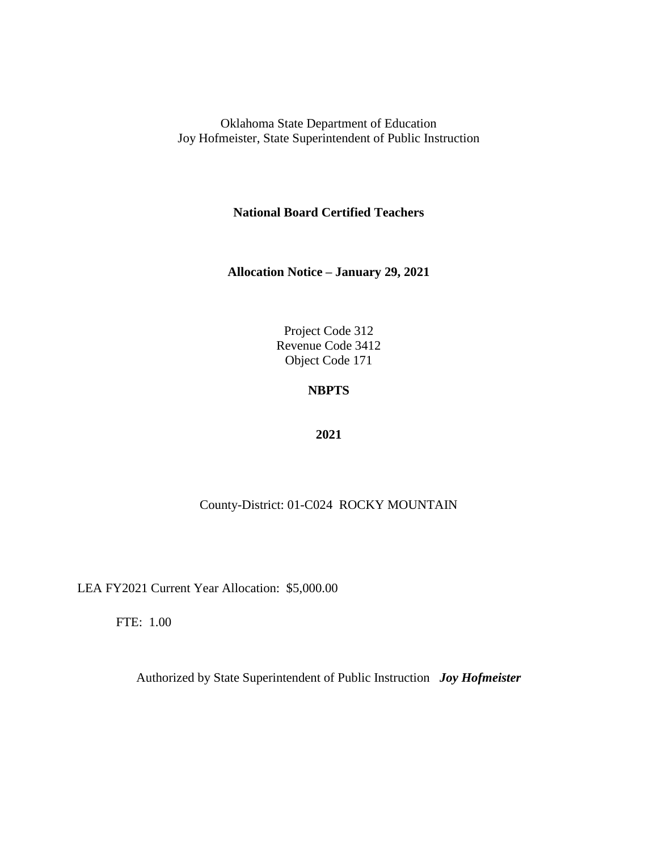**National Board Certified Teachers**

**Allocation Notice – January 29, 2021**

Project Code 312 Revenue Code 3412 Object Code 171

### **NBPTS**

#### **2021**

### County-District: 01-C024 ROCKY MOUNTAIN

LEA FY2021 Current Year Allocation: \$5,000.00

FTE: 1.00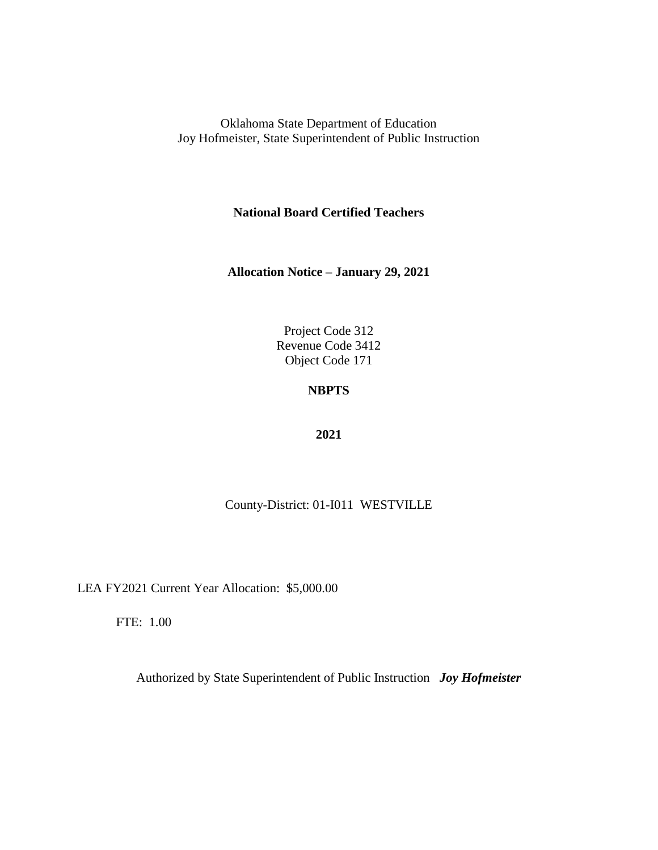**National Board Certified Teachers**

**Allocation Notice – January 29, 2021**

Project Code 312 Revenue Code 3412 Object Code 171

## **NBPTS**

#### **2021**

### County-District: 01-I011 WESTVILLE

LEA FY2021 Current Year Allocation: \$5,000.00

FTE: 1.00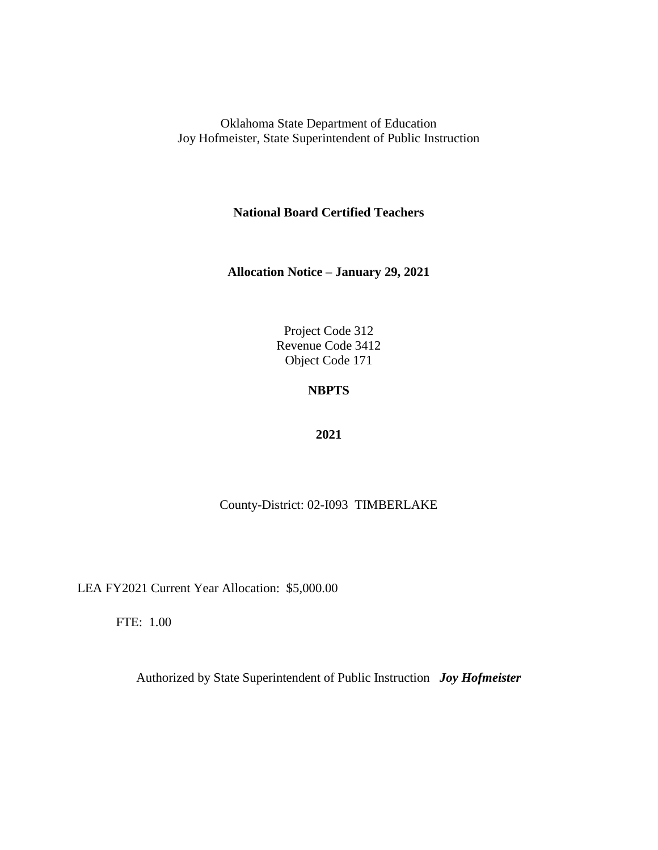**National Board Certified Teachers**

**Allocation Notice – January 29, 2021**

Project Code 312 Revenue Code 3412 Object Code 171

## **NBPTS**

#### **2021**

County-District: 02-I093 TIMBERLAKE

LEA FY2021 Current Year Allocation: \$5,000.00

FTE: 1.00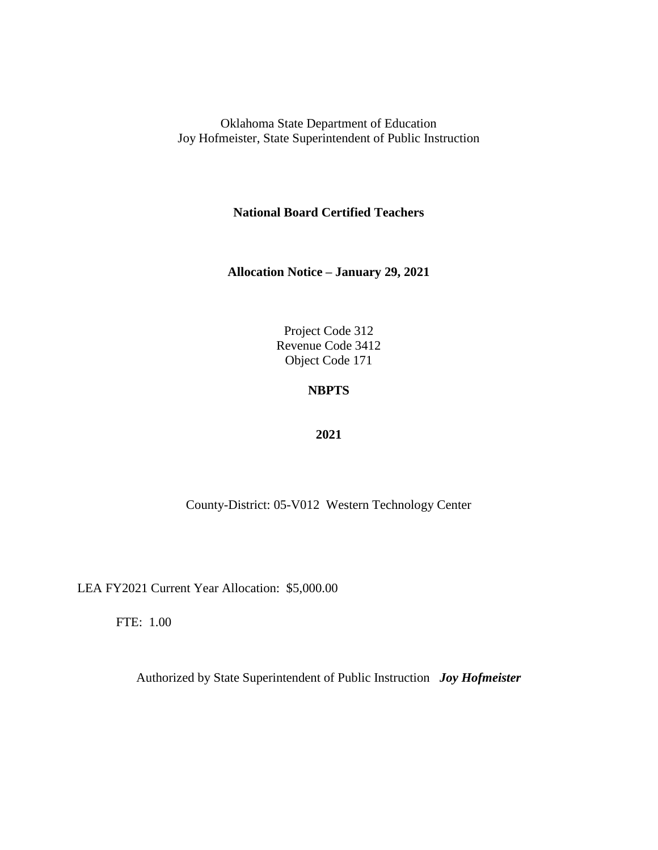**National Board Certified Teachers**

**Allocation Notice – January 29, 2021**

Project Code 312 Revenue Code 3412 Object Code 171

### **NBPTS**

#### **2021**

County-District: 05-V012 Western Technology Center

LEA FY2021 Current Year Allocation: \$5,000.00

FTE: 1.00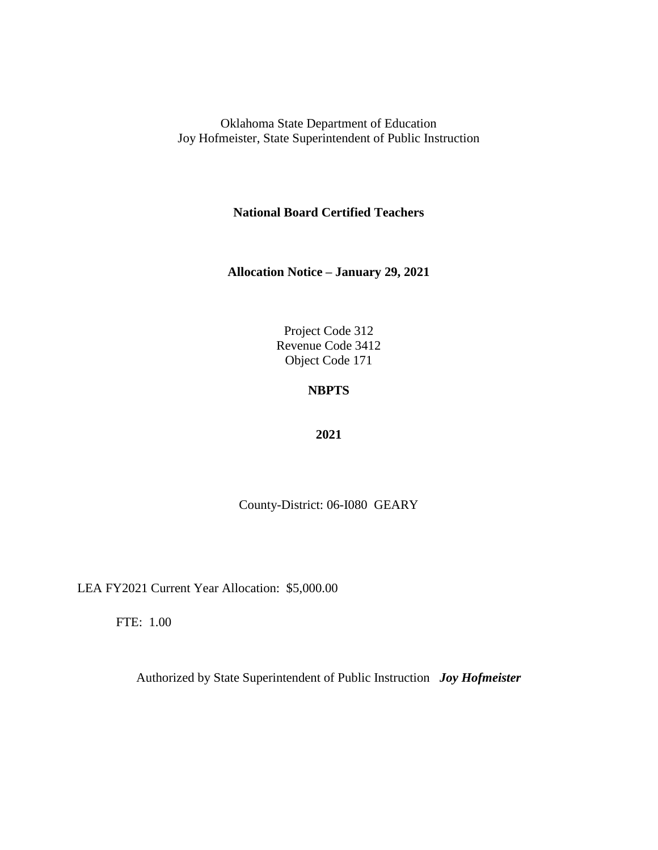**National Board Certified Teachers**

**Allocation Notice – January 29, 2021**

Project Code 312 Revenue Code 3412 Object Code 171

## **NBPTS**

#### **2021**

County-District: 06-I080 GEARY

LEA FY2021 Current Year Allocation: \$5,000.00

FTE: 1.00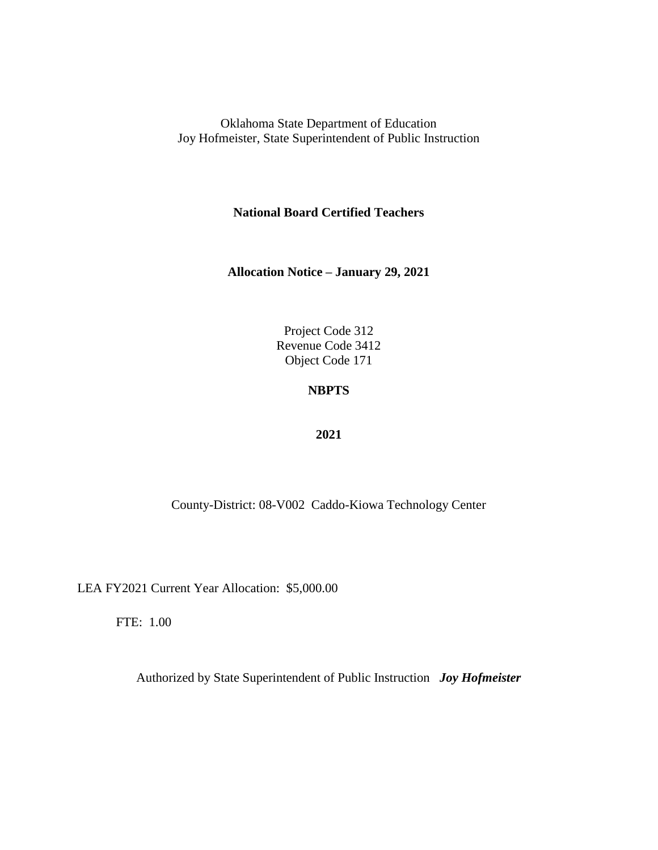**National Board Certified Teachers**

**Allocation Notice – January 29, 2021**

Project Code 312 Revenue Code 3412 Object Code 171

### **NBPTS**

#### **2021**

County-District: 08-V002 Caddo-Kiowa Technology Center

LEA FY2021 Current Year Allocation: \$5,000.00

FTE: 1.00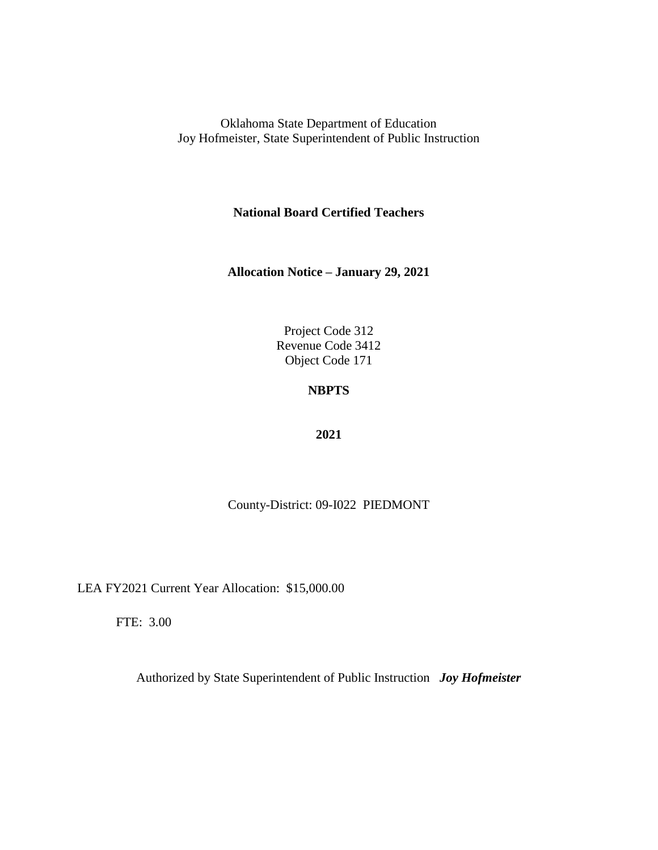**National Board Certified Teachers**

**Allocation Notice – January 29, 2021**

Project Code 312 Revenue Code 3412 Object Code 171

# **NBPTS**

#### **2021**

County-District: 09-I022 PIEDMONT

LEA FY2021 Current Year Allocation: \$15,000.00

FTE: 3.00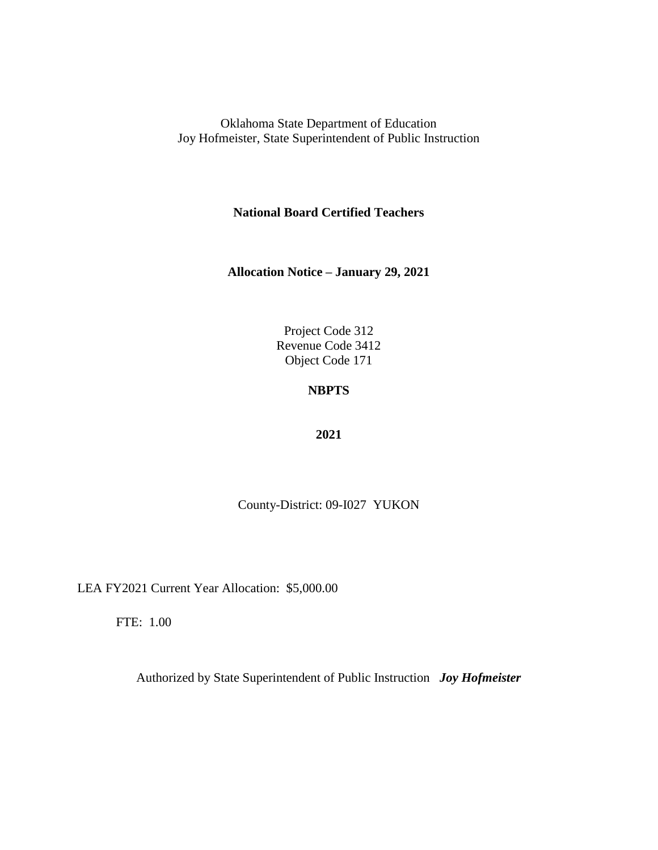**National Board Certified Teachers**

**Allocation Notice – January 29, 2021**

Project Code 312 Revenue Code 3412 Object Code 171

## **NBPTS**

#### **2021**

County-District: 09-I027 YUKON

LEA FY2021 Current Year Allocation: \$5,000.00

FTE: 1.00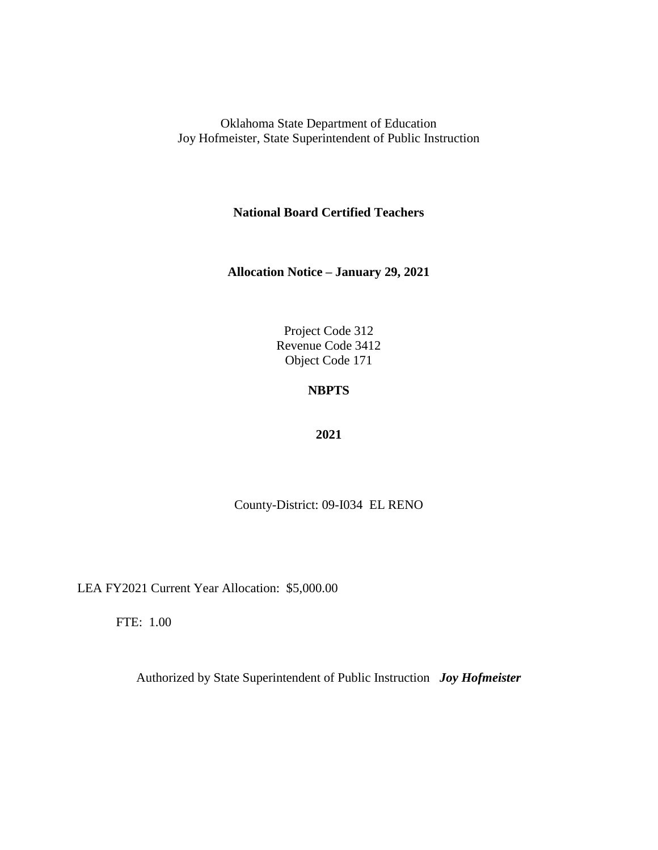**National Board Certified Teachers**

**Allocation Notice – January 29, 2021**

Project Code 312 Revenue Code 3412 Object Code 171

# **NBPTS**

#### **2021**

County-District: 09-I034 EL RENO

LEA FY2021 Current Year Allocation: \$5,000.00

FTE: 1.00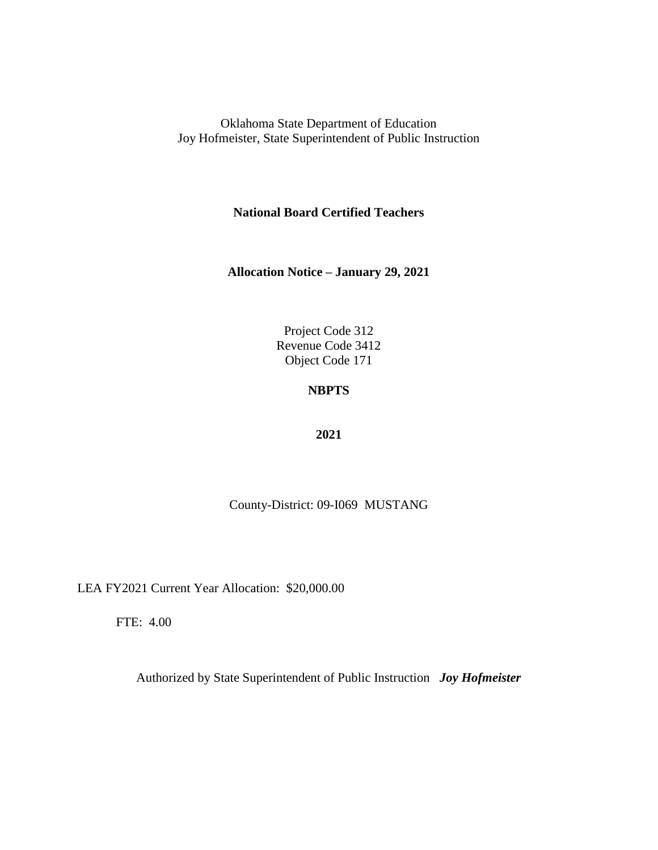**National Board Certified Teachers**

**Allocation Notice – January 29, 2021**

Project Code 312 Revenue Code 3412 Object Code 171

## **NBPTS**

#### **2021**

County-District: 09-I069 MUSTANG

LEA FY2021 Current Year Allocation: \$20,000.00

FTE: 4.00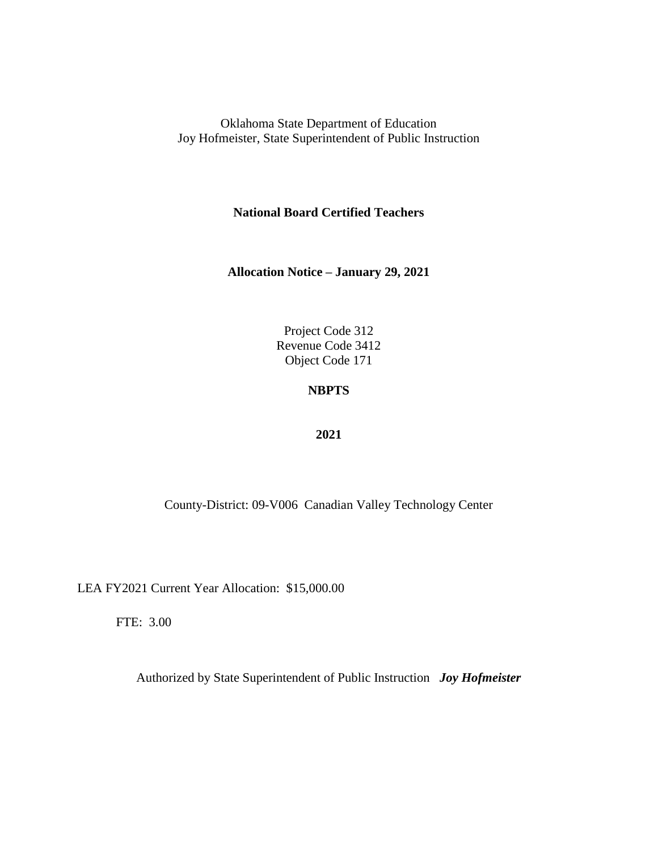**National Board Certified Teachers**

**Allocation Notice – January 29, 2021**

Project Code 312 Revenue Code 3412 Object Code 171

### **NBPTS**

#### **2021**

County-District: 09-V006 Canadian Valley Technology Center

LEA FY2021 Current Year Allocation: \$15,000.00

FTE: 3.00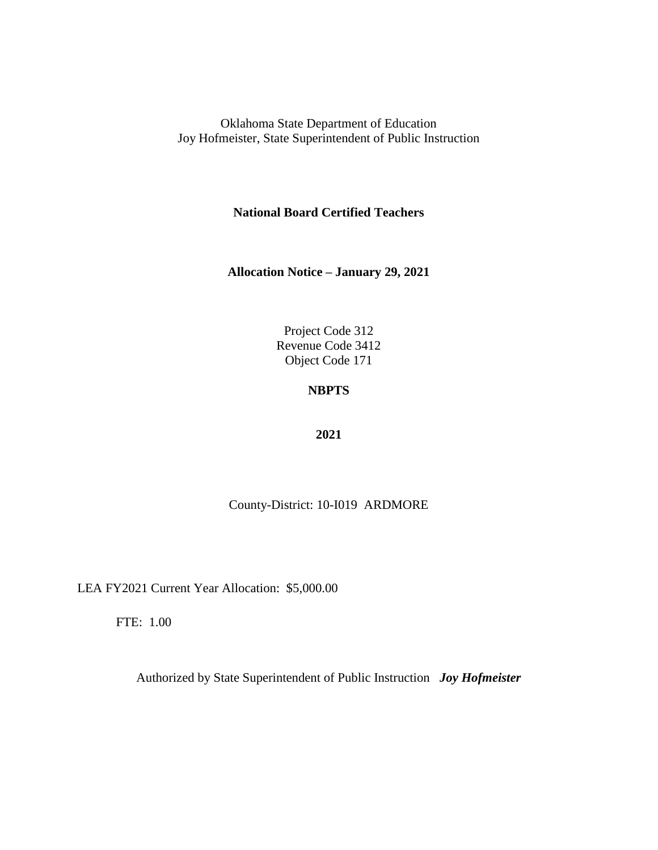**National Board Certified Teachers**

**Allocation Notice – January 29, 2021**

Project Code 312 Revenue Code 3412 Object Code 171

# **NBPTS**

#### **2021**

### County-District: 10-I019 ARDMORE

LEA FY2021 Current Year Allocation: \$5,000.00

FTE: 1.00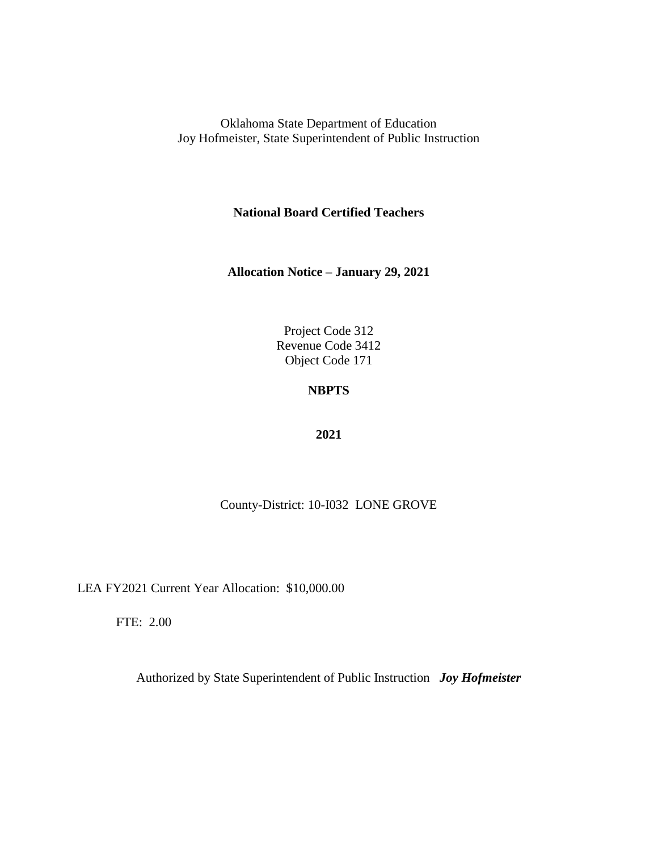**National Board Certified Teachers**

**Allocation Notice – January 29, 2021**

Project Code 312 Revenue Code 3412 Object Code 171

### **NBPTS**

#### **2021**

County-District: 10-I032 LONE GROVE

LEA FY2021 Current Year Allocation: \$10,000.00

FTE: 2.00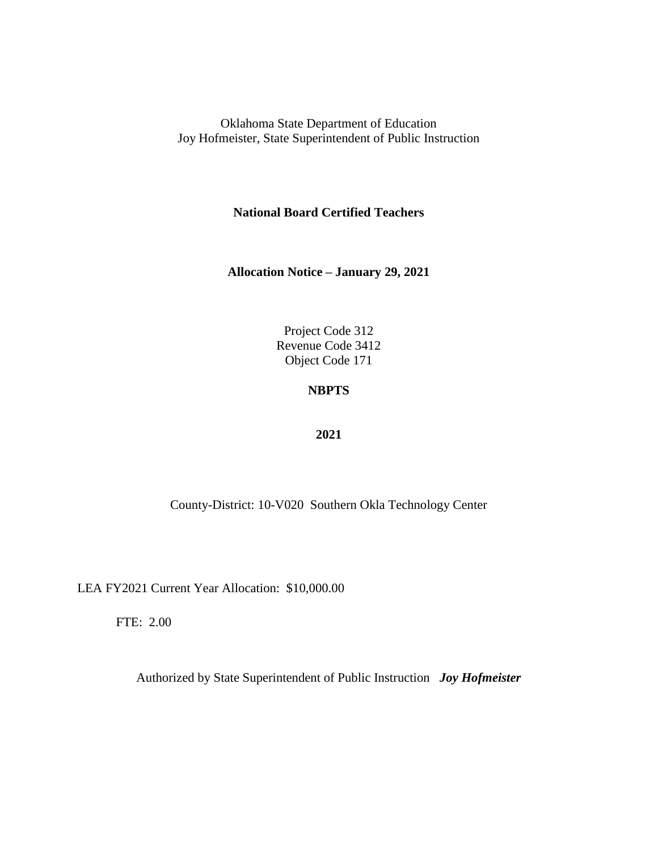**National Board Certified Teachers**

**Allocation Notice – January 29, 2021**

Project Code 312 Revenue Code 3412 Object Code 171

## **NBPTS**

#### **2021**

County-District: 10-V020 Southern Okla Technology Center

LEA FY2021 Current Year Allocation: \$10,000.00

FTE: 2.00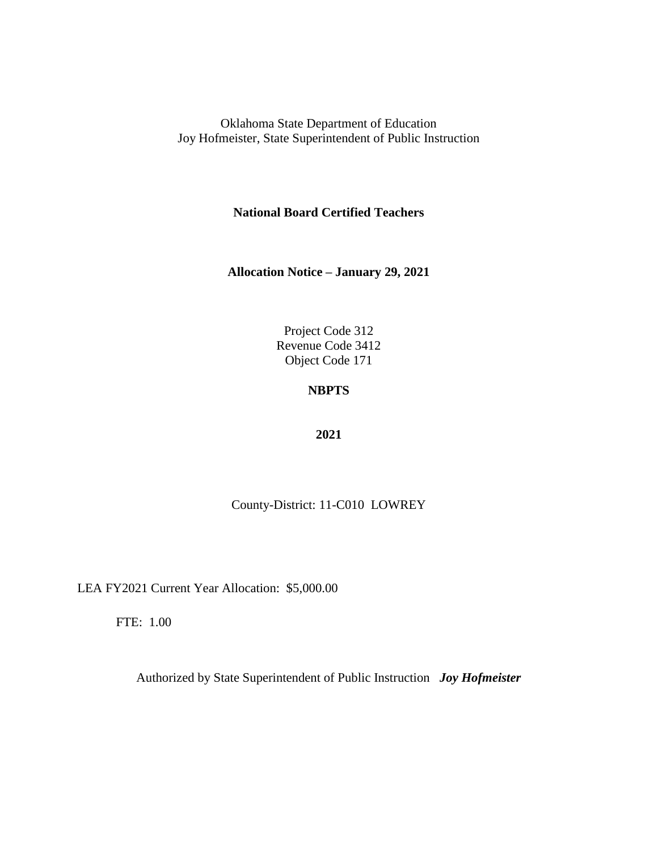**National Board Certified Teachers**

**Allocation Notice – January 29, 2021**

Project Code 312 Revenue Code 3412 Object Code 171

# **NBPTS**

#### **2021**

County-District: 11-C010 LOWREY

LEA FY2021 Current Year Allocation: \$5,000.00

FTE: 1.00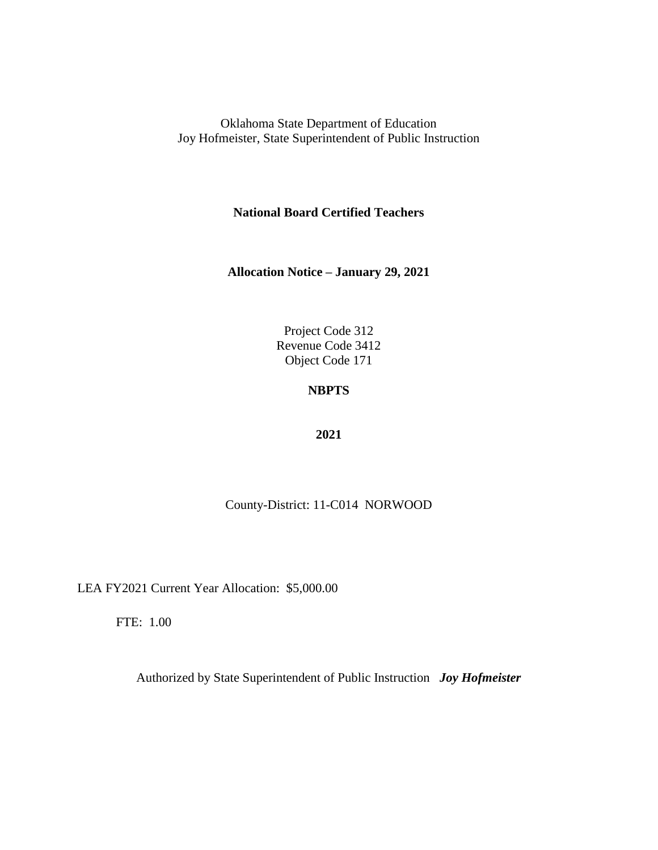**National Board Certified Teachers**

**Allocation Notice – January 29, 2021**

Project Code 312 Revenue Code 3412 Object Code 171

## **NBPTS**

#### **2021**

County-District: 11-C014 NORWOOD

LEA FY2021 Current Year Allocation: \$5,000.00

FTE: 1.00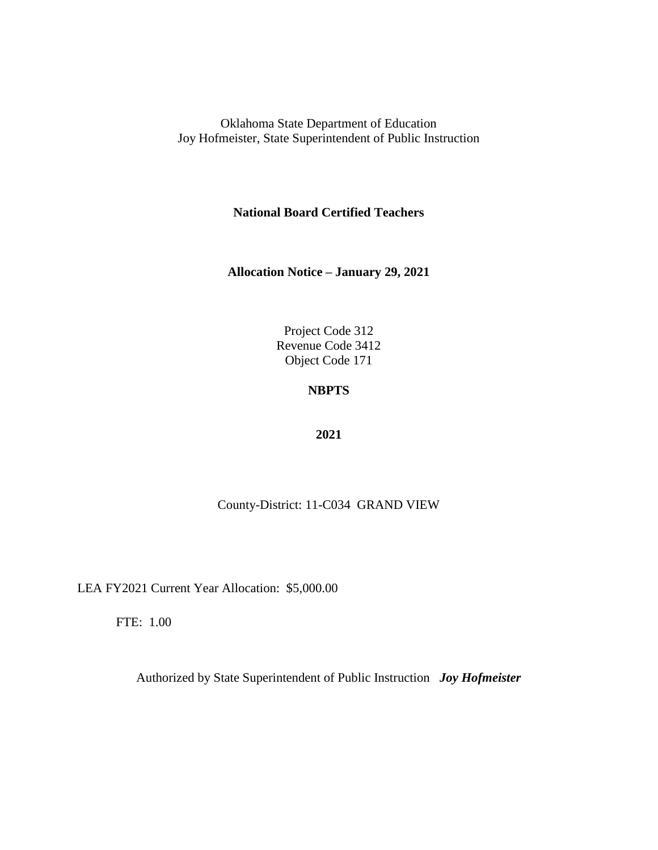**National Board Certified Teachers**

**Allocation Notice – January 29, 2021**

Project Code 312 Revenue Code 3412 Object Code 171

### **NBPTS**

#### **2021**

County-District: 11-C034 GRAND VIEW

LEA FY2021 Current Year Allocation: \$5,000.00

FTE: 1.00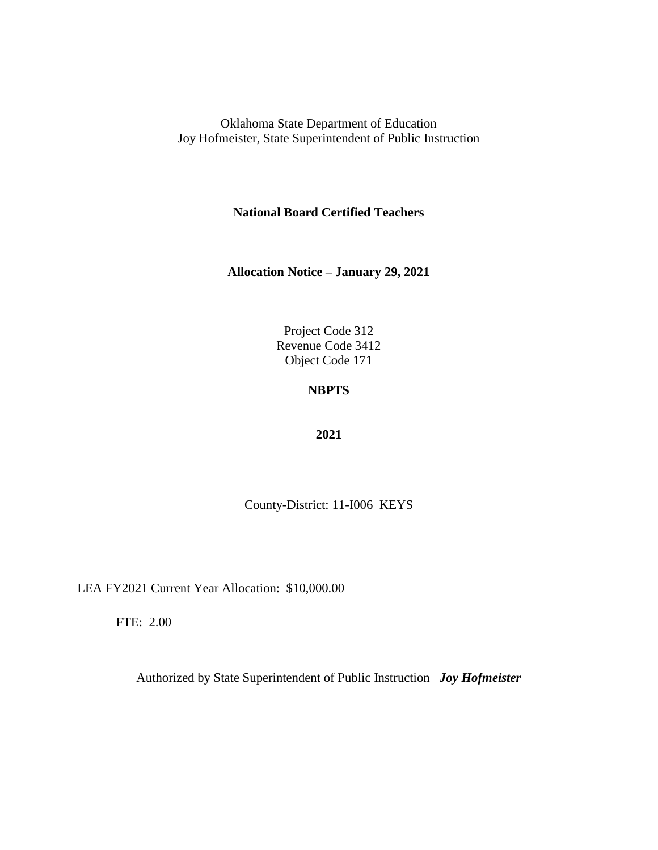**National Board Certified Teachers**

**Allocation Notice – January 29, 2021**

Project Code 312 Revenue Code 3412 Object Code 171

## **NBPTS**

#### **2021**

County-District: 11-I006 KEYS

LEA FY2021 Current Year Allocation: \$10,000.00

FTE: 2.00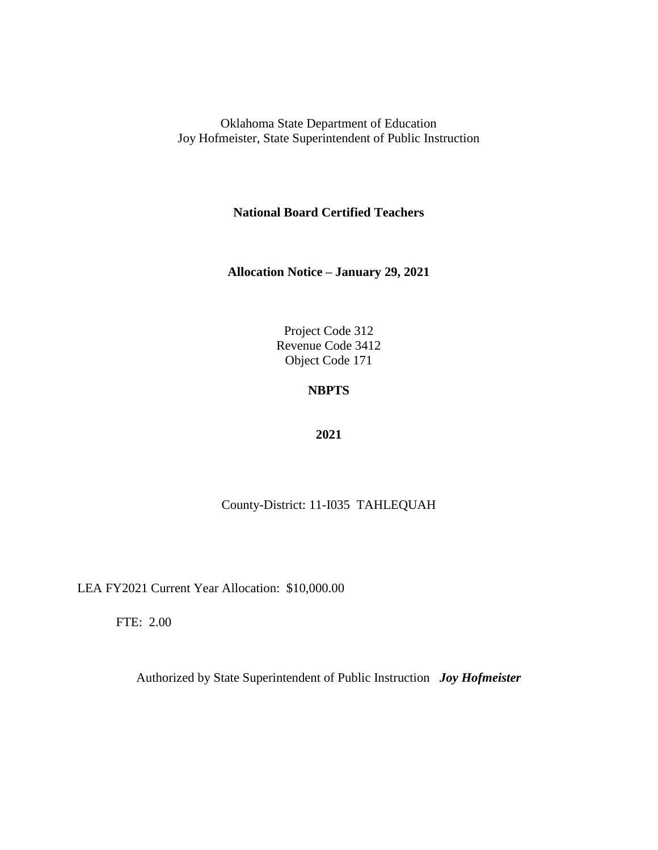**National Board Certified Teachers**

**Allocation Notice – January 29, 2021**

Project Code 312 Revenue Code 3412 Object Code 171

## **NBPTS**

#### **2021**

### County-District: 11-I035 TAHLEQUAH

LEA FY2021 Current Year Allocation: \$10,000.00

FTE: 2.00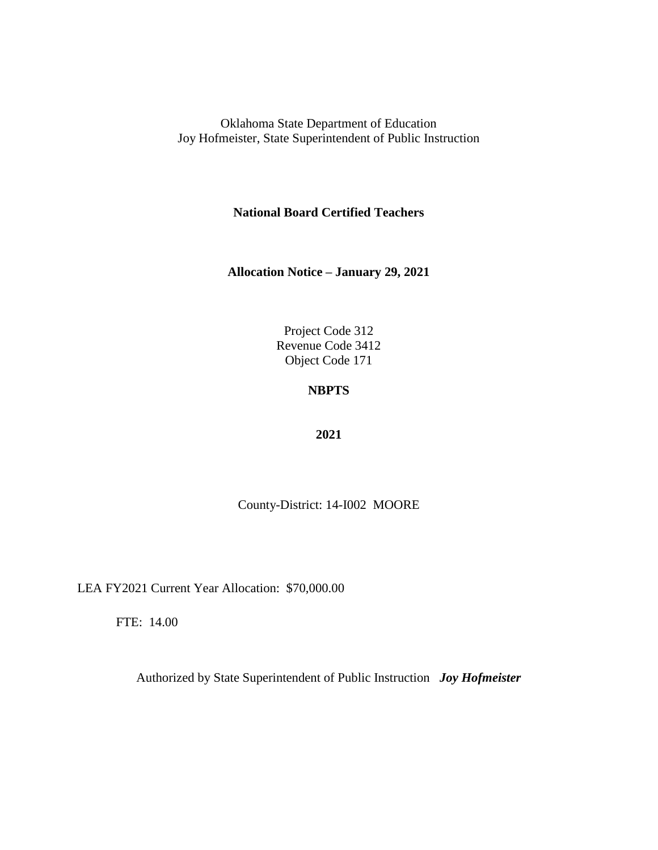**National Board Certified Teachers**

**Allocation Notice – January 29, 2021**

Project Code 312 Revenue Code 3412 Object Code 171

## **NBPTS**

#### **2021**

County-District: 14-I002 MOORE

LEA FY2021 Current Year Allocation: \$70,000.00

FTE: 14.00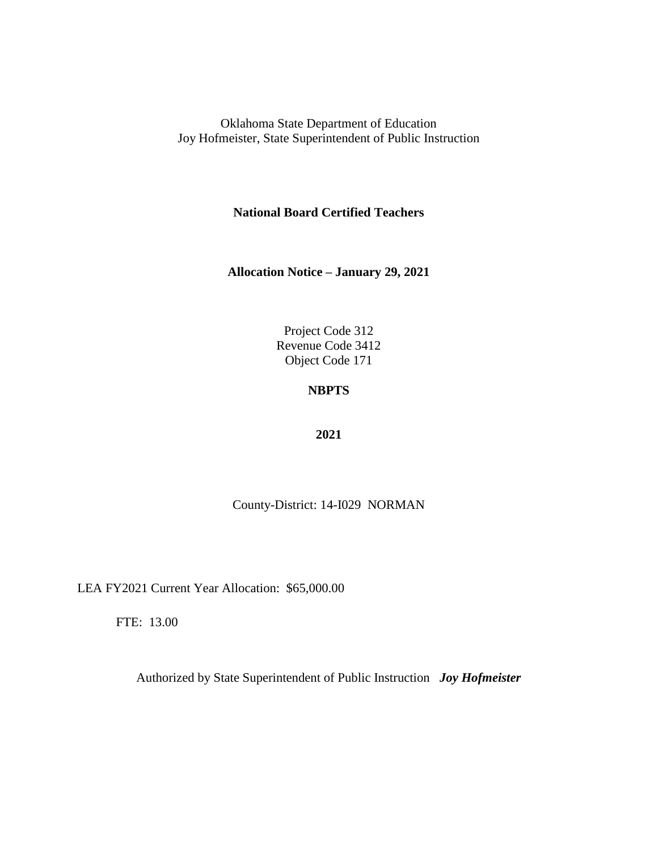**National Board Certified Teachers**

**Allocation Notice – January 29, 2021**

Project Code 312 Revenue Code 3412 Object Code 171

## **NBPTS**

#### **2021**

County-District: 14-I029 NORMAN

LEA FY2021 Current Year Allocation: \$65,000.00

FTE: 13.00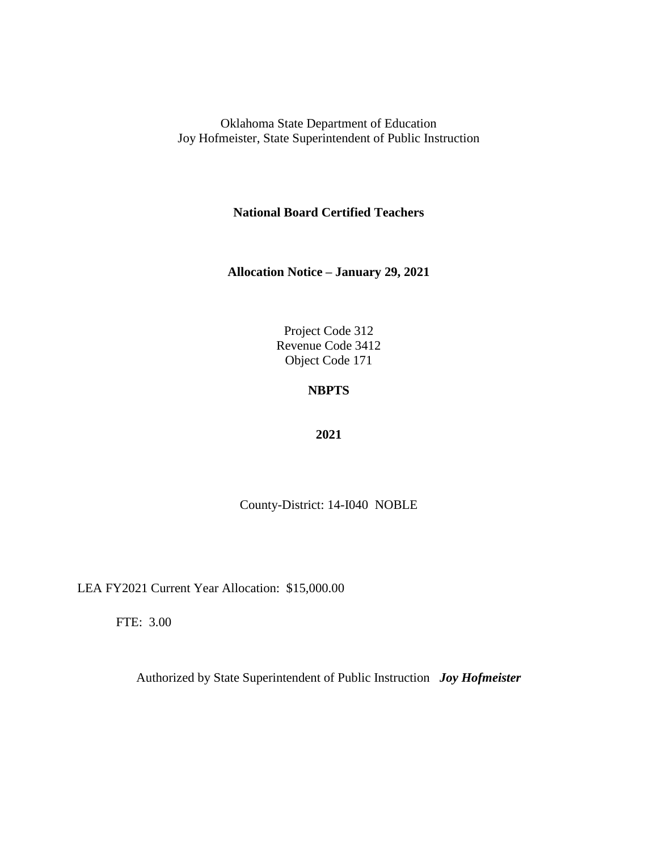**National Board Certified Teachers**

**Allocation Notice – January 29, 2021**

Project Code 312 Revenue Code 3412 Object Code 171

### **NBPTS**

#### **2021**

County-District: 14-I040 NOBLE

LEA FY2021 Current Year Allocation: \$15,000.00

FTE: 3.00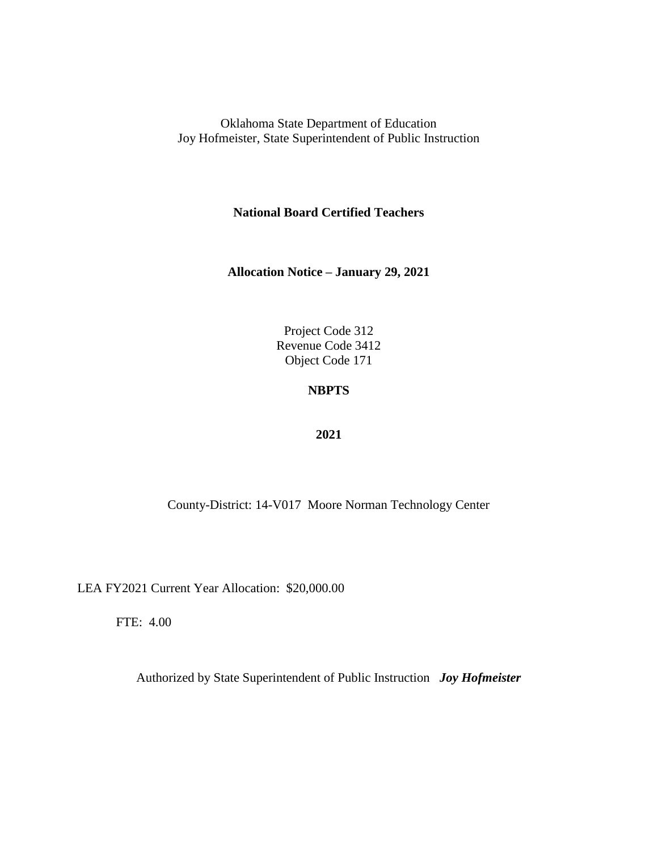**National Board Certified Teachers**

**Allocation Notice – January 29, 2021**

Project Code 312 Revenue Code 3412 Object Code 171

### **NBPTS**

#### **2021**

County-District: 14-V017 Moore Norman Technology Center

LEA FY2021 Current Year Allocation: \$20,000.00

FTE: 4.00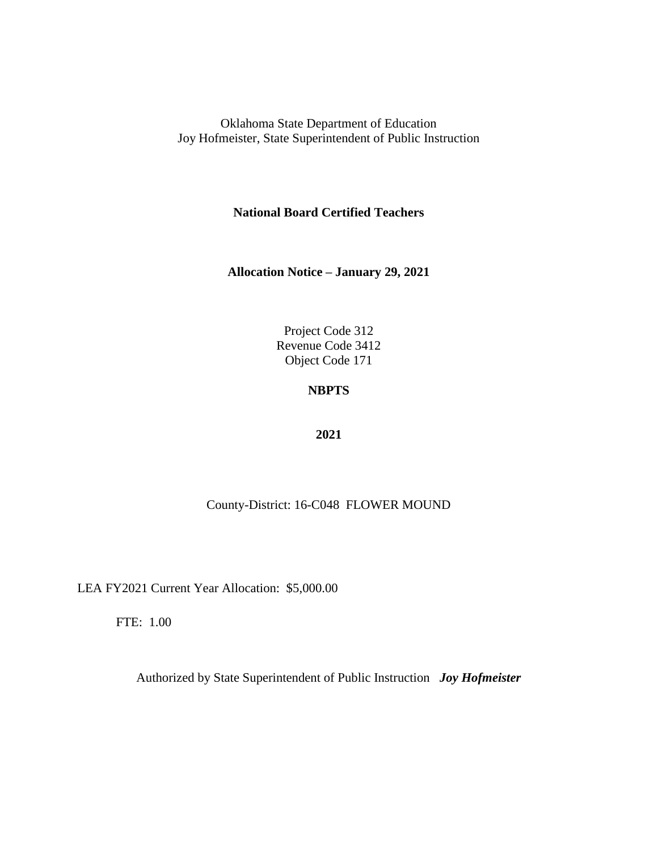**National Board Certified Teachers**

**Allocation Notice – January 29, 2021**

Project Code 312 Revenue Code 3412 Object Code 171

### **NBPTS**

#### **2021**

### County-District: 16-C048 FLOWER MOUND

LEA FY2021 Current Year Allocation: \$5,000.00

FTE: 1.00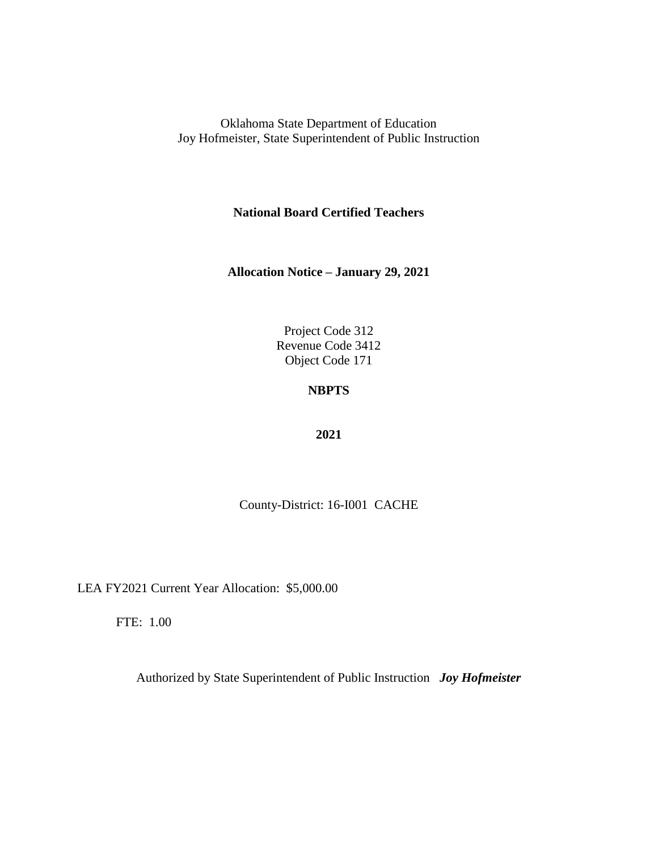**National Board Certified Teachers**

**Allocation Notice – January 29, 2021**

Project Code 312 Revenue Code 3412 Object Code 171

## **NBPTS**

#### **2021**

County-District: 16-I001 CACHE

LEA FY2021 Current Year Allocation: \$5,000.00

FTE: 1.00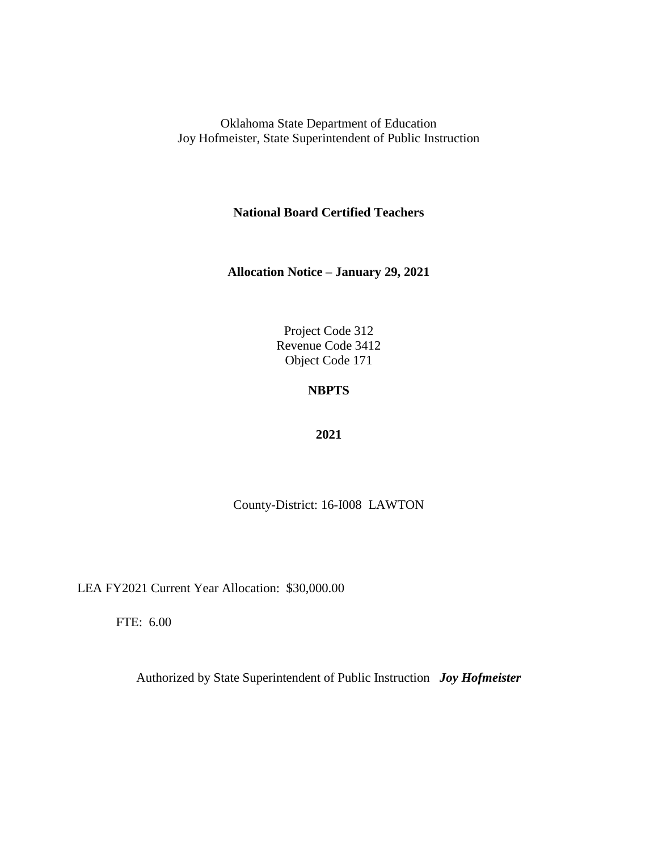**National Board Certified Teachers**

**Allocation Notice – January 29, 2021**

Project Code 312 Revenue Code 3412 Object Code 171

### **NBPTS**

#### **2021**

County-District: 16-I008 LAWTON

LEA FY2021 Current Year Allocation: \$30,000.00

FTE: 6.00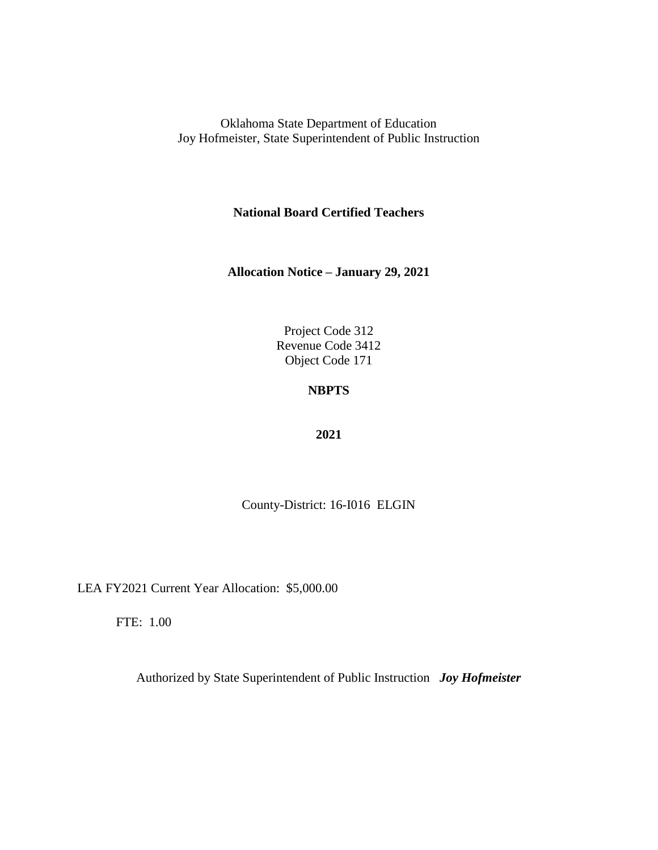**National Board Certified Teachers**

**Allocation Notice – January 29, 2021**

Project Code 312 Revenue Code 3412 Object Code 171

# **NBPTS**

#### **2021**

County-District: 16-I016 ELGIN

LEA FY2021 Current Year Allocation: \$5,000.00

FTE: 1.00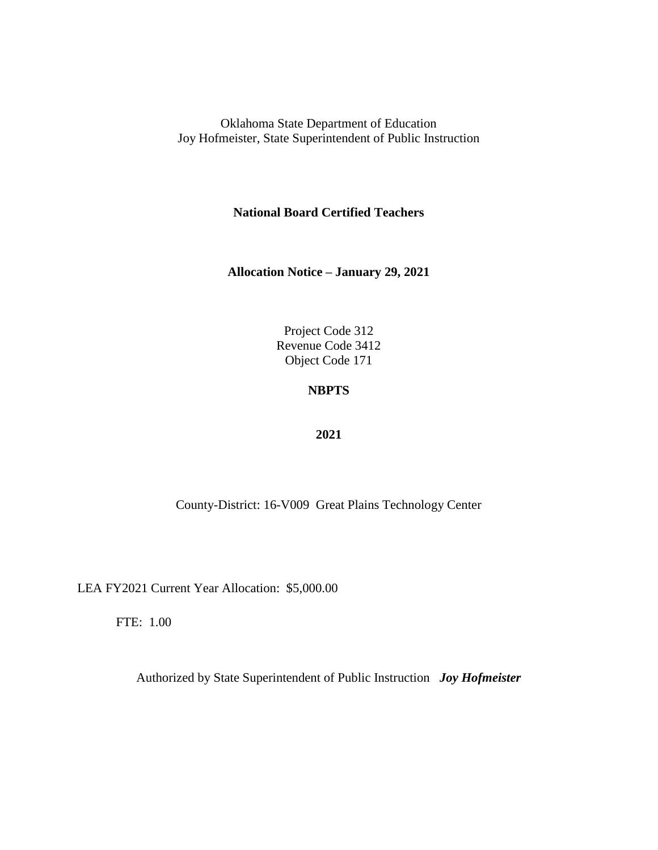**National Board Certified Teachers**

**Allocation Notice – January 29, 2021**

Project Code 312 Revenue Code 3412 Object Code 171

### **NBPTS**

#### **2021**

County-District: 16-V009 Great Plains Technology Center

LEA FY2021 Current Year Allocation: \$5,000.00

FTE: 1.00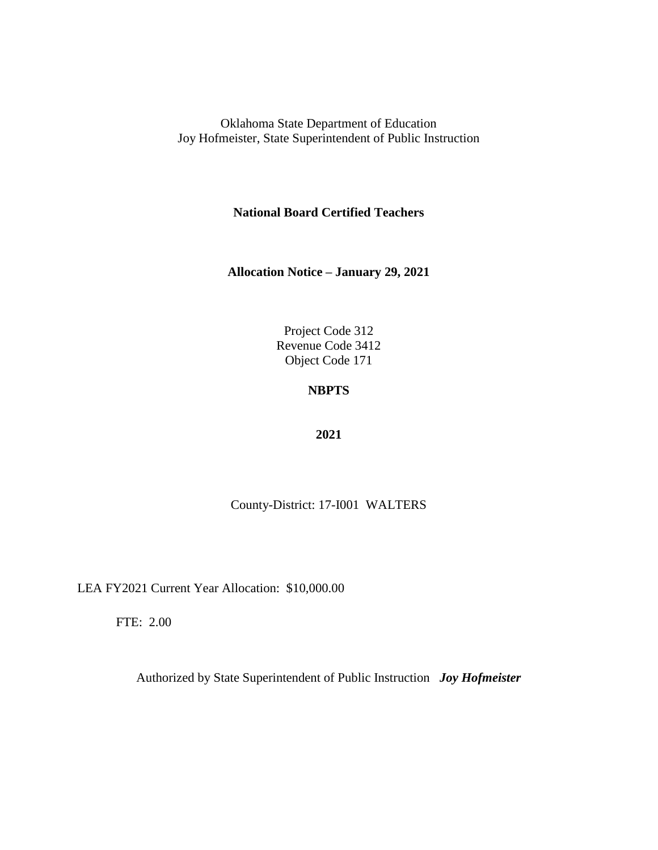**National Board Certified Teachers**

**Allocation Notice – January 29, 2021**

Project Code 312 Revenue Code 3412 Object Code 171

# **NBPTS**

#### **2021**

County-District: 17-I001 WALTERS

LEA FY2021 Current Year Allocation: \$10,000.00

FTE: 2.00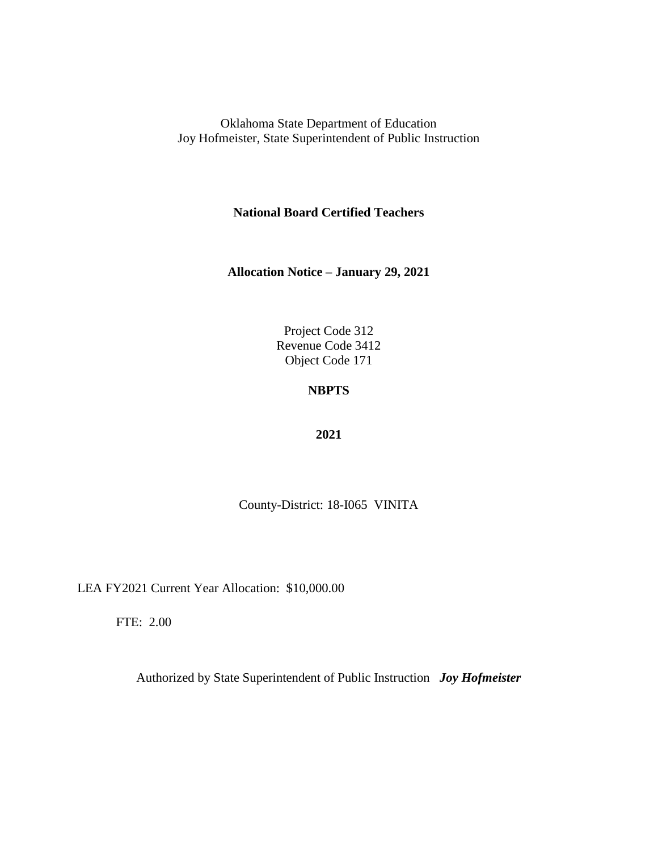**National Board Certified Teachers**

**Allocation Notice – January 29, 2021**

Project Code 312 Revenue Code 3412 Object Code 171

## **NBPTS**

#### **2021**

County-District: 18-I065 VINITA

LEA FY2021 Current Year Allocation: \$10,000.00

FTE: 2.00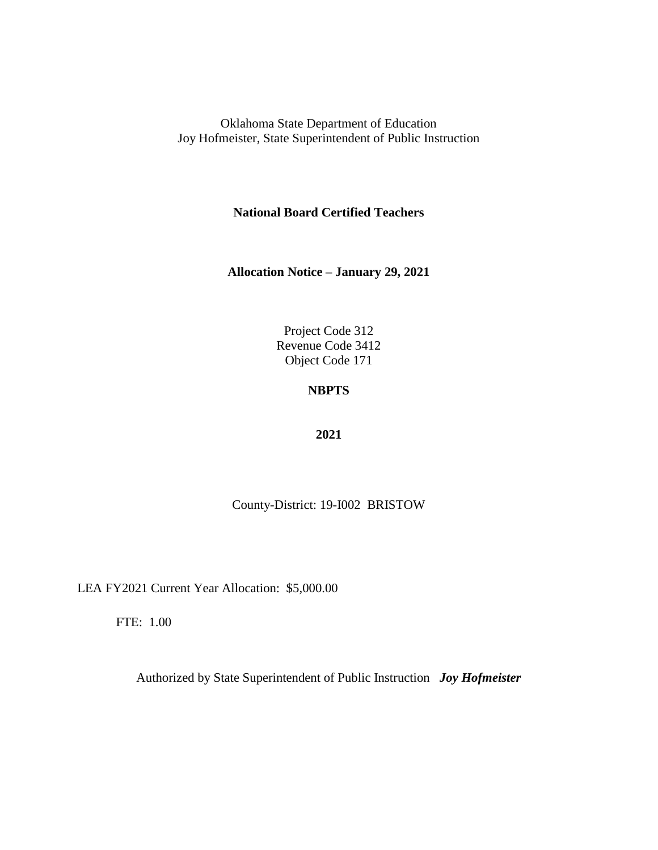**National Board Certified Teachers**

**Allocation Notice – January 29, 2021**

Project Code 312 Revenue Code 3412 Object Code 171

## **NBPTS**

#### **2021**

County-District: 19-I002 BRISTOW

LEA FY2021 Current Year Allocation: \$5,000.00

FTE: 1.00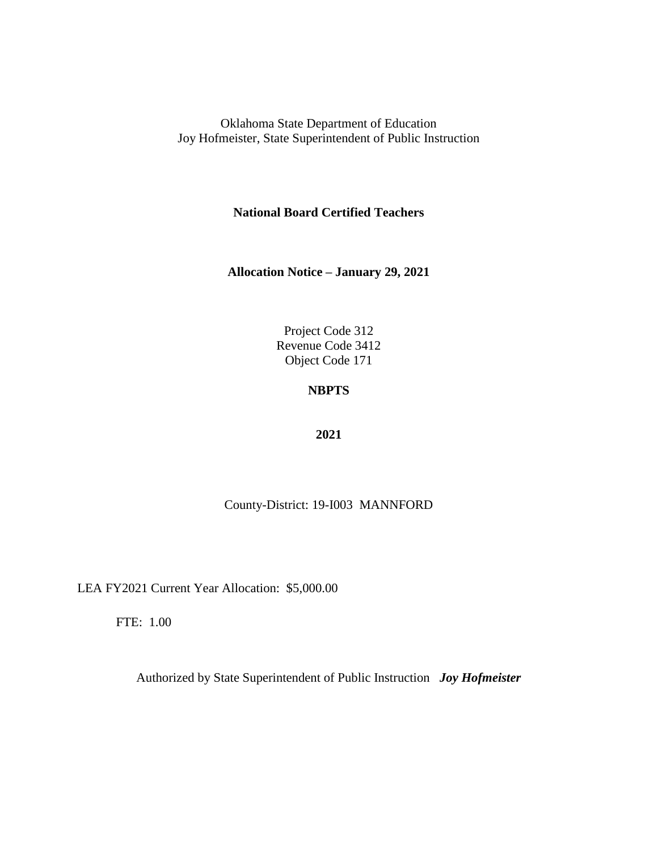**National Board Certified Teachers**

**Allocation Notice – January 29, 2021**

Project Code 312 Revenue Code 3412 Object Code 171

## **NBPTS**

#### **2021**

### County-District: 19-I003 MANNFORD

LEA FY2021 Current Year Allocation: \$5,000.00

FTE: 1.00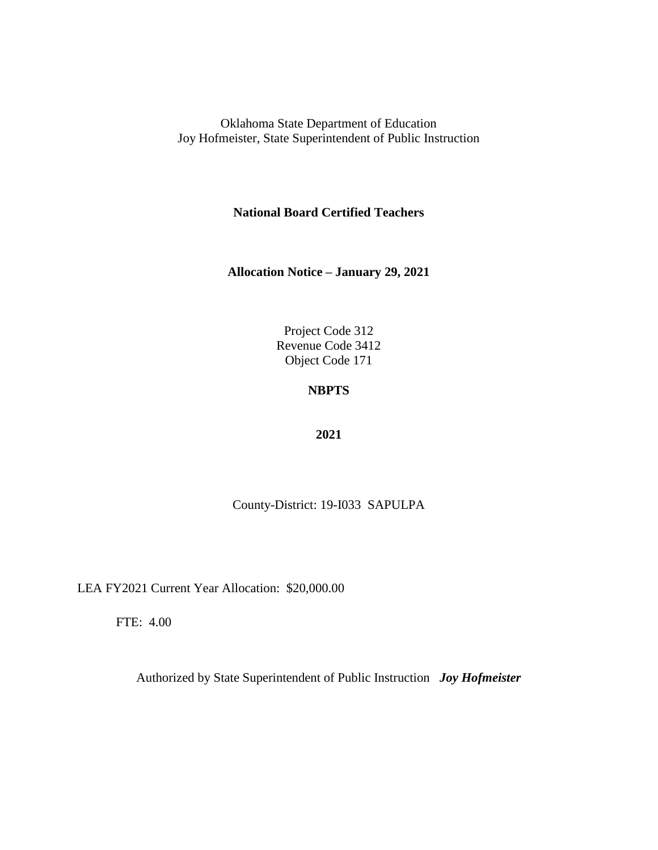**National Board Certified Teachers**

**Allocation Notice – January 29, 2021**

Project Code 312 Revenue Code 3412 Object Code 171

## **NBPTS**

#### **2021**

County-District: 19-I033 SAPULPA

LEA FY2021 Current Year Allocation: \$20,000.00

FTE: 4.00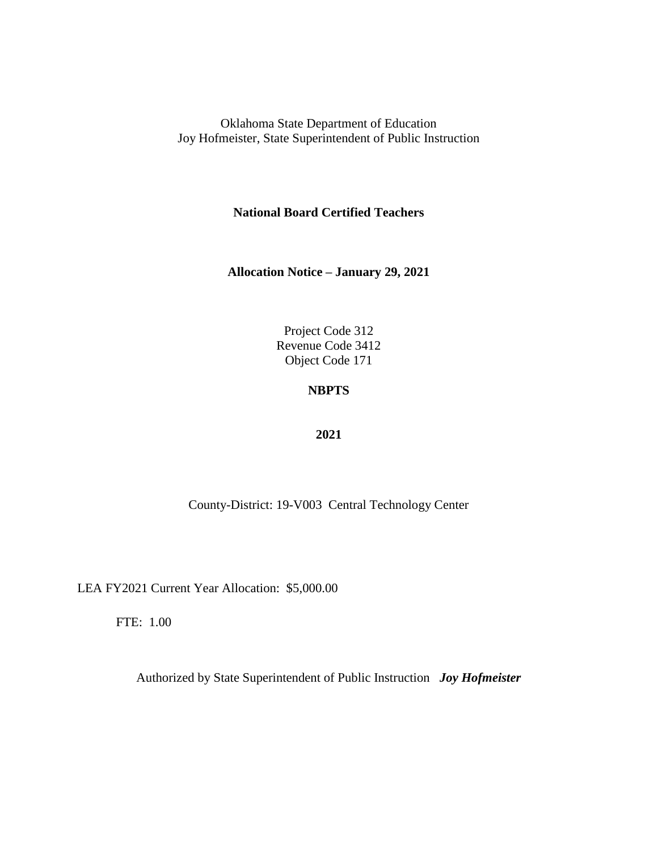**National Board Certified Teachers**

**Allocation Notice – January 29, 2021**

Project Code 312 Revenue Code 3412 Object Code 171

### **NBPTS**

#### **2021**

County-District: 19-V003 Central Technology Center

LEA FY2021 Current Year Allocation: \$5,000.00

FTE: 1.00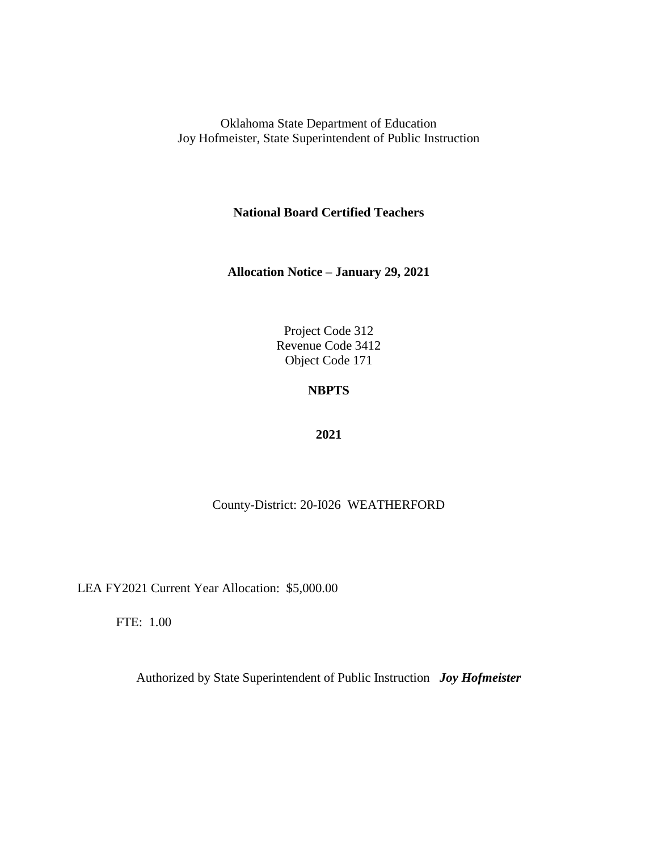**National Board Certified Teachers**

**Allocation Notice – January 29, 2021**

Project Code 312 Revenue Code 3412 Object Code 171

## **NBPTS**

#### **2021**

# County-District: 20-I026 WEATHERFORD

LEA FY2021 Current Year Allocation: \$5,000.00

FTE: 1.00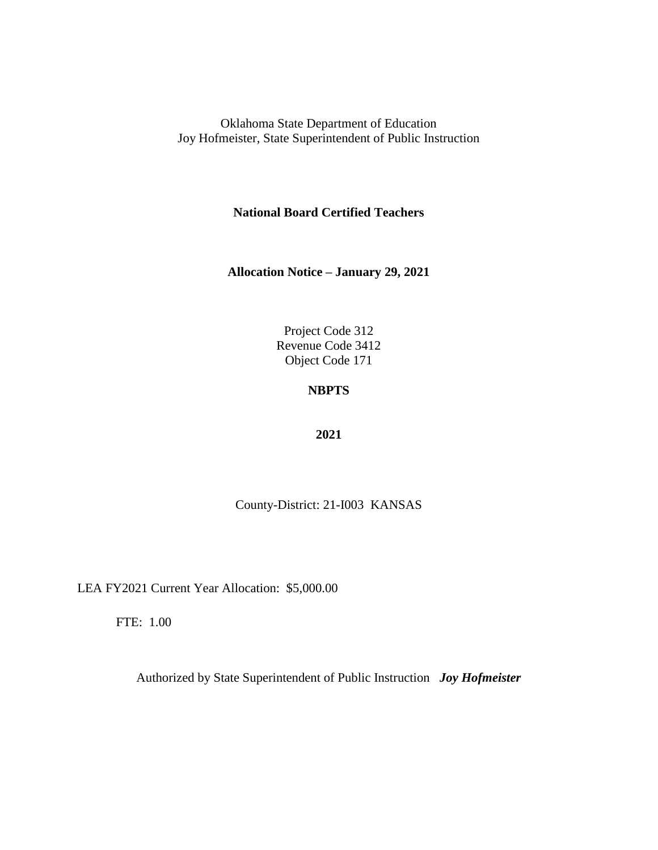**National Board Certified Teachers**

**Allocation Notice – January 29, 2021**

Project Code 312 Revenue Code 3412 Object Code 171

## **NBPTS**

#### **2021**

County-District: 21-I003 KANSAS

LEA FY2021 Current Year Allocation: \$5,000.00

FTE: 1.00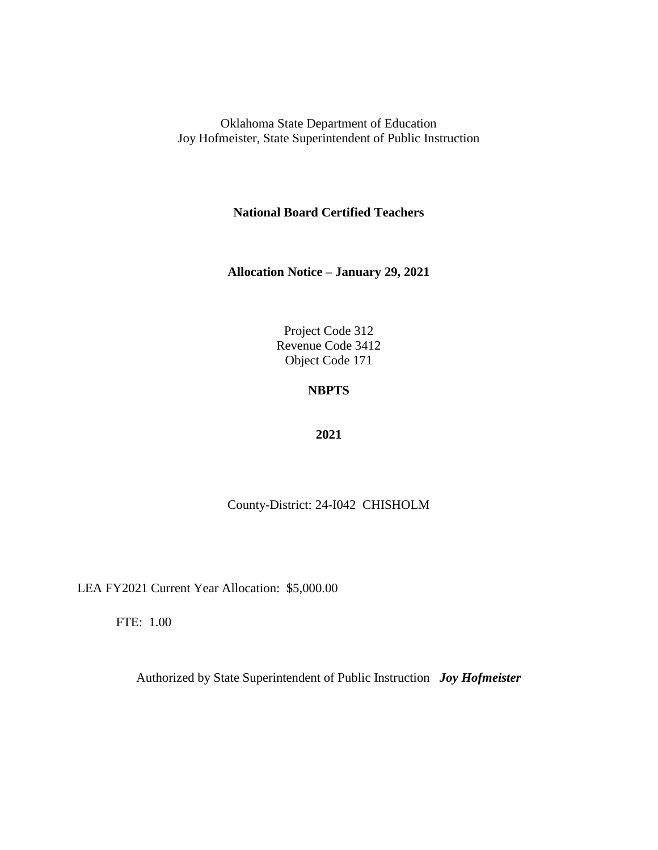**National Board Certified Teachers**

**Allocation Notice – January 29, 2021**

Project Code 312 Revenue Code 3412 Object Code 171

# **NBPTS**

### **2021**

County-District: 24-I042 CHISHOLM

LEA FY2021 Current Year Allocation: \$5,000.00

FTE: 1.00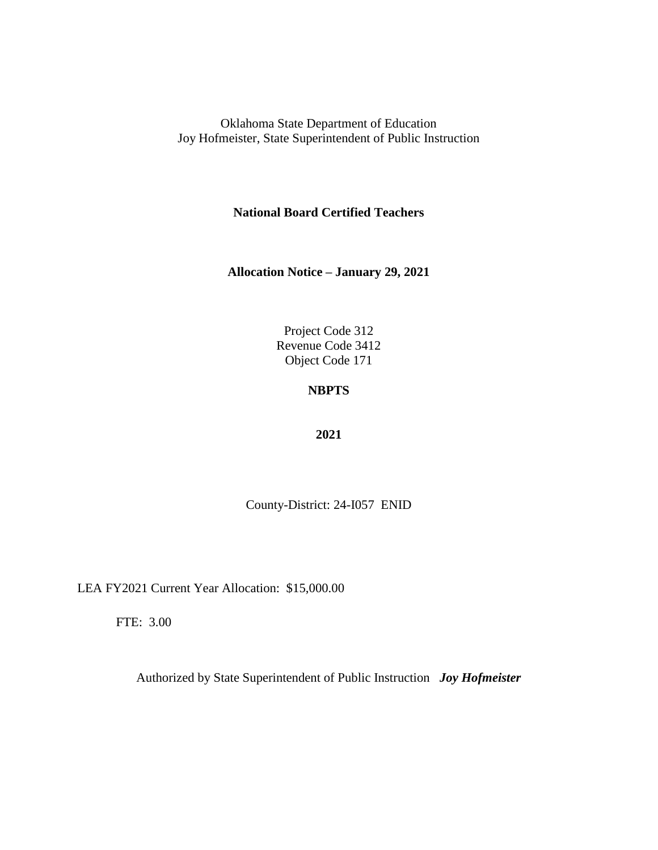**National Board Certified Teachers**

**Allocation Notice – January 29, 2021**

Project Code 312 Revenue Code 3412 Object Code 171

# **NBPTS**

### **2021**

County-District: 24-I057 ENID

LEA FY2021 Current Year Allocation: \$15,000.00

FTE: 3.00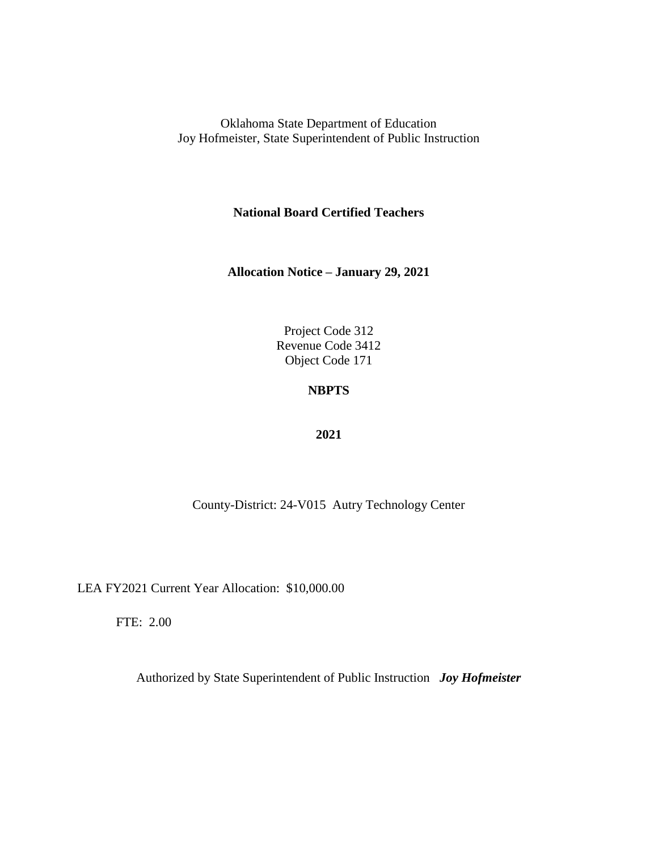**National Board Certified Teachers**

**Allocation Notice – January 29, 2021**

Project Code 312 Revenue Code 3412 Object Code 171

## **NBPTS**

### **2021**

County-District: 24-V015 Autry Technology Center

LEA FY2021 Current Year Allocation: \$10,000.00

FTE: 2.00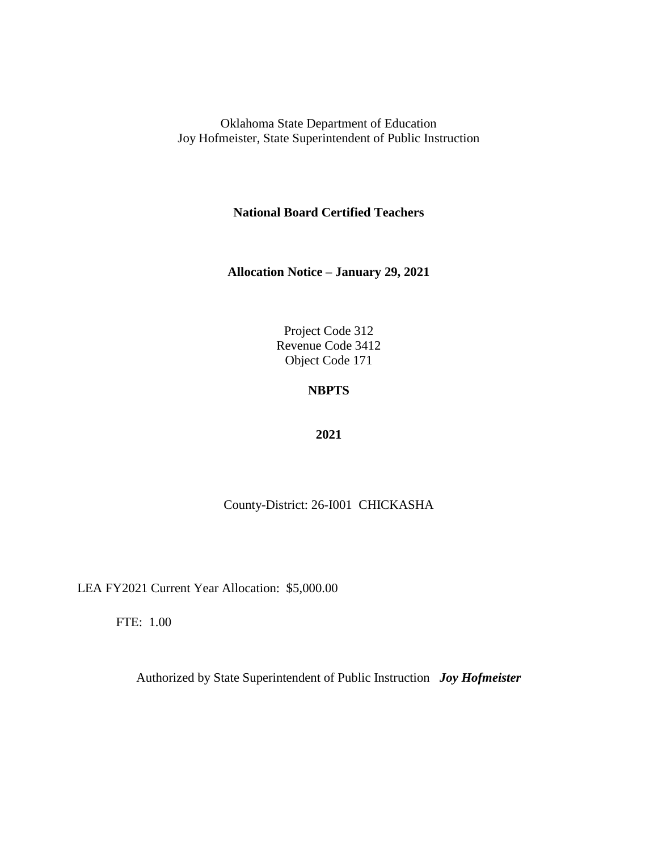**National Board Certified Teachers**

**Allocation Notice – January 29, 2021**

Project Code 312 Revenue Code 3412 Object Code 171

## **NBPTS**

### **2021**

County-District: 26-I001 CHICKASHA

LEA FY2021 Current Year Allocation: \$5,000.00

FTE: 1.00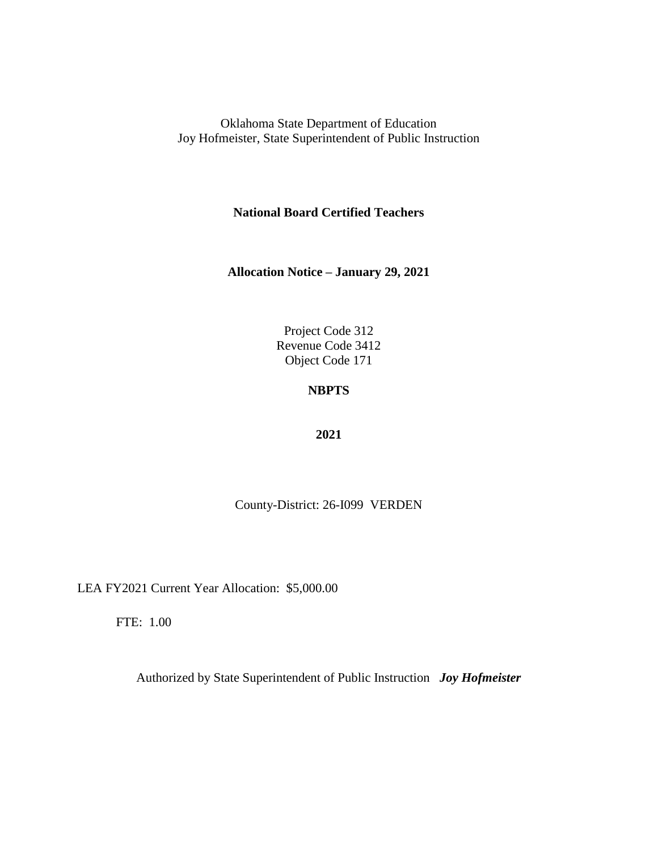**National Board Certified Teachers**

**Allocation Notice – January 29, 2021**

Project Code 312 Revenue Code 3412 Object Code 171

# **NBPTS**

### **2021**

County-District: 26-I099 VERDEN

LEA FY2021 Current Year Allocation: \$5,000.00

FTE: 1.00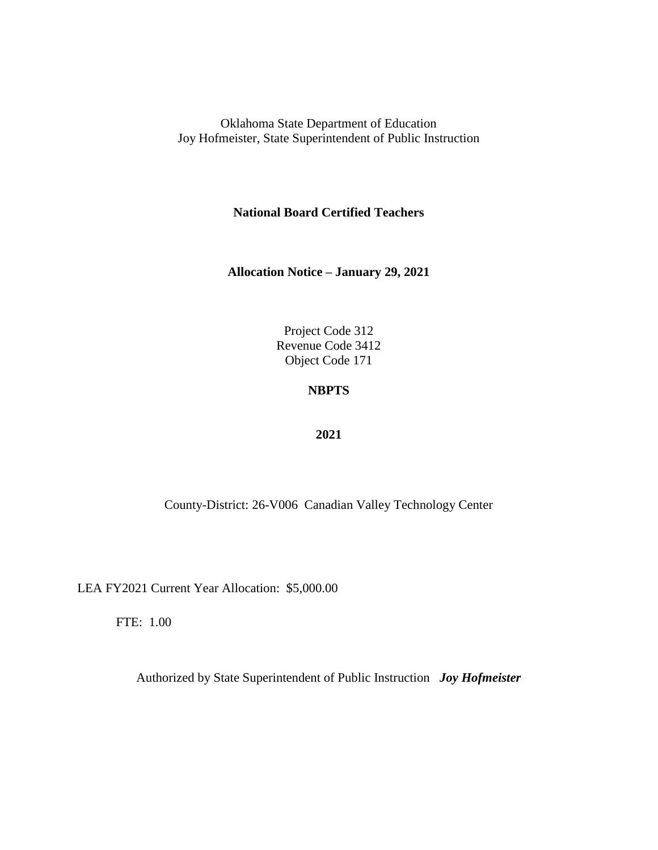**National Board Certified Teachers**

**Allocation Notice – January 29, 2021**

Project Code 312 Revenue Code 3412 Object Code 171

## **NBPTS**

### **2021**

County-District: 26-V006 Canadian Valley Technology Center

LEA FY2021 Current Year Allocation: \$5,000.00

FTE: 1.00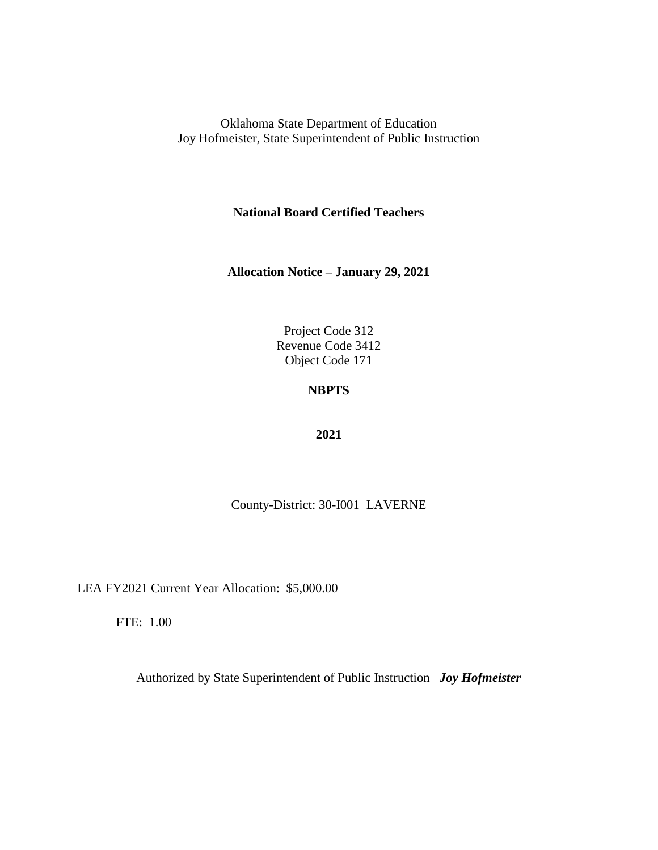**National Board Certified Teachers**

**Allocation Notice – January 29, 2021**

Project Code 312 Revenue Code 3412 Object Code 171

# **NBPTS**

### **2021**

County-District: 30-I001 LAVERNE

LEA FY2021 Current Year Allocation: \$5,000.00

FTE: 1.00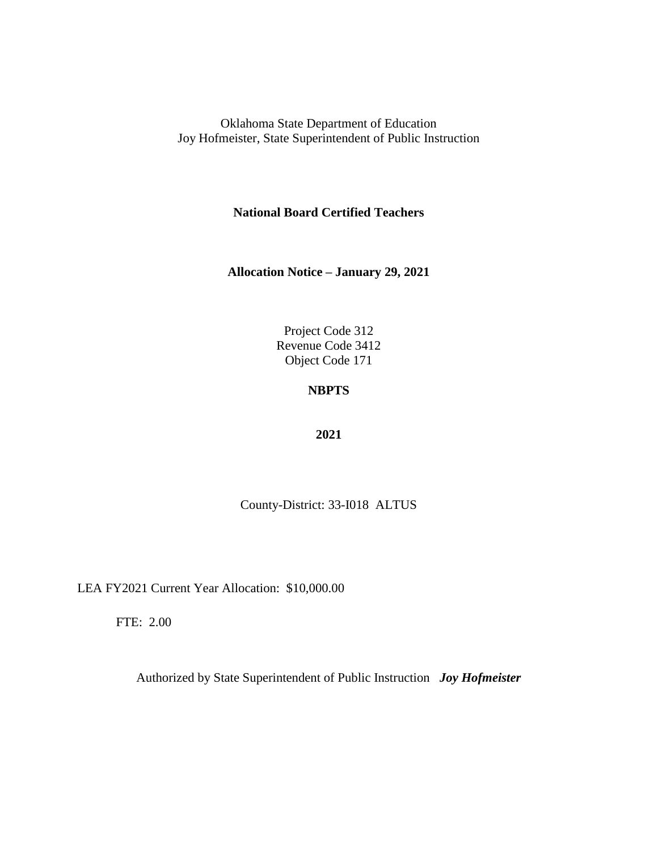**National Board Certified Teachers**

**Allocation Notice – January 29, 2021**

Project Code 312 Revenue Code 3412 Object Code 171

# **NBPTS**

### **2021**

County-District: 33-I018 ALTUS

LEA FY2021 Current Year Allocation: \$10,000.00

FTE: 2.00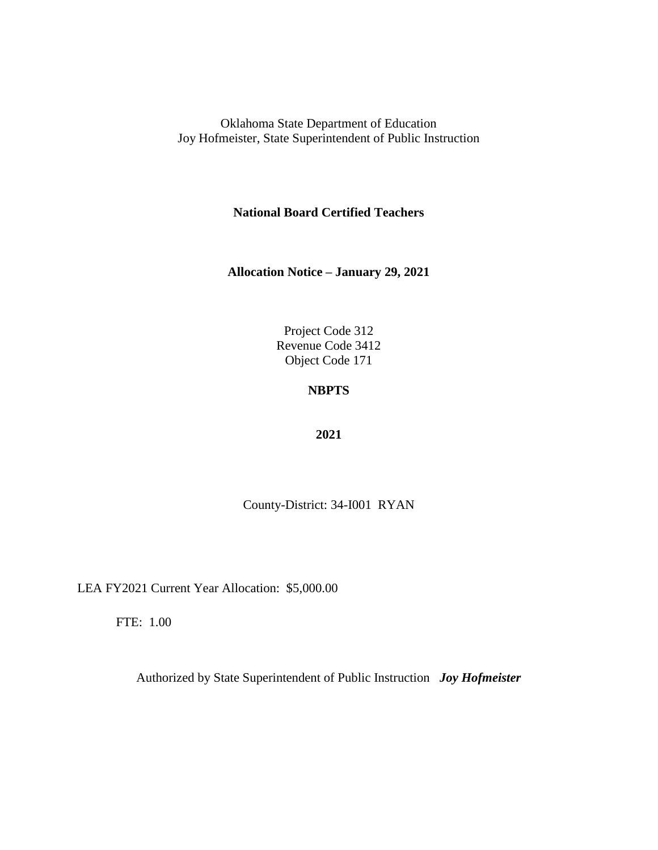**National Board Certified Teachers**

**Allocation Notice – January 29, 2021**

Project Code 312 Revenue Code 3412 Object Code 171

# **NBPTS**

### **2021**

County-District: 34-I001 RYAN

LEA FY2021 Current Year Allocation: \$5,000.00

FTE: 1.00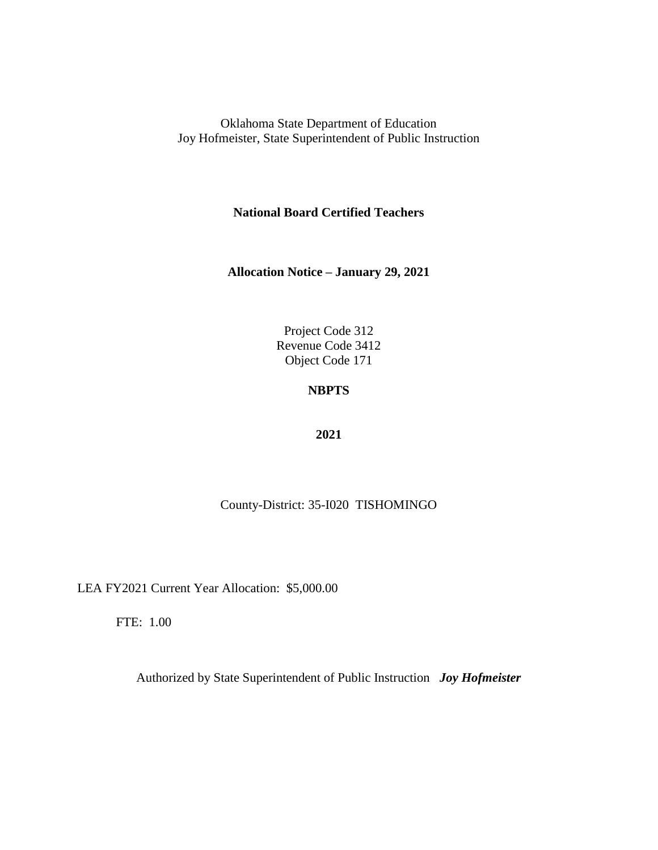**National Board Certified Teachers**

**Allocation Notice – January 29, 2021**

Project Code 312 Revenue Code 3412 Object Code 171

# **NBPTS**

### **2021**

County-District: 35-I020 TISHOMINGO

LEA FY2021 Current Year Allocation: \$5,000.00

FTE: 1.00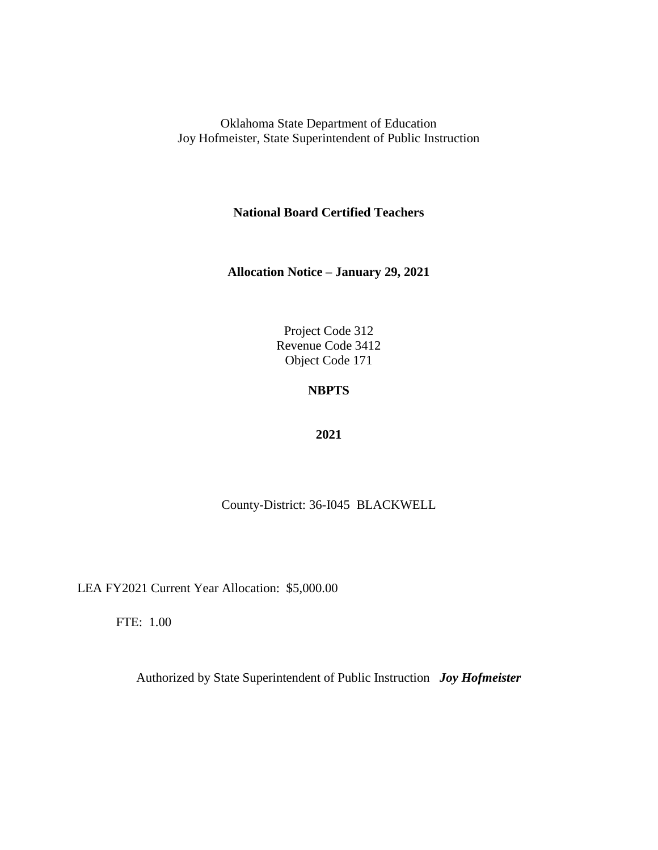**National Board Certified Teachers**

**Allocation Notice – January 29, 2021**

Project Code 312 Revenue Code 3412 Object Code 171

# **NBPTS**

### **2021**

County-District: 36-I045 BLACKWELL

LEA FY2021 Current Year Allocation: \$5,000.00

FTE: 1.00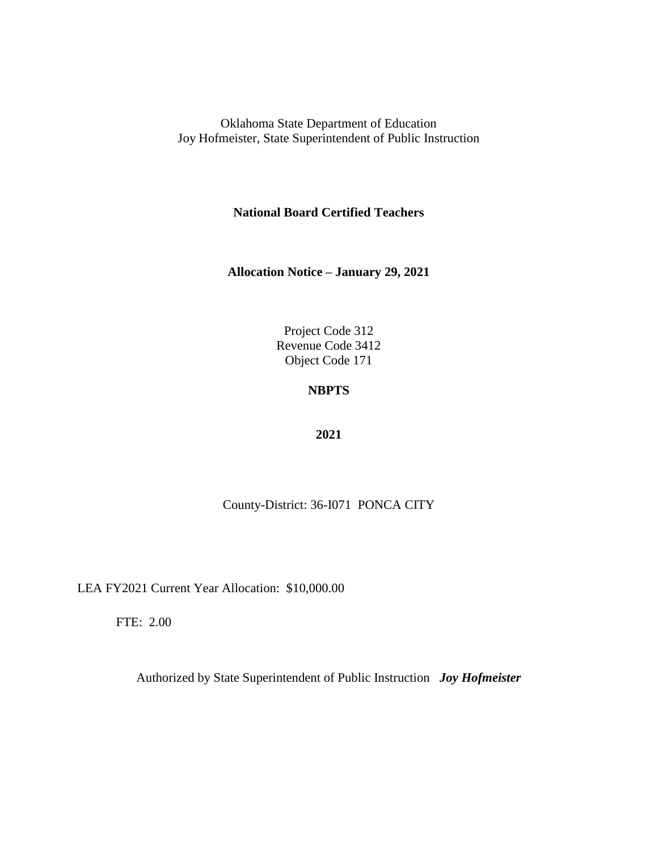**National Board Certified Teachers**

**Allocation Notice – January 29, 2021**

Project Code 312 Revenue Code 3412 Object Code 171

## **NBPTS**

### **2021**

County-District: 36-I071 PONCA CITY

LEA FY2021 Current Year Allocation: \$10,000.00

FTE: 2.00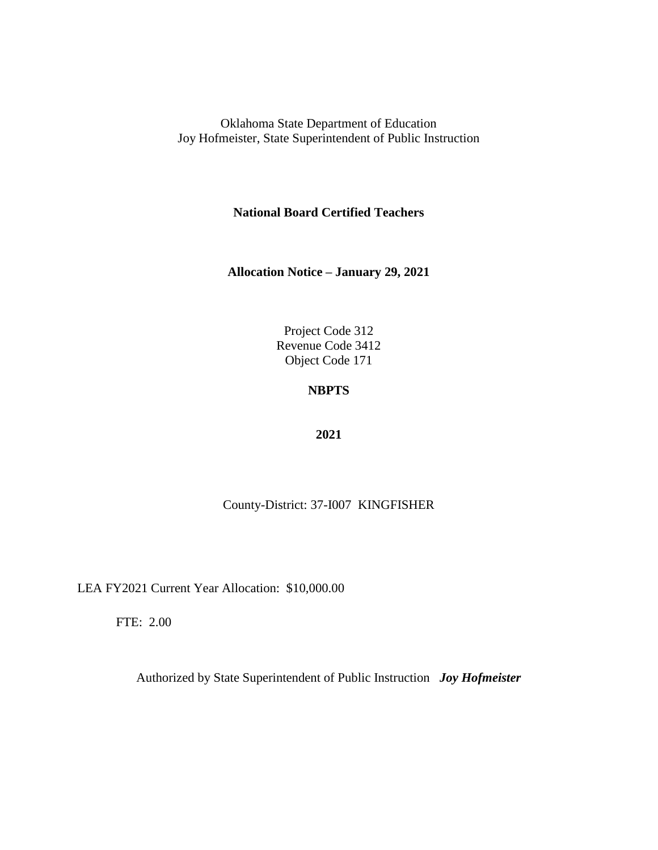**National Board Certified Teachers**

**Allocation Notice – January 29, 2021**

Project Code 312 Revenue Code 3412 Object Code 171

# **NBPTS**

### **2021**

County-District: 37-I007 KINGFISHER

LEA FY2021 Current Year Allocation: \$10,000.00

FTE: 2.00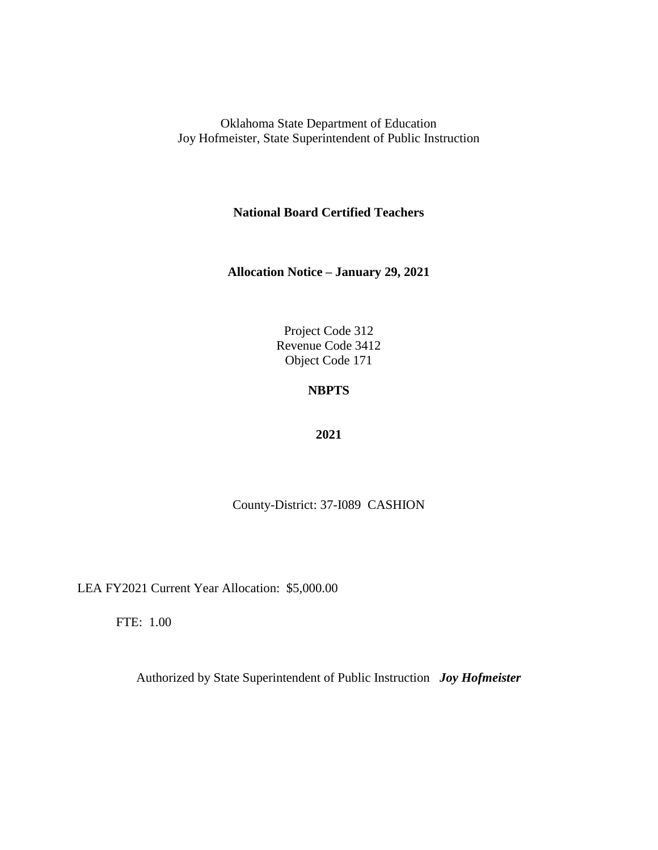**National Board Certified Teachers**

**Allocation Notice – January 29, 2021**

Project Code 312 Revenue Code 3412 Object Code 171

# **NBPTS**

### **2021**

County-District: 37-I089 CASHION

LEA FY2021 Current Year Allocation: \$5,000.00

FTE: 1.00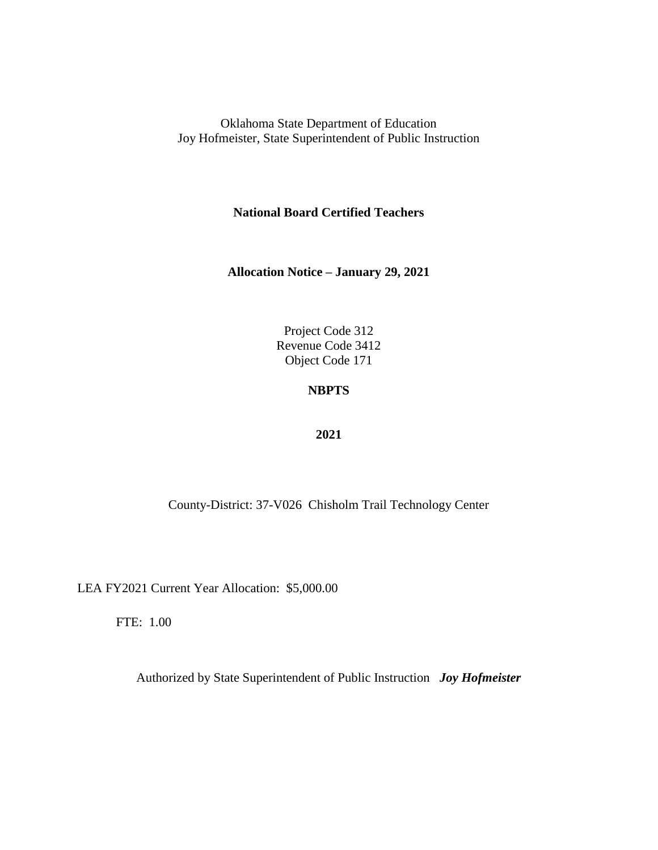**National Board Certified Teachers**

**Allocation Notice – January 29, 2021**

Project Code 312 Revenue Code 3412 Object Code 171

## **NBPTS**

### **2021**

County-District: 37-V026 Chisholm Trail Technology Center

LEA FY2021 Current Year Allocation: \$5,000.00

FTE: 1.00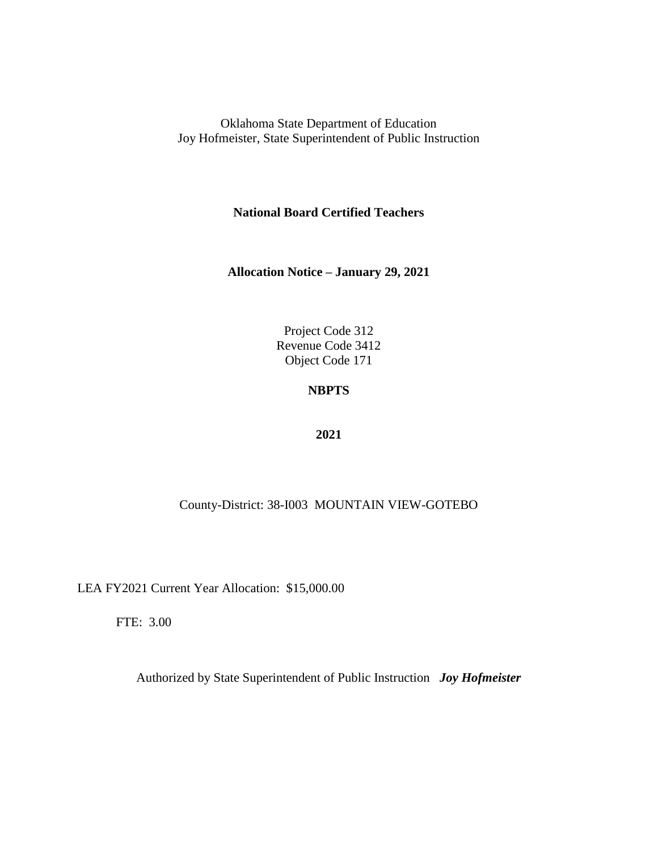**National Board Certified Teachers**

**Allocation Notice – January 29, 2021**

Project Code 312 Revenue Code 3412 Object Code 171

## **NBPTS**

### **2021**

### County-District: 38-I003 MOUNTAIN VIEW-GOTEBO

LEA FY2021 Current Year Allocation: \$15,000.00

FTE: 3.00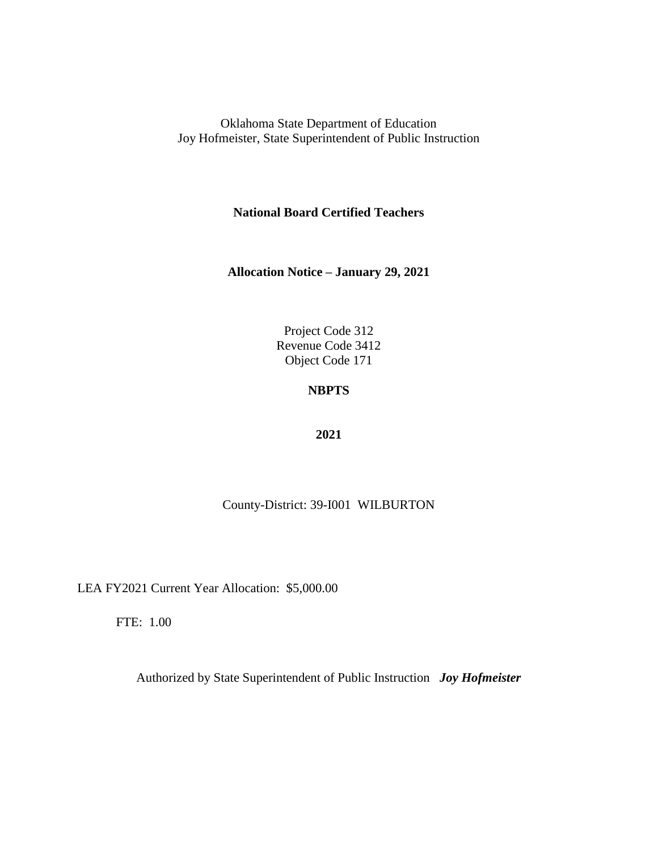**National Board Certified Teachers**

**Allocation Notice – January 29, 2021**

Project Code 312 Revenue Code 3412 Object Code 171

# **NBPTS**

### **2021**

County-District: 39-I001 WILBURTON

LEA FY2021 Current Year Allocation: \$5,000.00

FTE: 1.00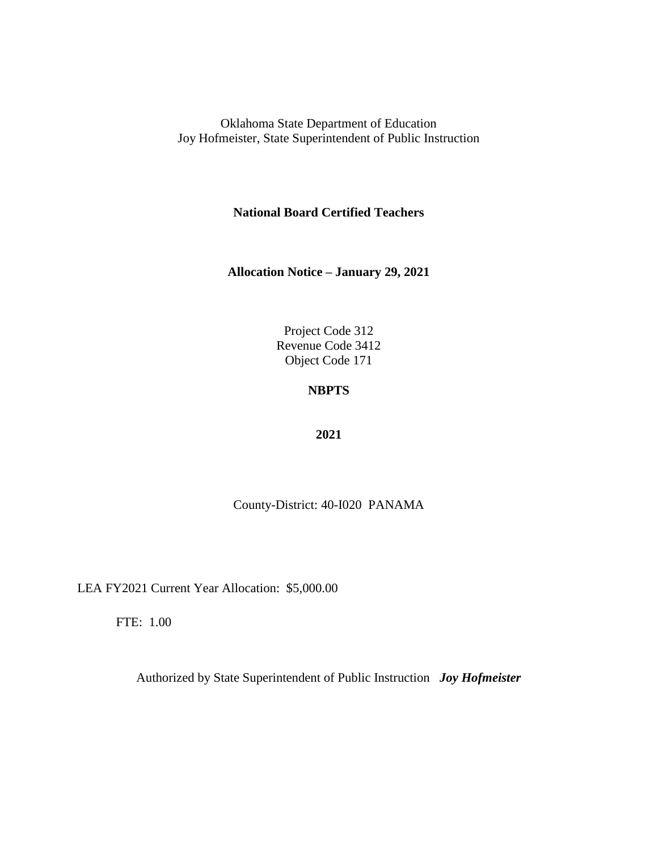**National Board Certified Teachers**

**Allocation Notice – January 29, 2021**

Project Code 312 Revenue Code 3412 Object Code 171

## **NBPTS**

### **2021**

County-District: 40-I020 PANAMA

LEA FY2021 Current Year Allocation: \$5,000.00

FTE: 1.00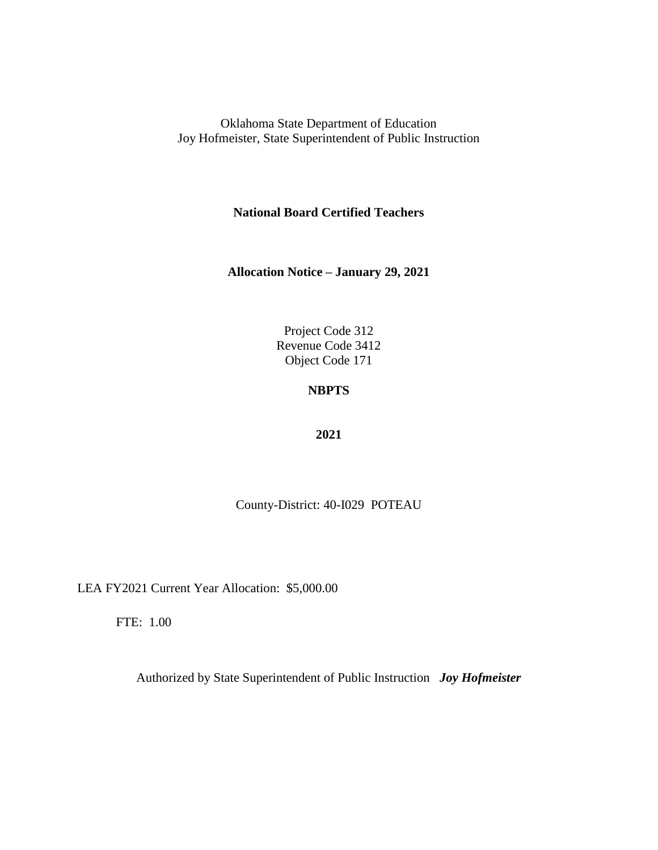**National Board Certified Teachers**

**Allocation Notice – January 29, 2021**

Project Code 312 Revenue Code 3412 Object Code 171

# **NBPTS**

### **2021**

County-District: 40-I029 POTEAU

LEA FY2021 Current Year Allocation: \$5,000.00

FTE: 1.00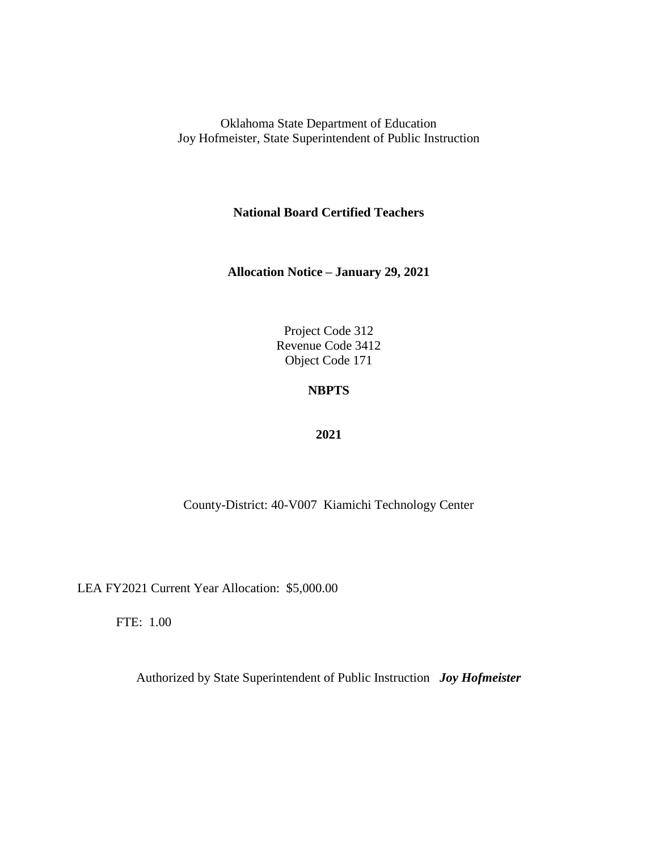**National Board Certified Teachers**

**Allocation Notice – January 29, 2021**

Project Code 312 Revenue Code 3412 Object Code 171

## **NBPTS**

### **2021**

County-District: 40-V007 Kiamichi Technology Center

LEA FY2021 Current Year Allocation: \$5,000.00

FTE: 1.00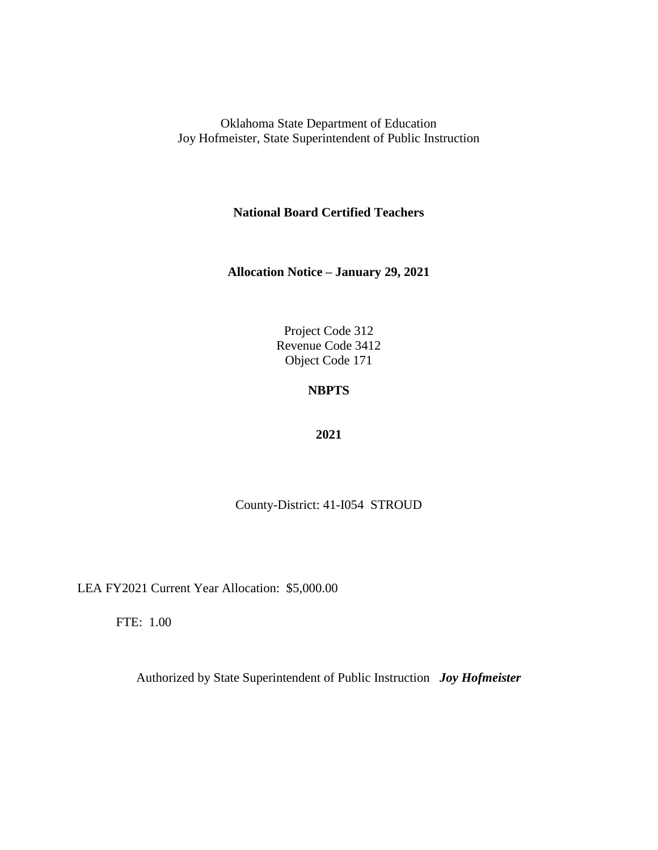**National Board Certified Teachers**

**Allocation Notice – January 29, 2021**

Project Code 312 Revenue Code 3412 Object Code 171

# **NBPTS**

### **2021**

County-District: 41-I054 STROUD

LEA FY2021 Current Year Allocation: \$5,000.00

FTE: 1.00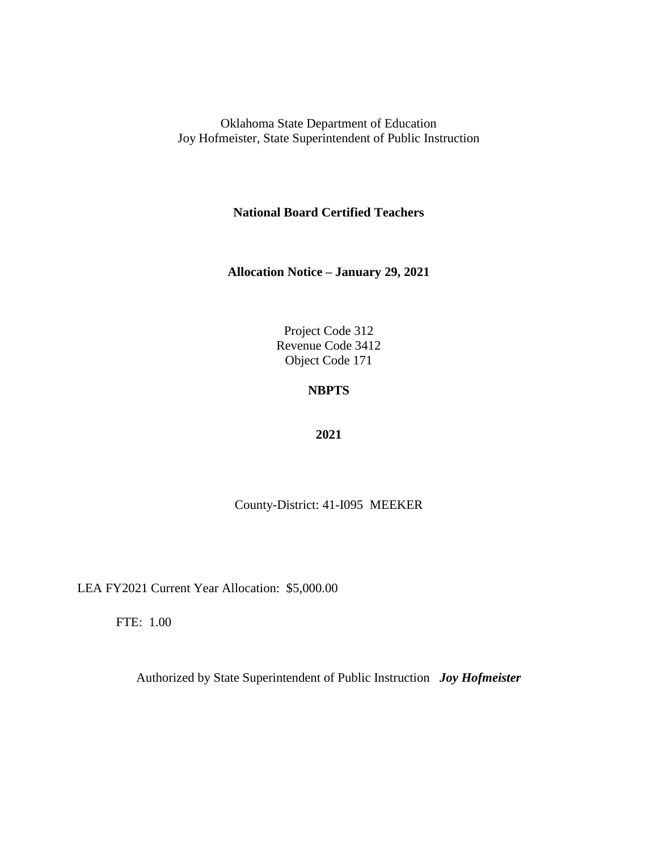**National Board Certified Teachers**

**Allocation Notice – January 29, 2021**

Project Code 312 Revenue Code 3412 Object Code 171

# **NBPTS**

### **2021**

County-District: 41-I095 MEEKER

LEA FY2021 Current Year Allocation: \$5,000.00

FTE: 1.00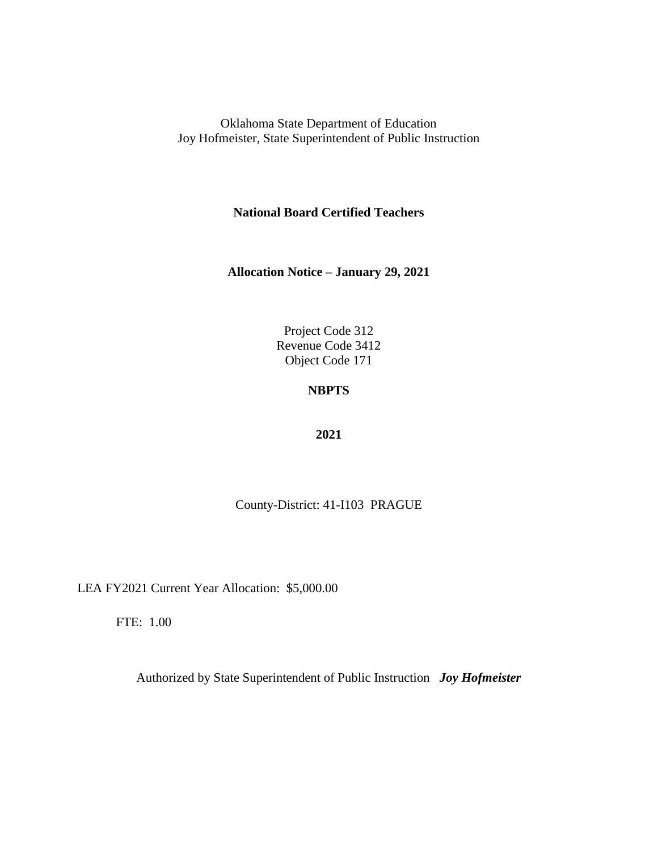**National Board Certified Teachers**

**Allocation Notice – January 29, 2021**

Project Code 312 Revenue Code 3412 Object Code 171

# **NBPTS**

### **2021**

County-District: 41-I103 PRAGUE

LEA FY2021 Current Year Allocation: \$5,000.00

FTE: 1.00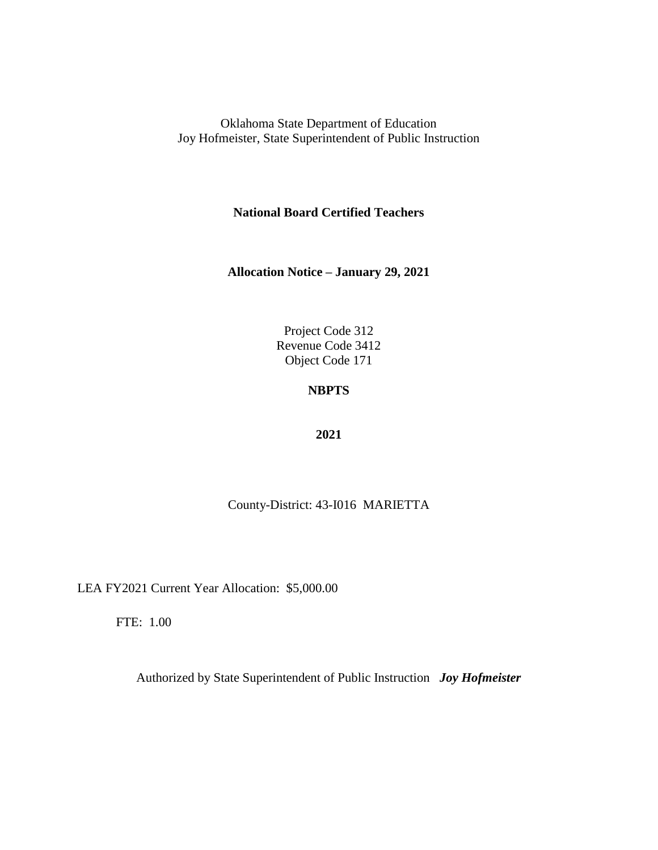**National Board Certified Teachers**

**Allocation Notice – January 29, 2021**

Project Code 312 Revenue Code 3412 Object Code 171

## **NBPTS**

### **2021**

County-District: 43-I016 MARIETTA

LEA FY2021 Current Year Allocation: \$5,000.00

FTE: 1.00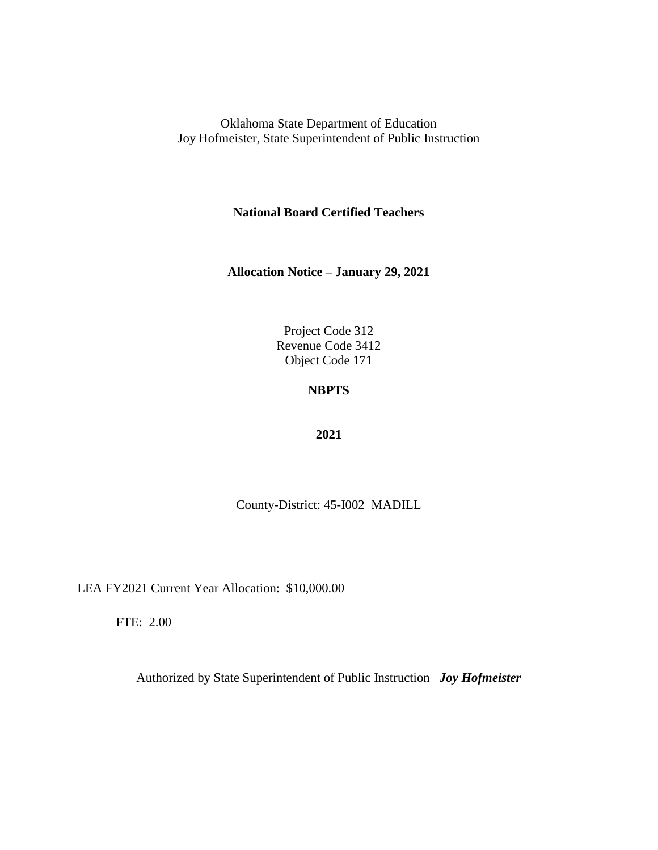**National Board Certified Teachers**

**Allocation Notice – January 29, 2021**

Project Code 312 Revenue Code 3412 Object Code 171

# **NBPTS**

### **2021**

County-District: 45-I002 MADILL

LEA FY2021 Current Year Allocation: \$10,000.00

FTE: 2.00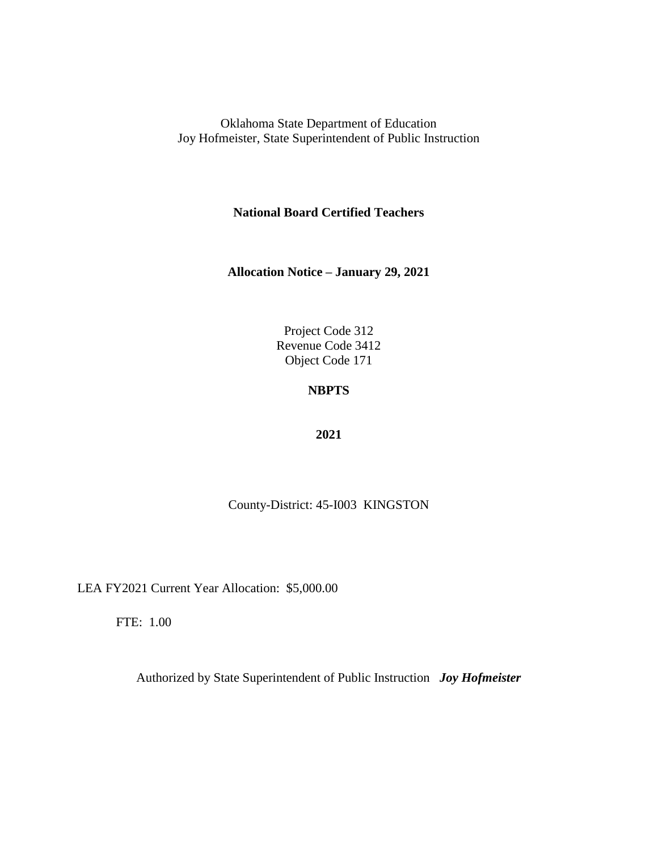**National Board Certified Teachers**

**Allocation Notice – January 29, 2021**

Project Code 312 Revenue Code 3412 Object Code 171

# **NBPTS**

### **2021**

County-District: 45-I003 KINGSTON

LEA FY2021 Current Year Allocation: \$5,000.00

FTE: 1.00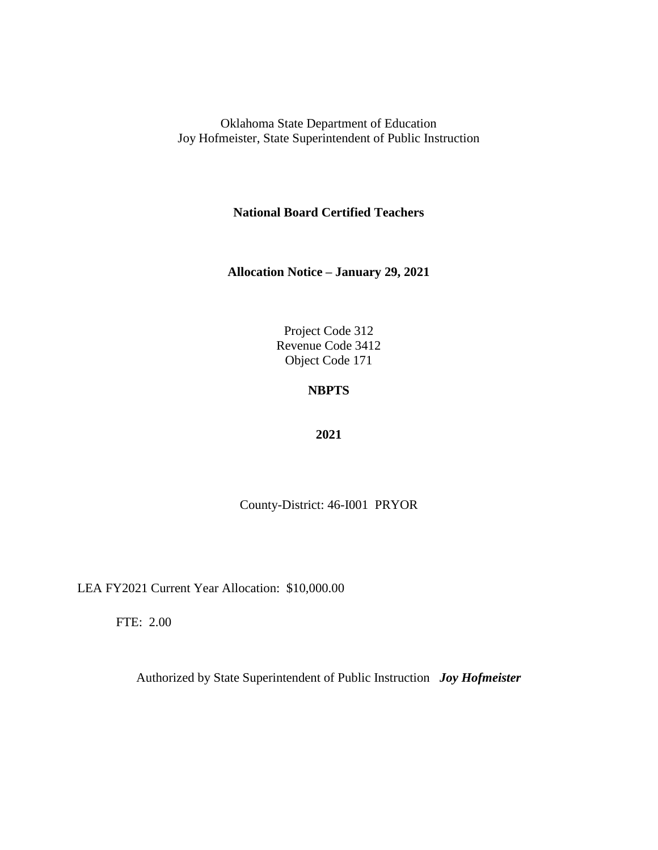**National Board Certified Teachers**

**Allocation Notice – January 29, 2021**

Project Code 312 Revenue Code 3412 Object Code 171

# **NBPTS**

### **2021**

County-District: 46-I001 PRYOR

LEA FY2021 Current Year Allocation: \$10,000.00

FTE: 2.00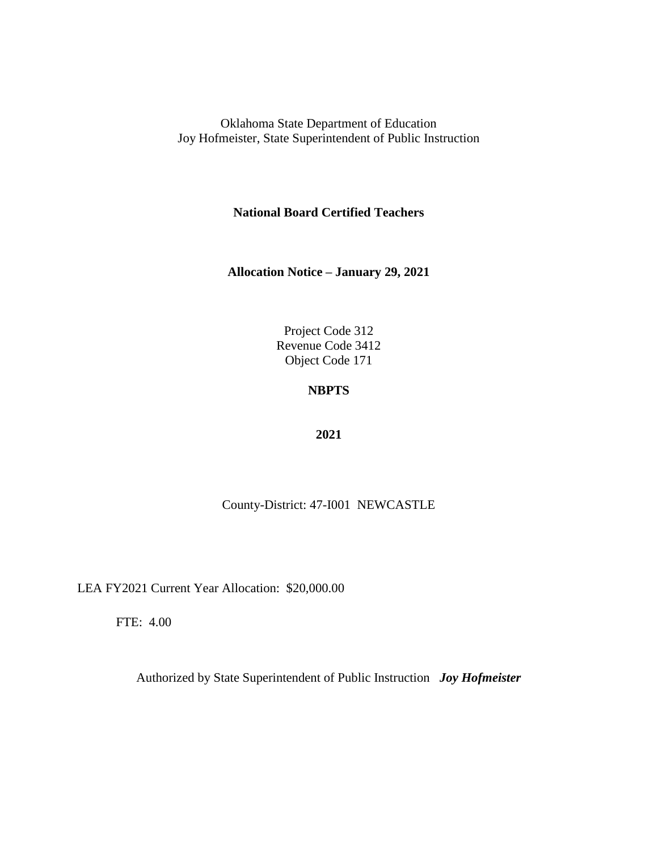**National Board Certified Teachers**

**Allocation Notice – January 29, 2021**

Project Code 312 Revenue Code 3412 Object Code 171

# **NBPTS**

### **2021**

County-District: 47-I001 NEWCASTLE

LEA FY2021 Current Year Allocation: \$20,000.00

FTE: 4.00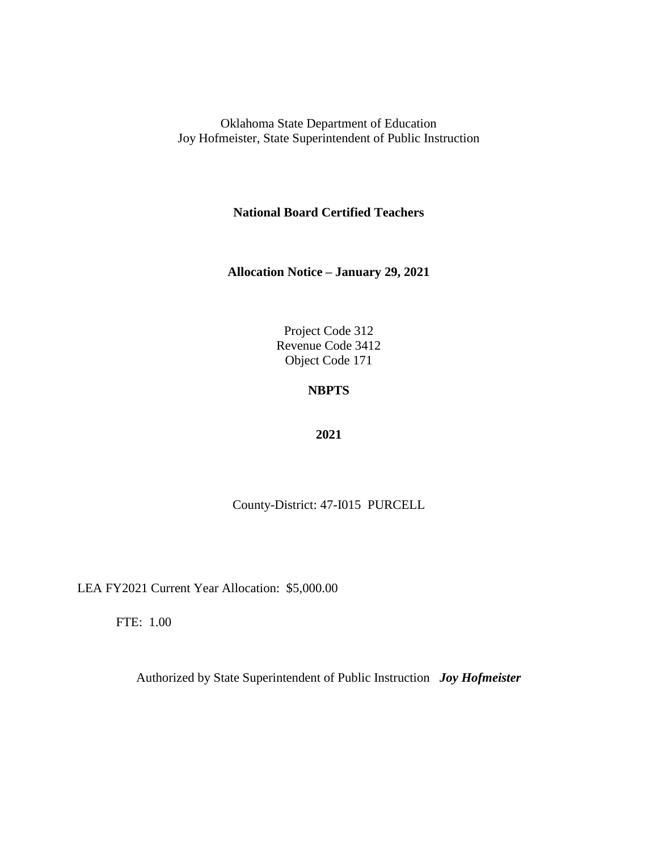**National Board Certified Teachers**

**Allocation Notice – January 29, 2021**

Project Code 312 Revenue Code 3412 Object Code 171

# **NBPTS**

### **2021**

County-District: 47-I015 PURCELL

LEA FY2021 Current Year Allocation: \$5,000.00

FTE: 1.00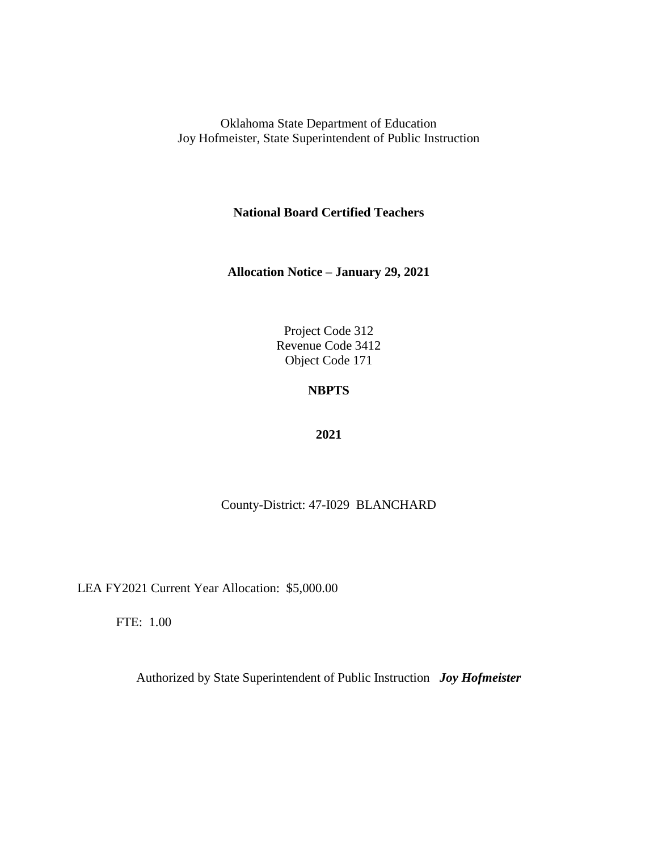**National Board Certified Teachers**

**Allocation Notice – January 29, 2021**

Project Code 312 Revenue Code 3412 Object Code 171

## **NBPTS**

### **2021**

### County-District: 47-I029 BLANCHARD

LEA FY2021 Current Year Allocation: \$5,000.00

FTE: 1.00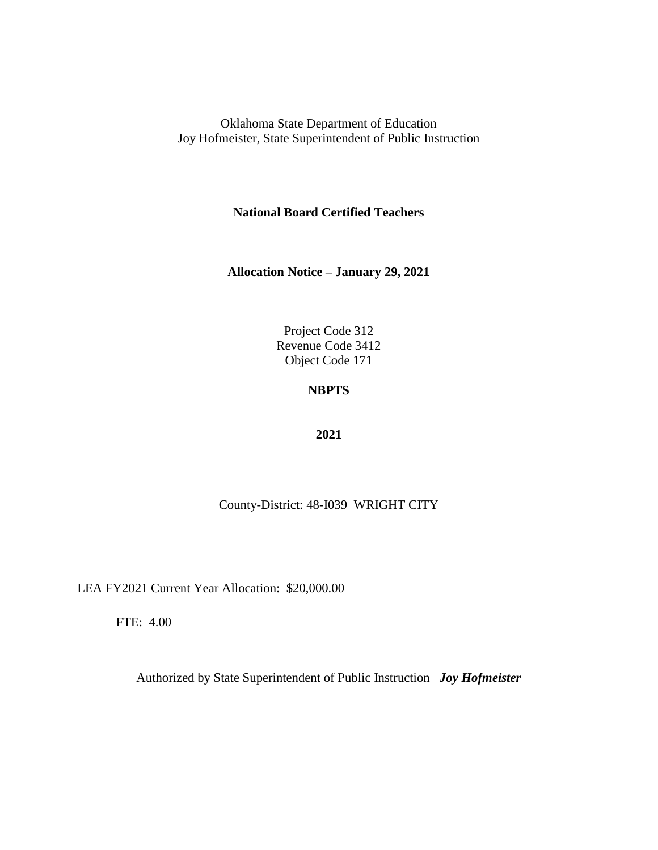**National Board Certified Teachers**

**Allocation Notice – January 29, 2021**

Project Code 312 Revenue Code 3412 Object Code 171

## **NBPTS**

### **2021**

### County-District: 48-I039 WRIGHT CITY

LEA FY2021 Current Year Allocation: \$20,000.00

FTE: 4.00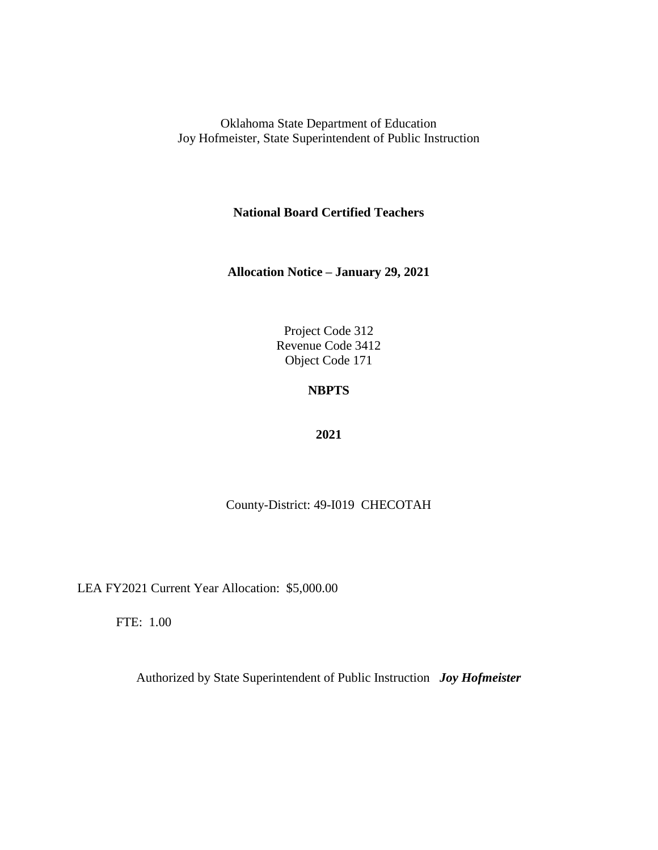**National Board Certified Teachers**

**Allocation Notice – January 29, 2021**

Project Code 312 Revenue Code 3412 Object Code 171

# **NBPTS**

### **2021**

### County-District: 49-I019 CHECOTAH

LEA FY2021 Current Year Allocation: \$5,000.00

FTE: 1.00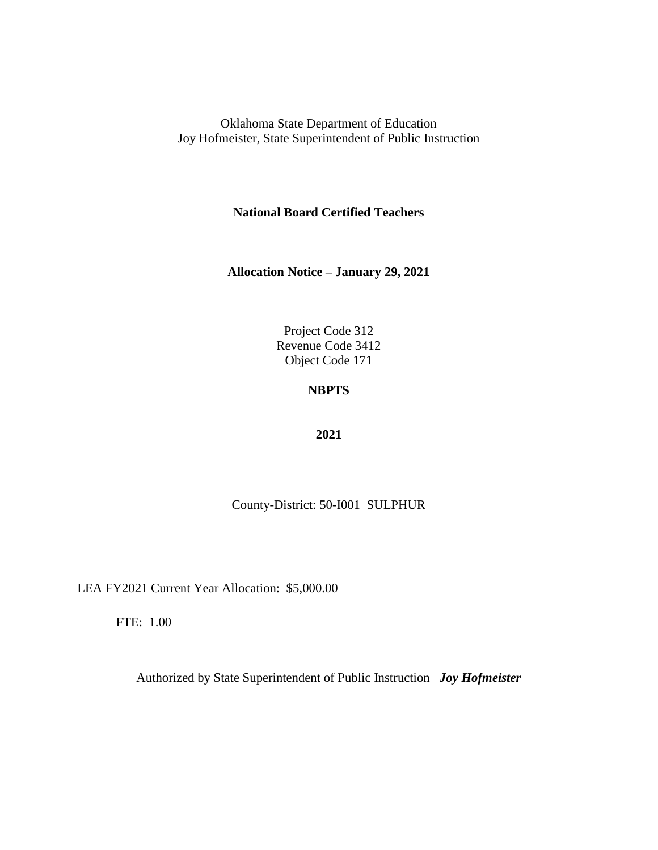**National Board Certified Teachers**

**Allocation Notice – January 29, 2021**

Project Code 312 Revenue Code 3412 Object Code 171

# **NBPTS**

### **2021**

County-District: 50-I001 SULPHUR

LEA FY2021 Current Year Allocation: \$5,000.00

FTE: 1.00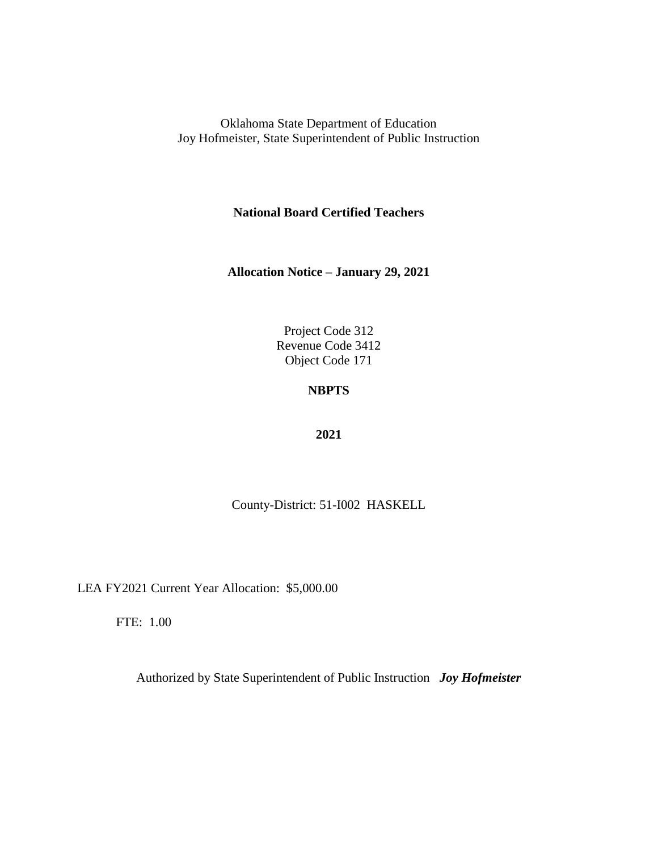**National Board Certified Teachers**

**Allocation Notice – January 29, 2021**

Project Code 312 Revenue Code 3412 Object Code 171

# **NBPTS**

### **2021**

County-District: 51-I002 HASKELL

LEA FY2021 Current Year Allocation: \$5,000.00

FTE: 1.00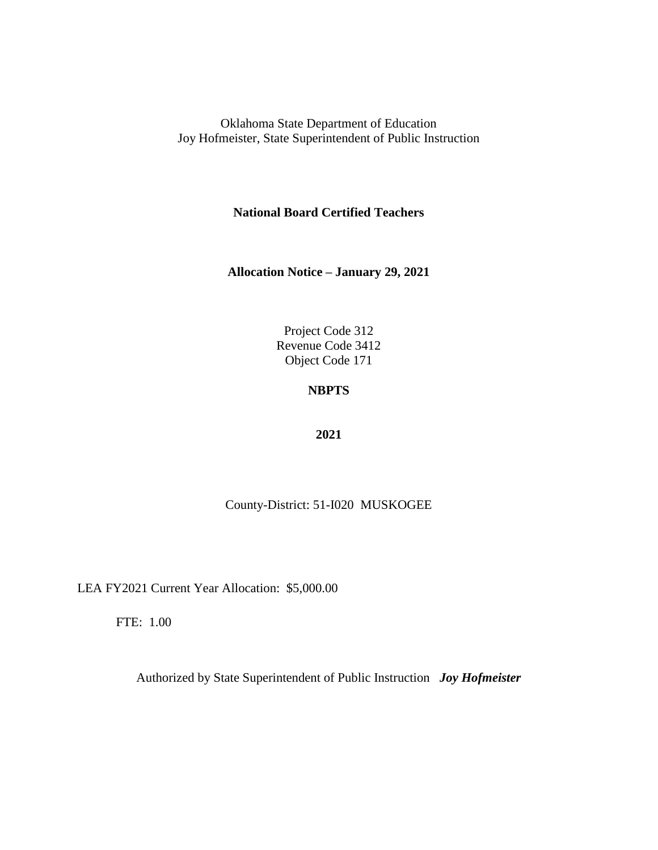**National Board Certified Teachers**

**Allocation Notice – January 29, 2021**

Project Code 312 Revenue Code 3412 Object Code 171

# **NBPTS**

### **2021**

County-District: 51-I020 MUSKOGEE

LEA FY2021 Current Year Allocation: \$5,000.00

FTE: 1.00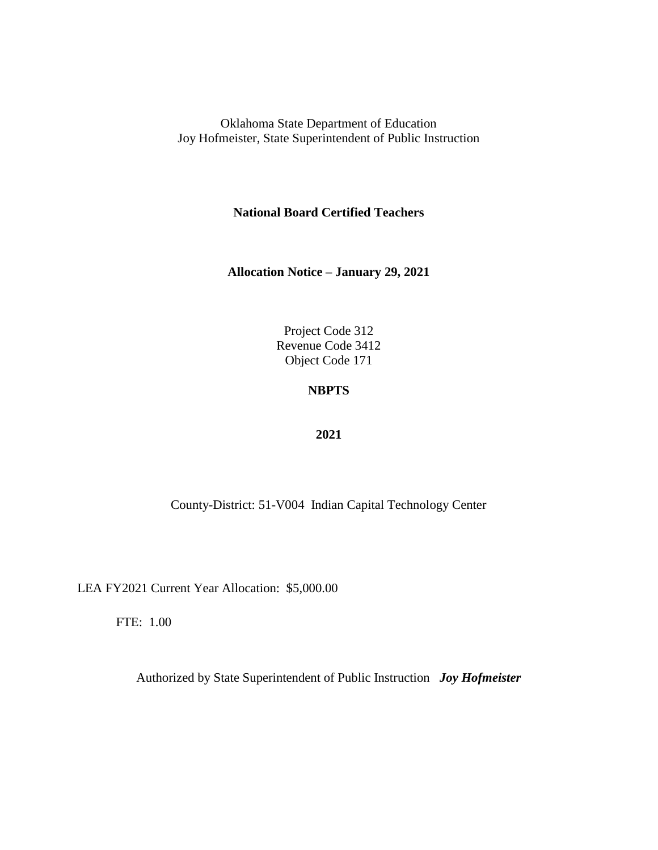**National Board Certified Teachers**

**Allocation Notice – January 29, 2021**

Project Code 312 Revenue Code 3412 Object Code 171

## **NBPTS**

### **2021**

County-District: 51-V004 Indian Capital Technology Center

LEA FY2021 Current Year Allocation: \$5,000.00

FTE: 1.00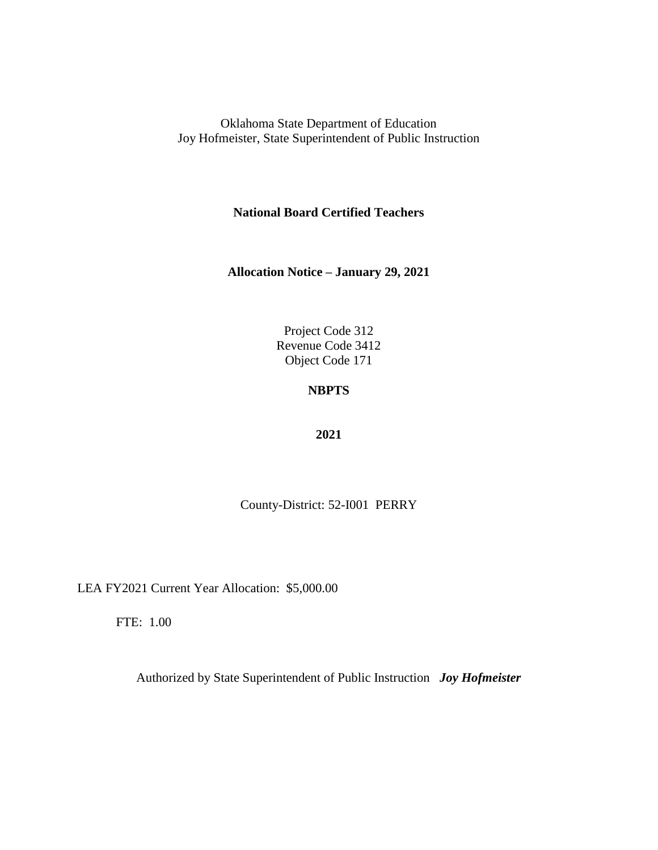**National Board Certified Teachers**

**Allocation Notice – January 29, 2021**

Project Code 312 Revenue Code 3412 Object Code 171

# **NBPTS**

#### **2021**

County-District: 52-I001 PERRY

LEA FY2021 Current Year Allocation: \$5,000.00

FTE: 1.00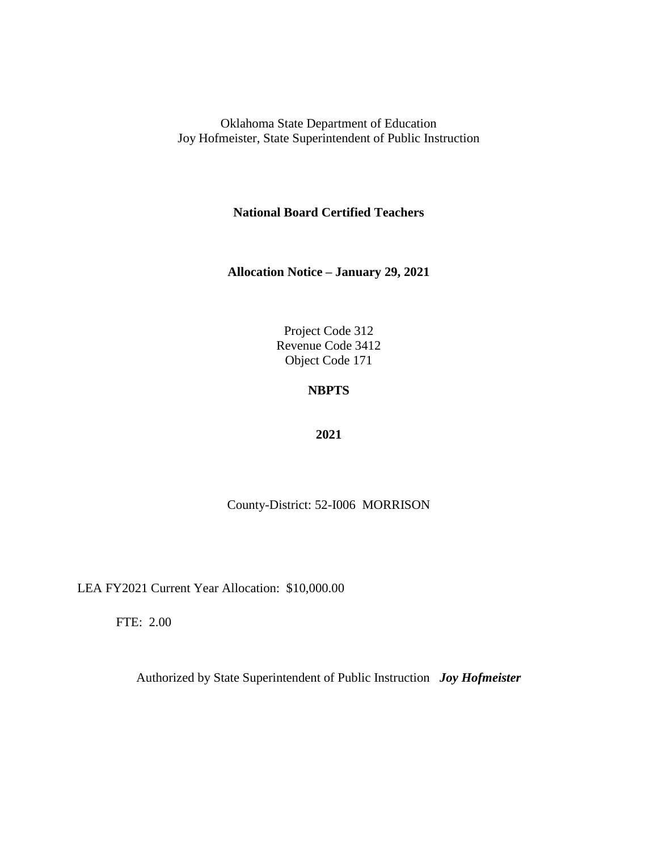**National Board Certified Teachers**

**Allocation Notice – January 29, 2021**

Project Code 312 Revenue Code 3412 Object Code 171

# **NBPTS**

#### **2021**

County-District: 52-I006 MORRISON

LEA FY2021 Current Year Allocation: \$10,000.00

FTE: 2.00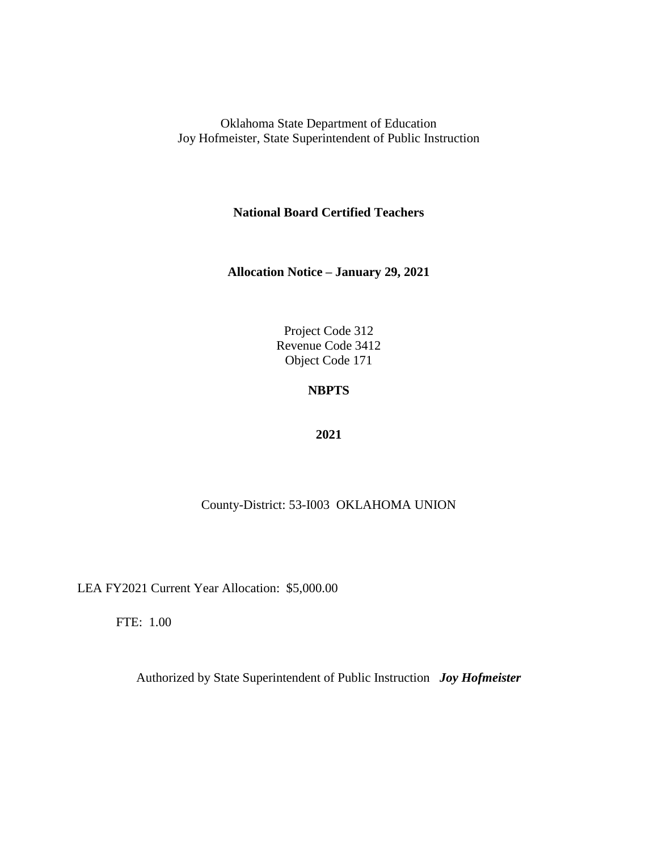**National Board Certified Teachers**

**Allocation Notice – January 29, 2021**

Project Code 312 Revenue Code 3412 Object Code 171

# **NBPTS**

#### **2021**

### County-District: 53-I003 OKLAHOMA UNION

LEA FY2021 Current Year Allocation: \$5,000.00

FTE: 1.00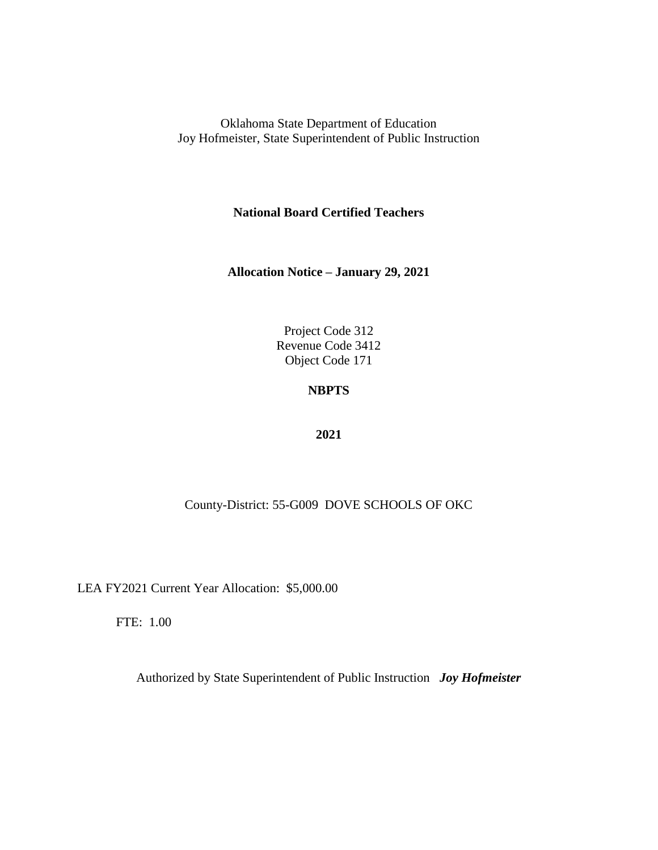**National Board Certified Teachers**

**Allocation Notice – January 29, 2021**

Project Code 312 Revenue Code 3412 Object Code 171

# **NBPTS**

#### **2021**

### County-District: 55-G009 DOVE SCHOOLS OF OKC

LEA FY2021 Current Year Allocation: \$5,000.00

FTE: 1.00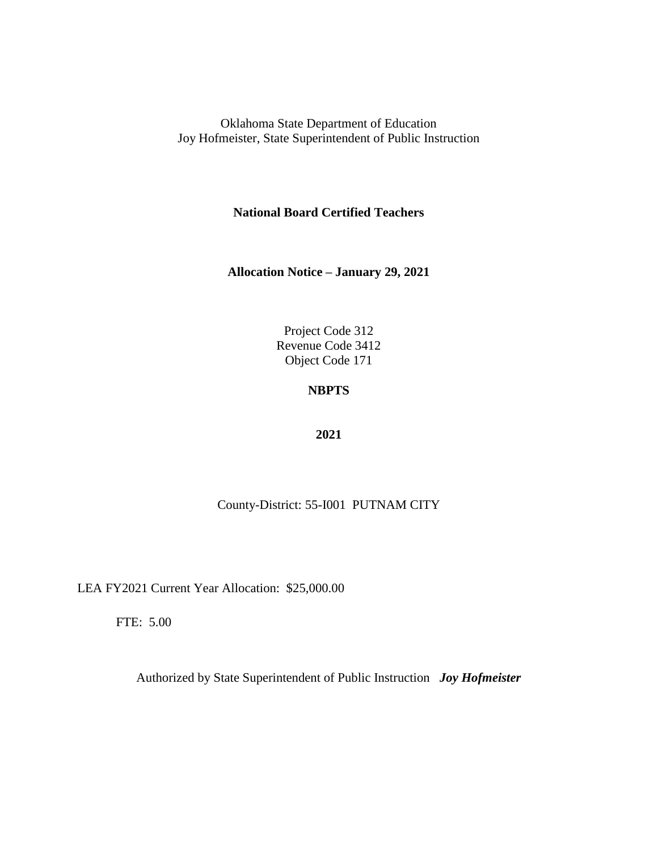**National Board Certified Teachers**

**Allocation Notice – January 29, 2021**

Project Code 312 Revenue Code 3412 Object Code 171

## **NBPTS**

#### **2021**

County-District: 55-I001 PUTNAM CITY

LEA FY2021 Current Year Allocation: \$25,000.00

FTE: 5.00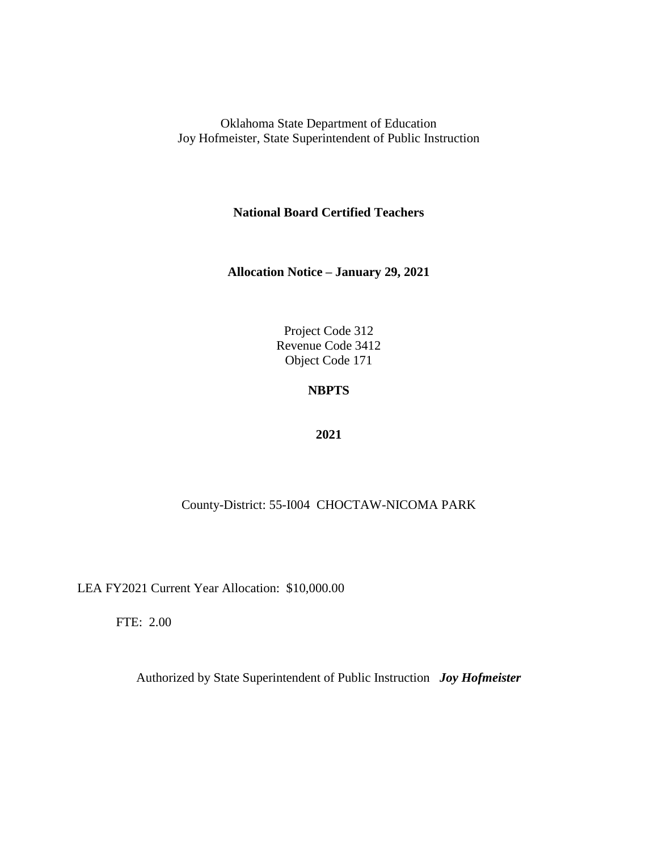**National Board Certified Teachers**

**Allocation Notice – January 29, 2021**

Project Code 312 Revenue Code 3412 Object Code 171

## **NBPTS**

#### **2021**

### County-District: 55-I004 CHOCTAW-NICOMA PARK

LEA FY2021 Current Year Allocation: \$10,000.00

FTE: 2.00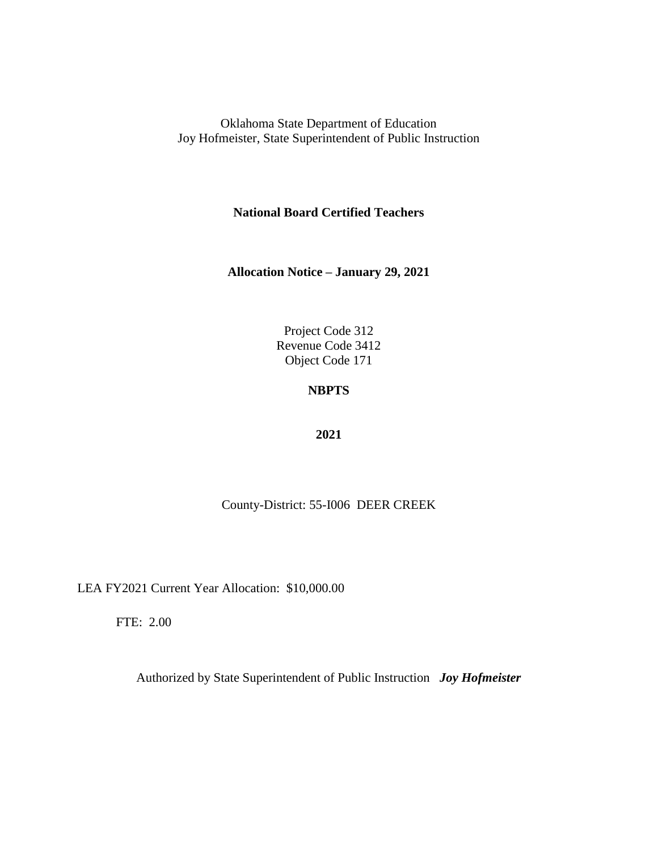**National Board Certified Teachers**

**Allocation Notice – January 29, 2021**

Project Code 312 Revenue Code 3412 Object Code 171

# **NBPTS**

#### **2021**

County-District: 55-I006 DEER CREEK

LEA FY2021 Current Year Allocation: \$10,000.00

FTE: 2.00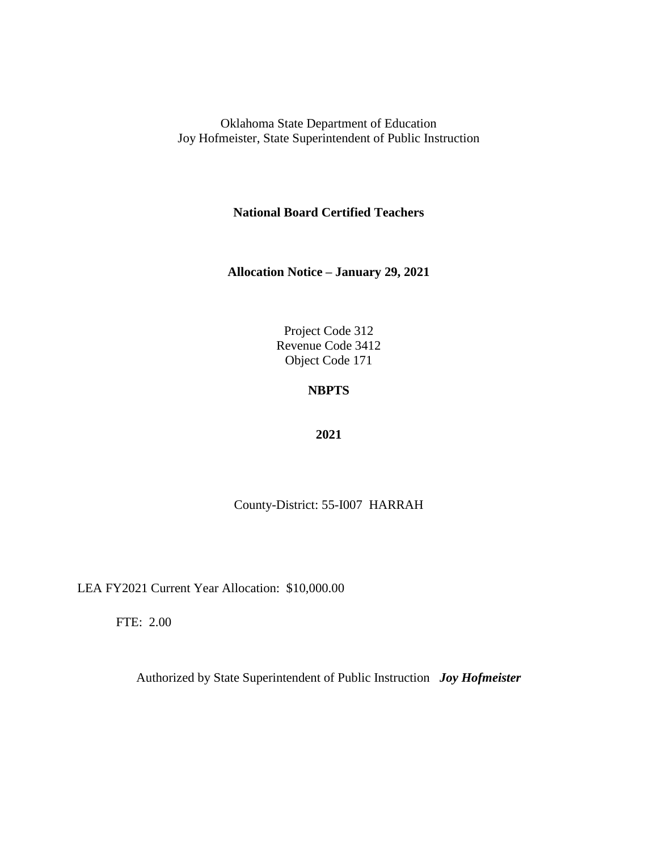**National Board Certified Teachers**

**Allocation Notice – January 29, 2021**

Project Code 312 Revenue Code 3412 Object Code 171

# **NBPTS**

#### **2021**

County-District: 55-I007 HARRAH

LEA FY2021 Current Year Allocation: \$10,000.00

FTE: 2.00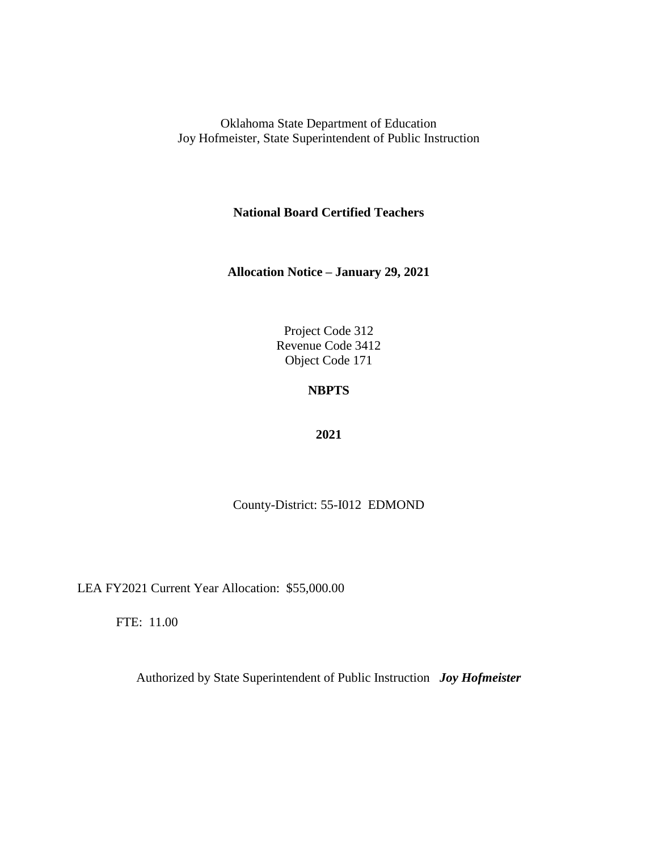**National Board Certified Teachers**

**Allocation Notice – January 29, 2021**

Project Code 312 Revenue Code 3412 Object Code 171

# **NBPTS**

#### **2021**

County-District: 55-I012 EDMOND

LEA FY2021 Current Year Allocation: \$55,000.00

FTE: 11.00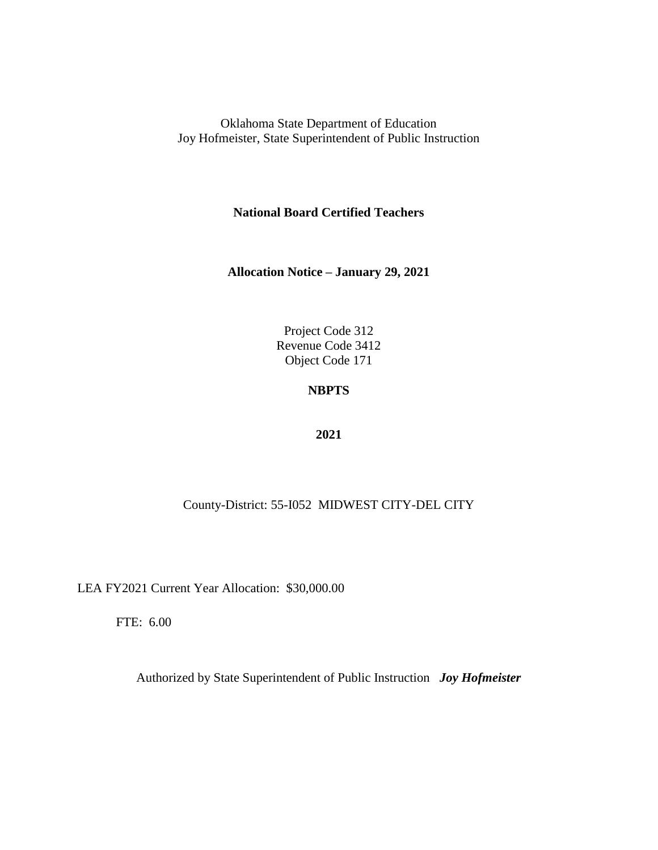**National Board Certified Teachers**

**Allocation Notice – January 29, 2021**

Project Code 312 Revenue Code 3412 Object Code 171

# **NBPTS**

#### **2021**

### County-District: 55-I052 MIDWEST CITY-DEL CITY

LEA FY2021 Current Year Allocation: \$30,000.00

FTE: 6.00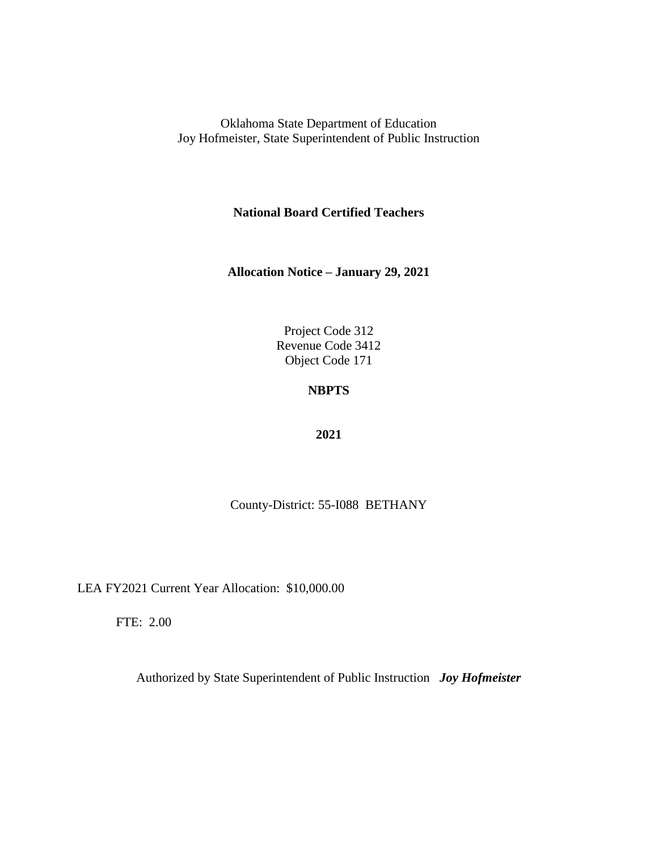**National Board Certified Teachers**

**Allocation Notice – January 29, 2021**

Project Code 312 Revenue Code 3412 Object Code 171

# **NBPTS**

#### **2021**

County-District: 55-I088 BETHANY

LEA FY2021 Current Year Allocation: \$10,000.00

FTE: 2.00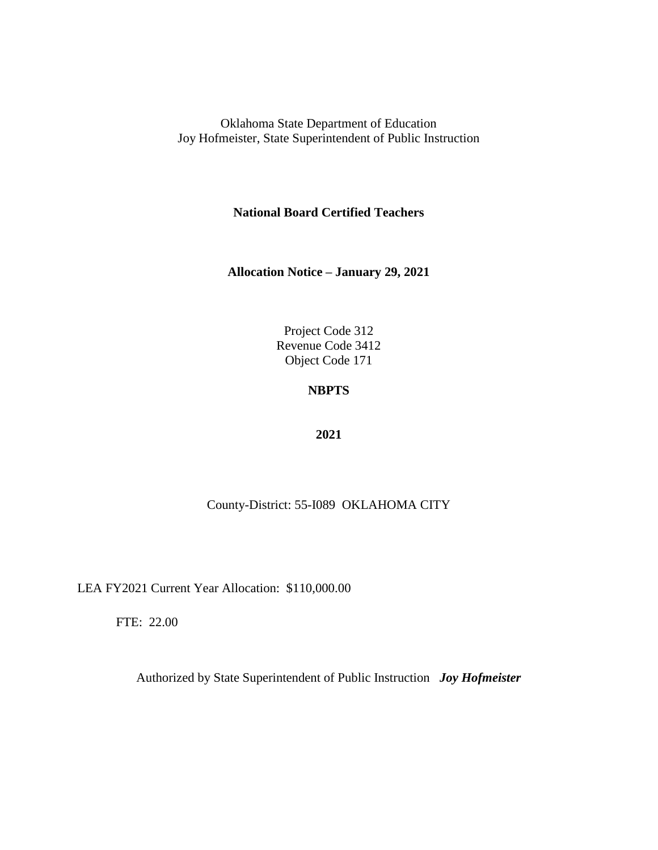**National Board Certified Teachers**

**Allocation Notice – January 29, 2021**

Project Code 312 Revenue Code 3412 Object Code 171

## **NBPTS**

#### **2021**

### County-District: 55-I089 OKLAHOMA CITY

LEA FY2021 Current Year Allocation: \$110,000.00

FTE: 22.00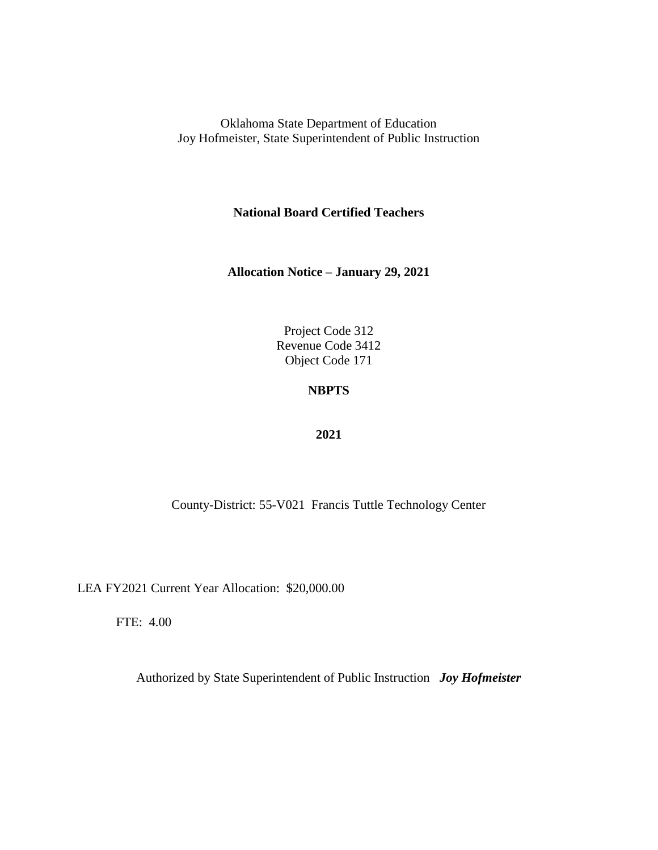**National Board Certified Teachers**

**Allocation Notice – January 29, 2021**

Project Code 312 Revenue Code 3412 Object Code 171

## **NBPTS**

#### **2021**

County-District: 55-V021 Francis Tuttle Technology Center

LEA FY2021 Current Year Allocation: \$20,000.00

FTE: 4.00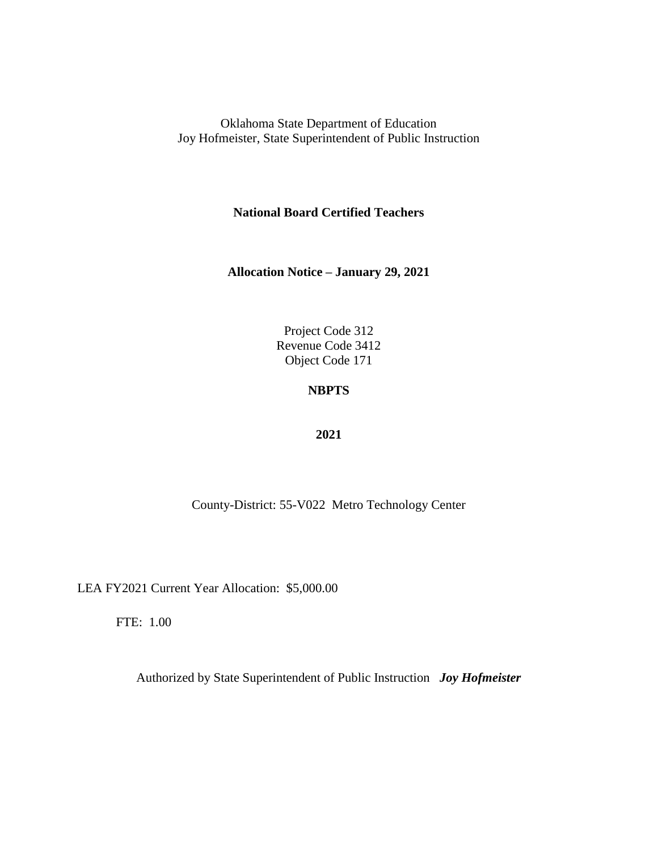**National Board Certified Teachers**

**Allocation Notice – January 29, 2021**

Project Code 312 Revenue Code 3412 Object Code 171

## **NBPTS**

#### **2021**

County-District: 55-V022 Metro Technology Center

LEA FY2021 Current Year Allocation: \$5,000.00

FTE: 1.00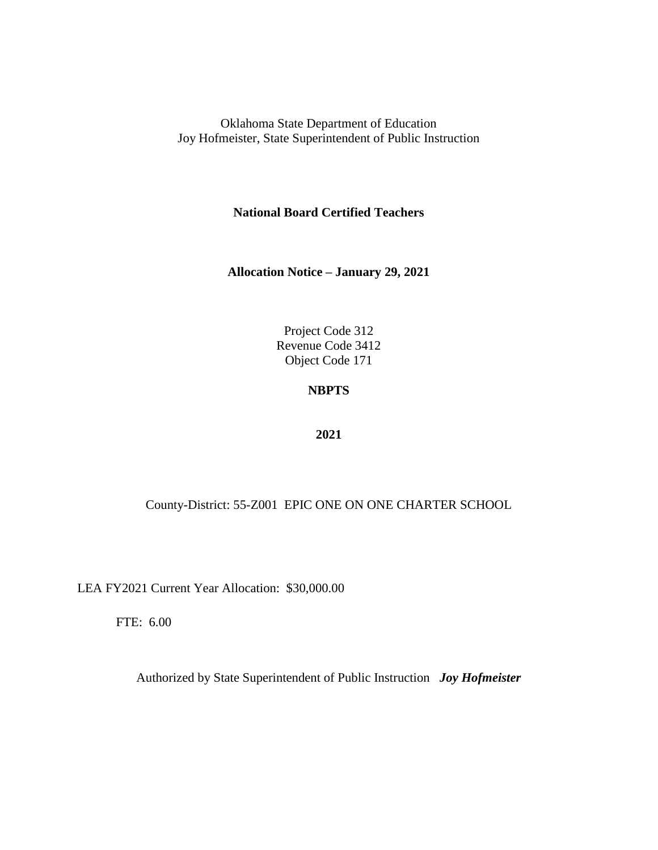**National Board Certified Teachers**

**Allocation Notice – January 29, 2021**

Project Code 312 Revenue Code 3412 Object Code 171

## **NBPTS**

#### **2021**

County-District: 55-Z001 EPIC ONE ON ONE CHARTER SCHOOL

LEA FY2021 Current Year Allocation: \$30,000.00

FTE: 6.00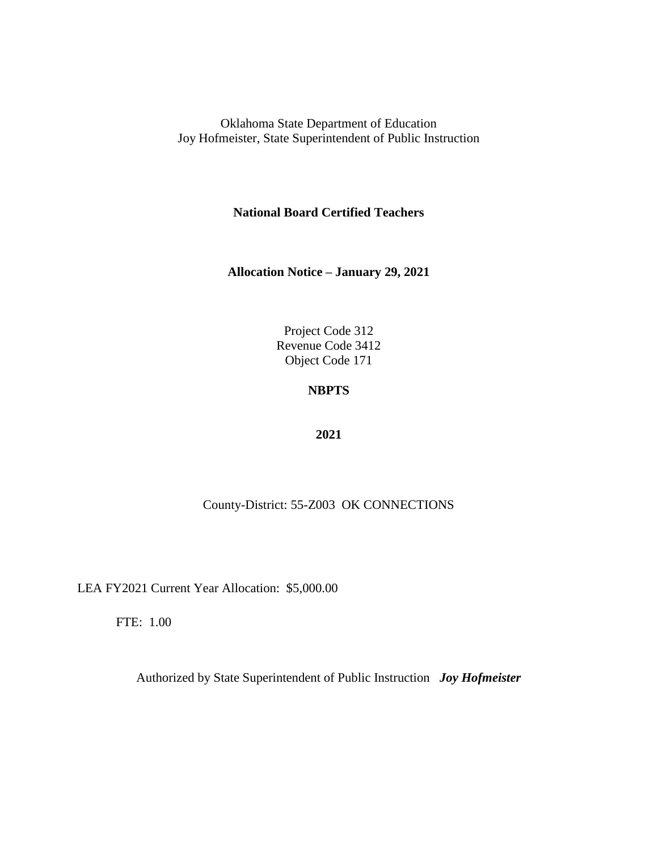**National Board Certified Teachers**

**Allocation Notice – January 29, 2021**

Project Code 312 Revenue Code 3412 Object Code 171

## **NBPTS**

#### **2021**

### County-District: 55-Z003 OK CONNECTIONS

LEA FY2021 Current Year Allocation: \$5,000.00

FTE: 1.00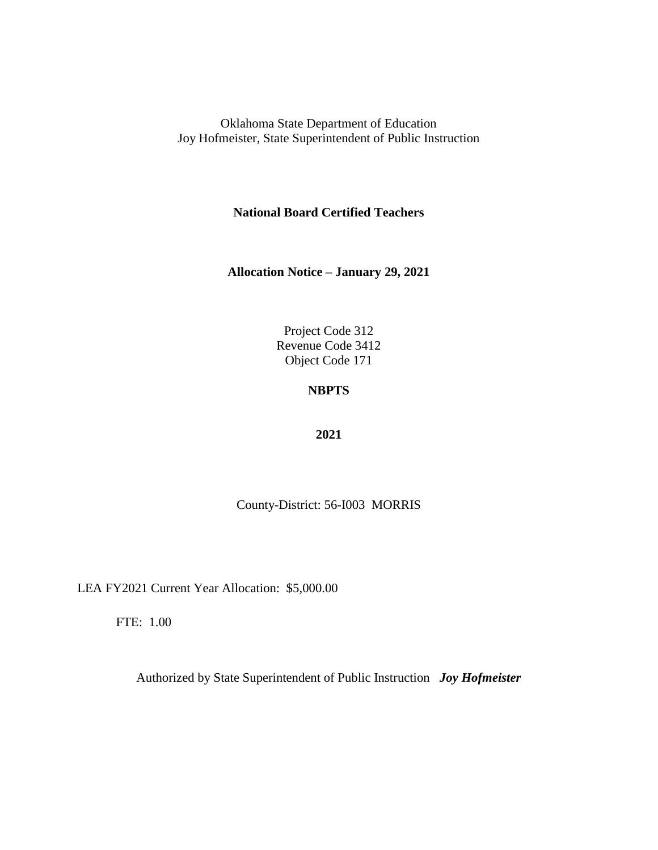**National Board Certified Teachers**

**Allocation Notice – January 29, 2021**

Project Code 312 Revenue Code 3412 Object Code 171

# **NBPTS**

#### **2021**

County-District: 56-I003 MORRIS

LEA FY2021 Current Year Allocation: \$5,000.00

FTE: 1.00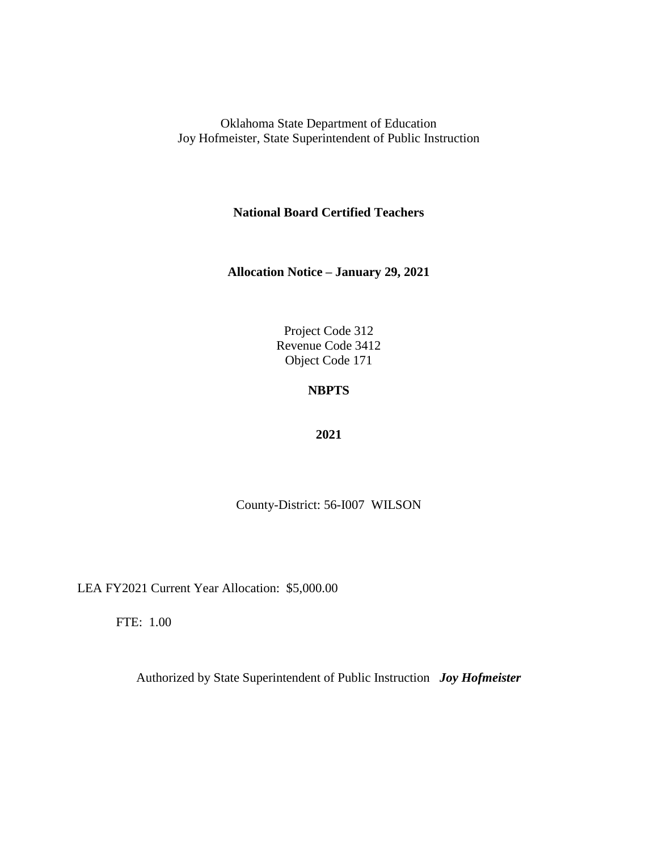**National Board Certified Teachers**

**Allocation Notice – January 29, 2021**

Project Code 312 Revenue Code 3412 Object Code 171

# **NBPTS**

#### **2021**

County-District: 56-I007 WILSON

LEA FY2021 Current Year Allocation: \$5,000.00

FTE: 1.00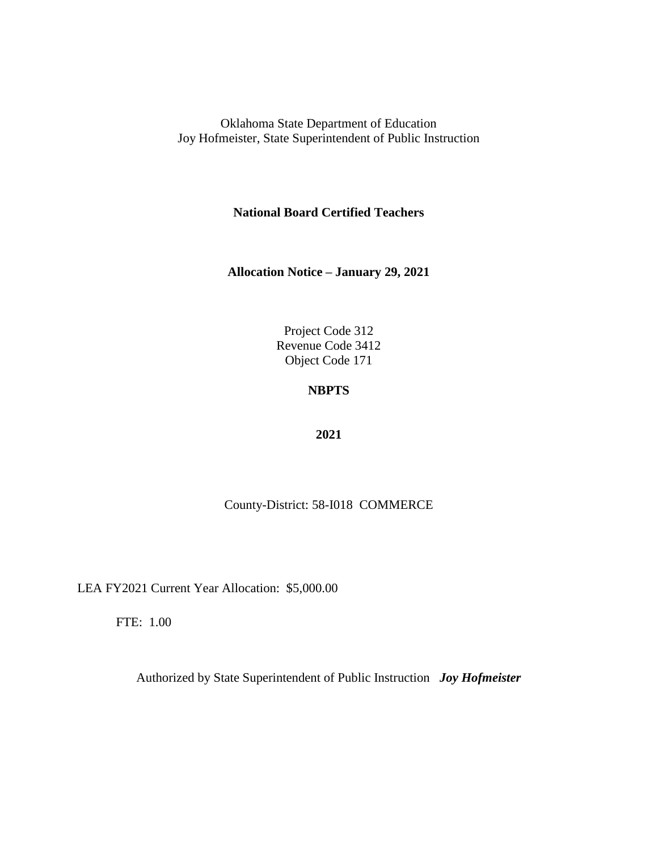**National Board Certified Teachers**

**Allocation Notice – January 29, 2021**

Project Code 312 Revenue Code 3412 Object Code 171

# **NBPTS**

#### **2021**

### County-District: 58-I018 COMMERCE

LEA FY2021 Current Year Allocation: \$5,000.00

FTE: 1.00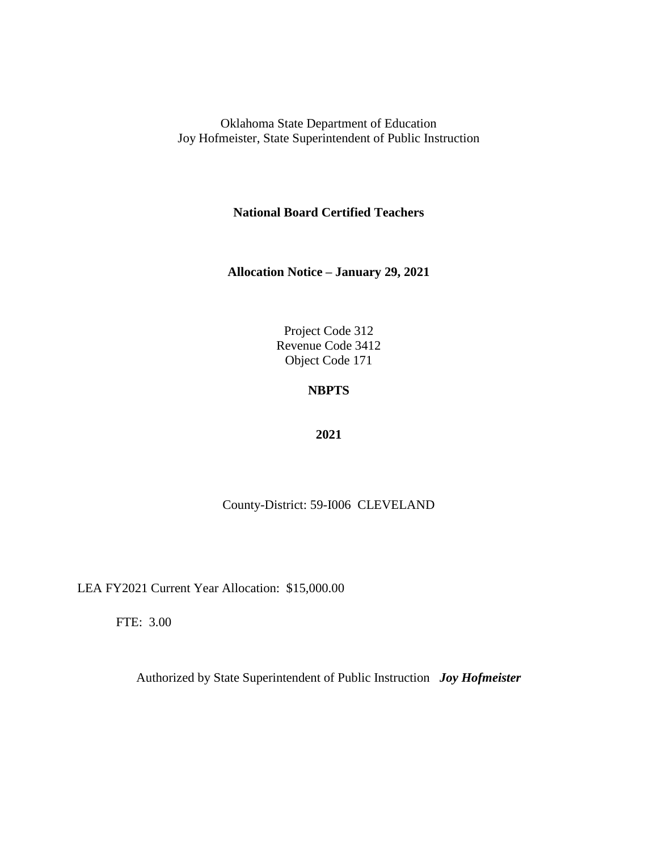**National Board Certified Teachers**

**Allocation Notice – January 29, 2021**

Project Code 312 Revenue Code 3412 Object Code 171

# **NBPTS**

#### **2021**

County-District: 59-I006 CLEVELAND

LEA FY2021 Current Year Allocation: \$15,000.00

FTE: 3.00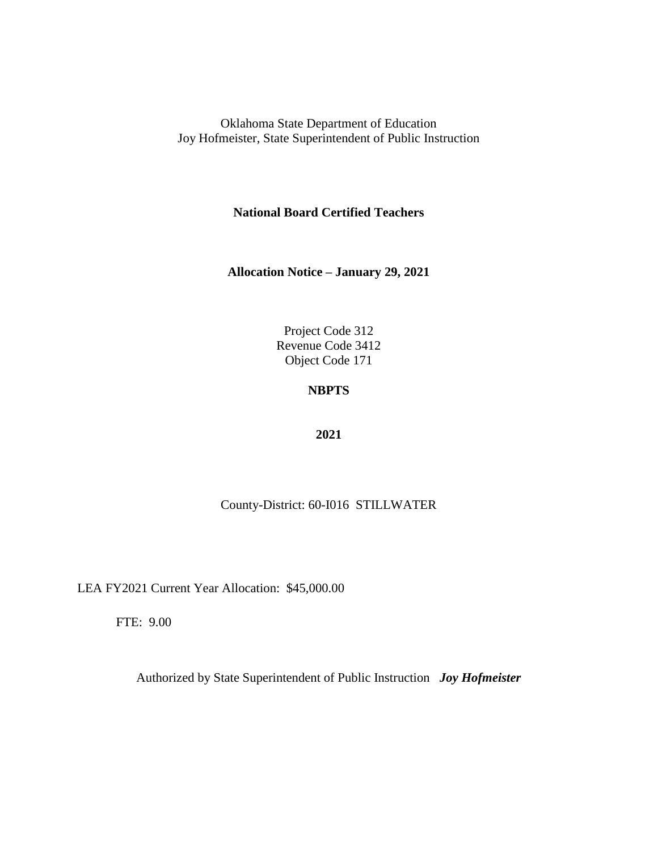**National Board Certified Teachers**

**Allocation Notice – January 29, 2021**

Project Code 312 Revenue Code 3412 Object Code 171

## **NBPTS**

#### **2021**

### County-District: 60-I016 STILLWATER

LEA FY2021 Current Year Allocation: \$45,000.00

FTE: 9.00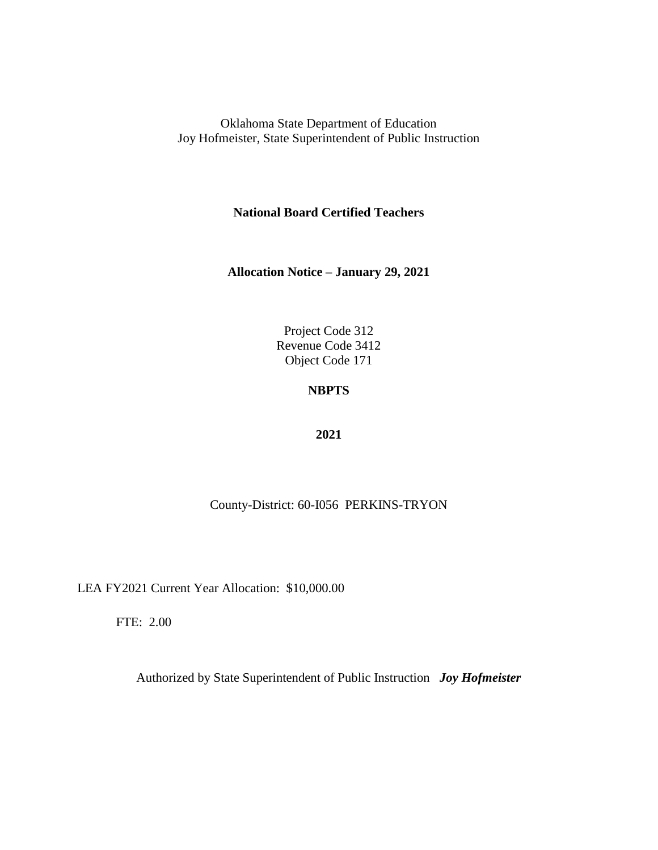**National Board Certified Teachers**

**Allocation Notice – January 29, 2021**

Project Code 312 Revenue Code 3412 Object Code 171

## **NBPTS**

#### **2021**

### County-District: 60-I056 PERKINS-TRYON

LEA FY2021 Current Year Allocation: \$10,000.00

FTE: 2.00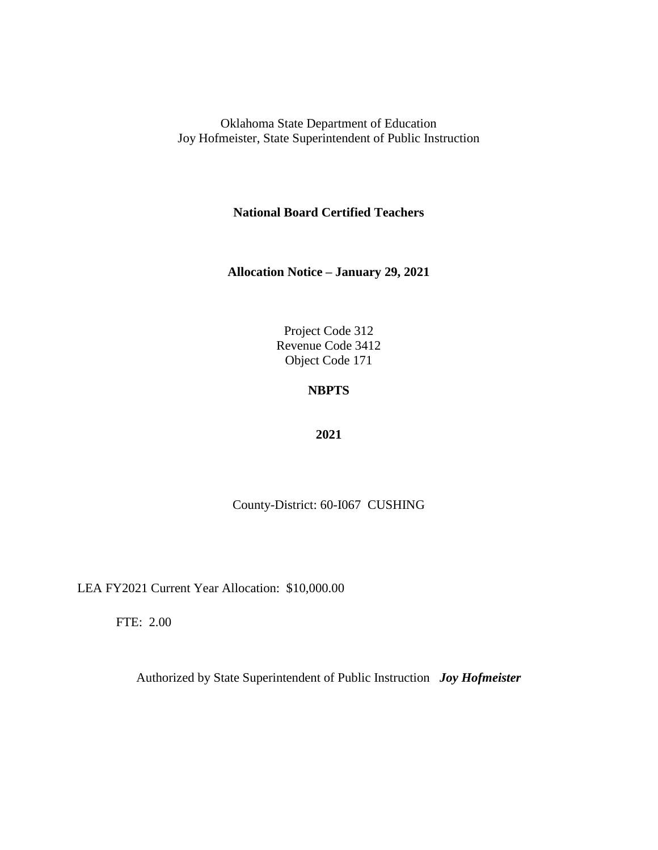**National Board Certified Teachers**

**Allocation Notice – January 29, 2021**

Project Code 312 Revenue Code 3412 Object Code 171

# **NBPTS**

#### **2021**

County-District: 60-I067 CUSHING

LEA FY2021 Current Year Allocation: \$10,000.00

FTE: 2.00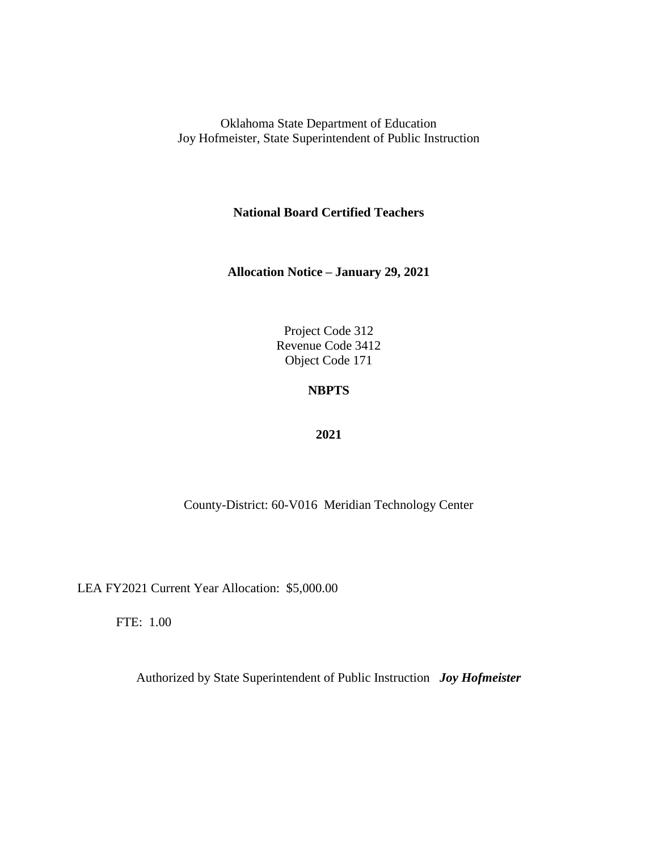**National Board Certified Teachers**

**Allocation Notice – January 29, 2021**

Project Code 312 Revenue Code 3412 Object Code 171

## **NBPTS**

#### **2021**

County-District: 60-V016 Meridian Technology Center

LEA FY2021 Current Year Allocation: \$5,000.00

FTE: 1.00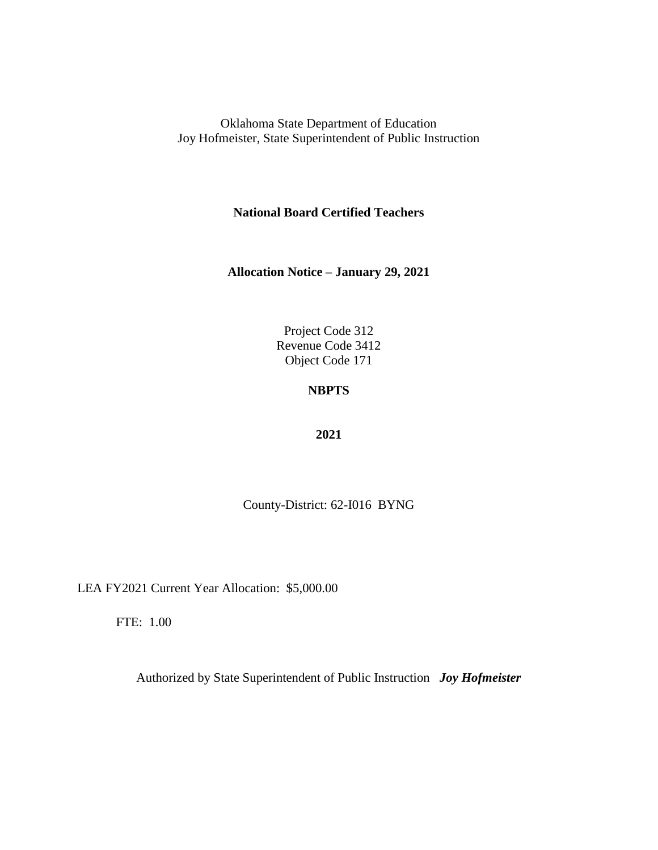**National Board Certified Teachers**

**Allocation Notice – January 29, 2021**

Project Code 312 Revenue Code 3412 Object Code 171

# **NBPTS**

#### **2021**

County-District: 62-I016 BYNG

LEA FY2021 Current Year Allocation: \$5,000.00

FTE: 1.00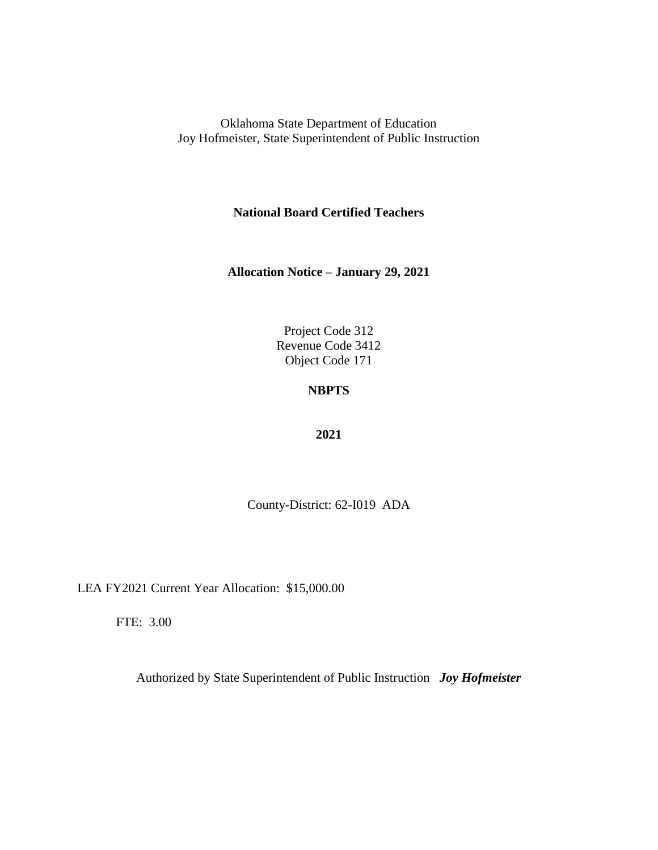**National Board Certified Teachers**

**Allocation Notice – January 29, 2021**

Project Code 312 Revenue Code 3412 Object Code 171

# **NBPTS**

#### **2021**

County-District: 62-I019 ADA

LEA FY2021 Current Year Allocation: \$15,000.00

FTE: 3.00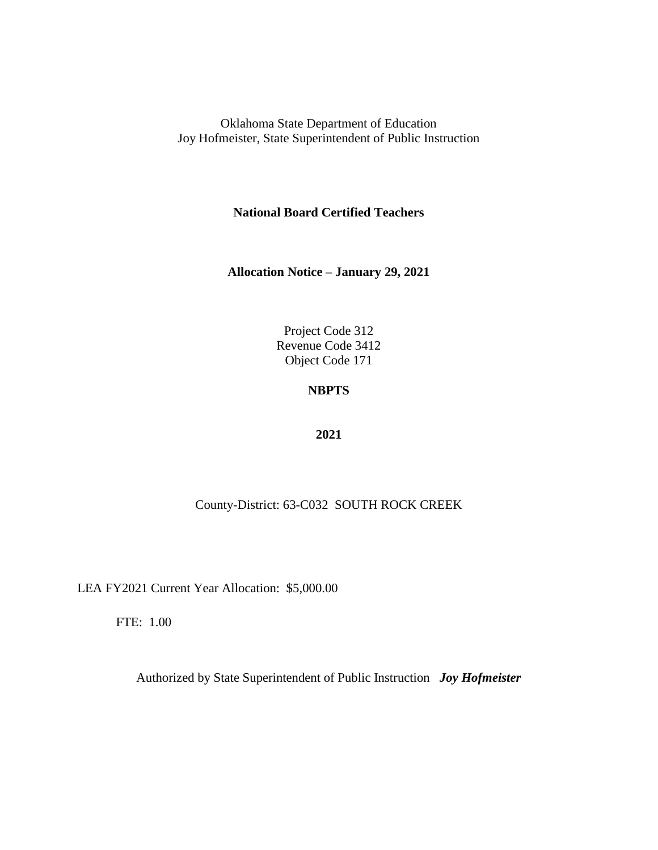**National Board Certified Teachers**

**Allocation Notice – January 29, 2021**

Project Code 312 Revenue Code 3412 Object Code 171

## **NBPTS**

#### **2021**

### County-District: 63-C032 SOUTH ROCK CREEK

LEA FY2021 Current Year Allocation: \$5,000.00

FTE: 1.00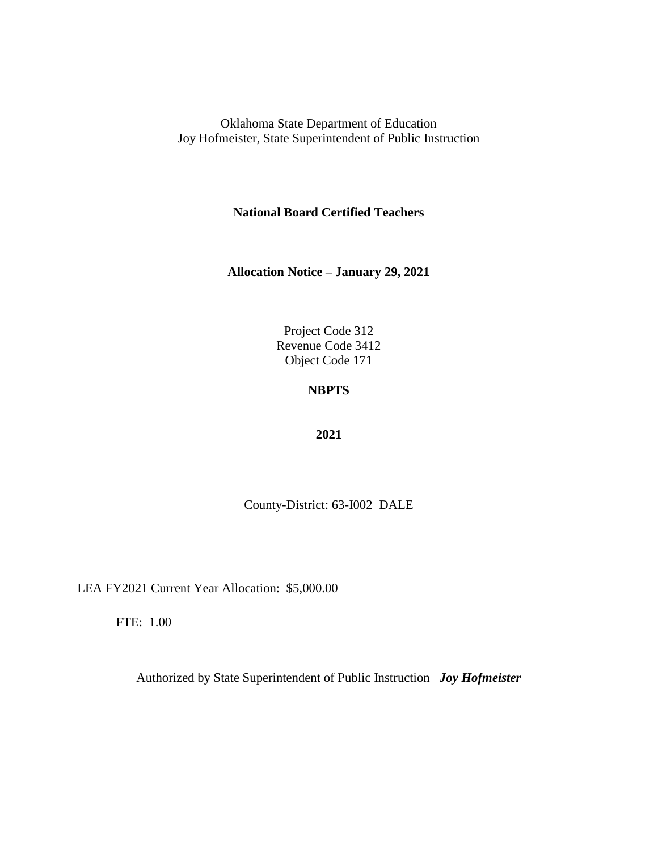**National Board Certified Teachers**

**Allocation Notice – January 29, 2021**

Project Code 312 Revenue Code 3412 Object Code 171

## **NBPTS**

#### **2021**

County-District: 63-I002 DALE

LEA FY2021 Current Year Allocation: \$5,000.00

FTE: 1.00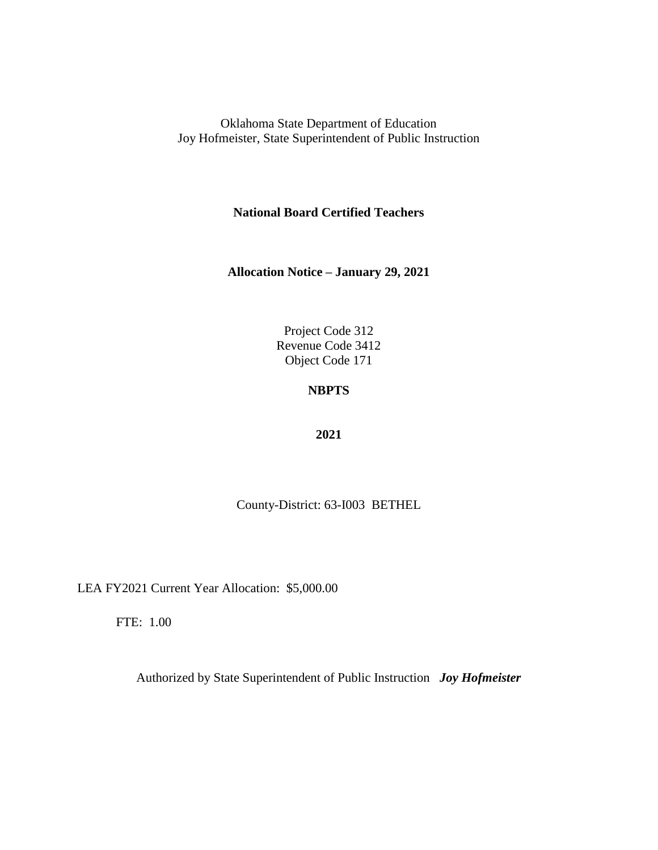**National Board Certified Teachers**

**Allocation Notice – January 29, 2021**

Project Code 312 Revenue Code 3412 Object Code 171

# **NBPTS**

#### **2021**

County-District: 63-I003 BETHEL

LEA FY2021 Current Year Allocation: \$5,000.00

FTE: 1.00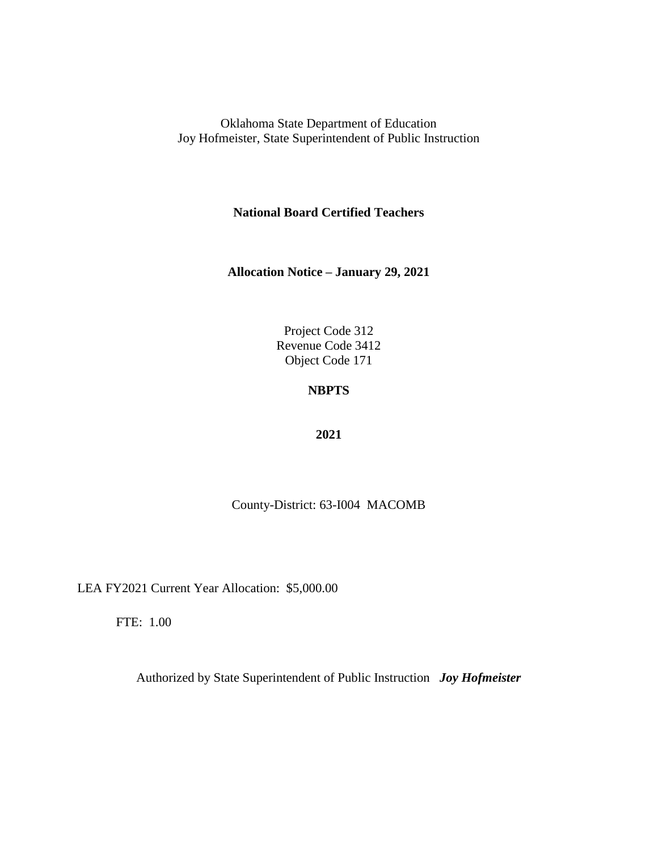**National Board Certified Teachers**

**Allocation Notice – January 29, 2021**

Project Code 312 Revenue Code 3412 Object Code 171

# **NBPTS**

#### **2021**

County-District: 63-I004 MACOMB

LEA FY2021 Current Year Allocation: \$5,000.00

FTE: 1.00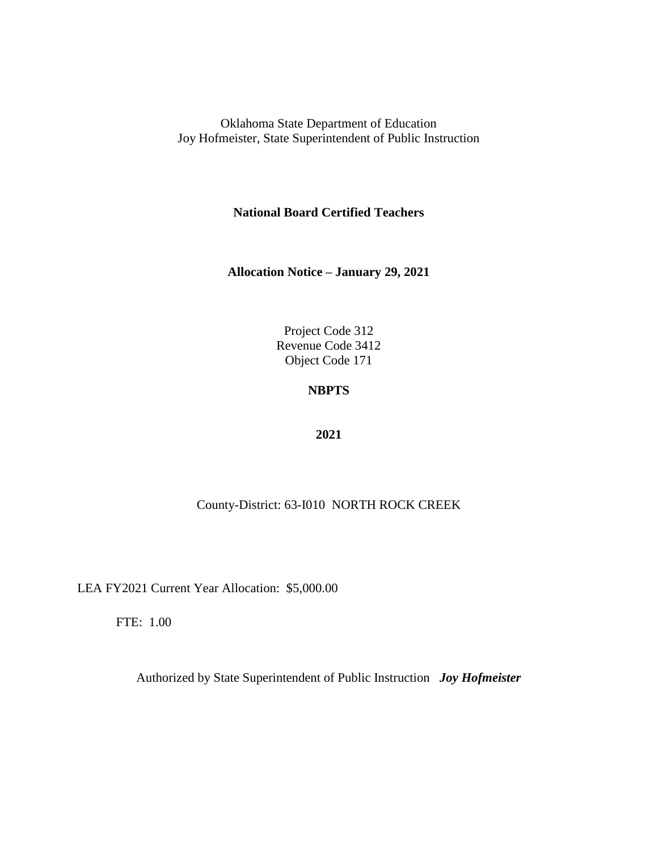**National Board Certified Teachers**

**Allocation Notice – January 29, 2021**

Project Code 312 Revenue Code 3412 Object Code 171

## **NBPTS**

#### **2021**

### County-District: 63-I010 NORTH ROCK CREEK

LEA FY2021 Current Year Allocation: \$5,000.00

FTE: 1.00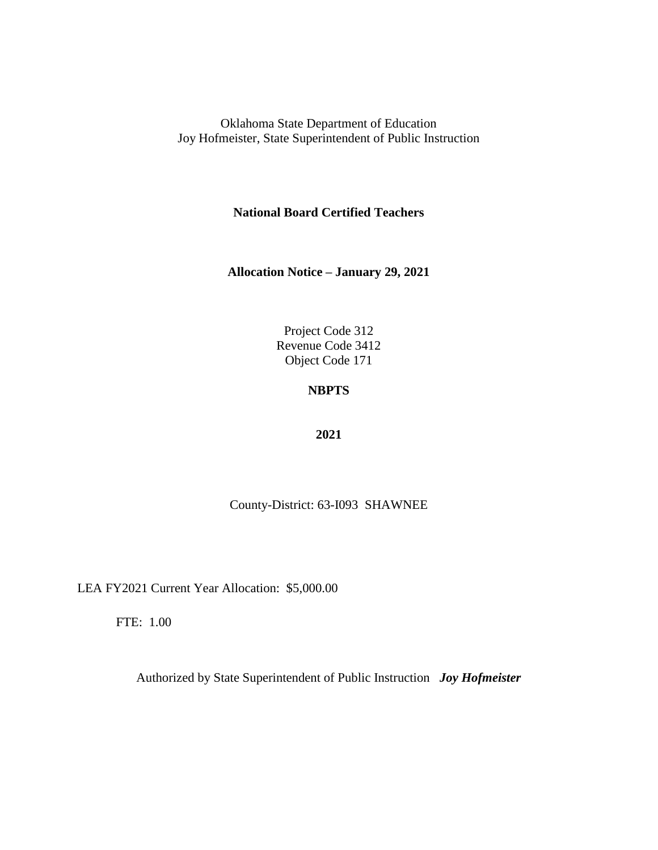**National Board Certified Teachers**

**Allocation Notice – January 29, 2021**

Project Code 312 Revenue Code 3412 Object Code 171

# **NBPTS**

#### **2021**

County-District: 63-I093 SHAWNEE

LEA FY2021 Current Year Allocation: \$5,000.00

FTE: 1.00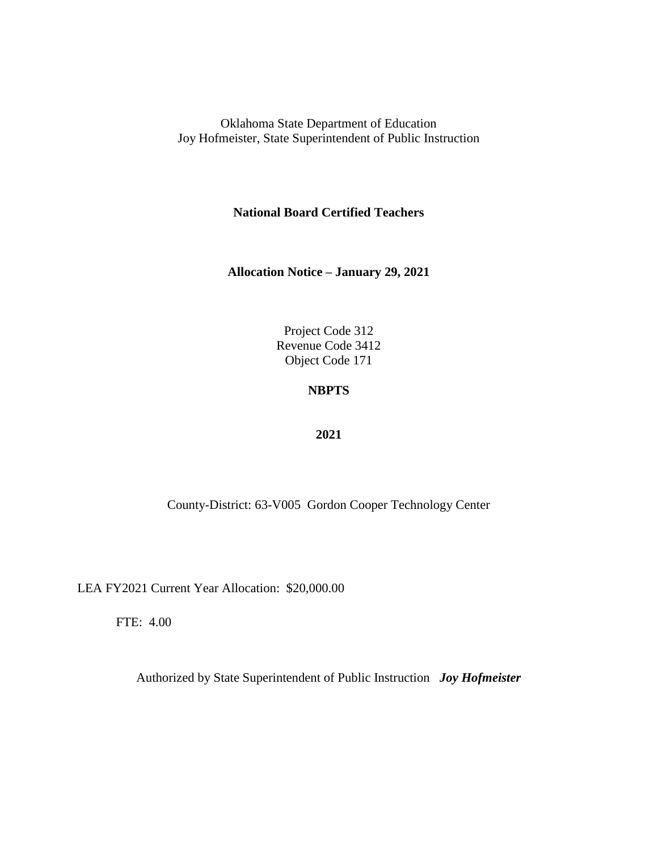**National Board Certified Teachers**

**Allocation Notice – January 29, 2021**

Project Code 312 Revenue Code 3412 Object Code 171

## **NBPTS**

#### **2021**

County-District: 63-V005 Gordon Cooper Technology Center

LEA FY2021 Current Year Allocation: \$20,000.00

FTE: 4.00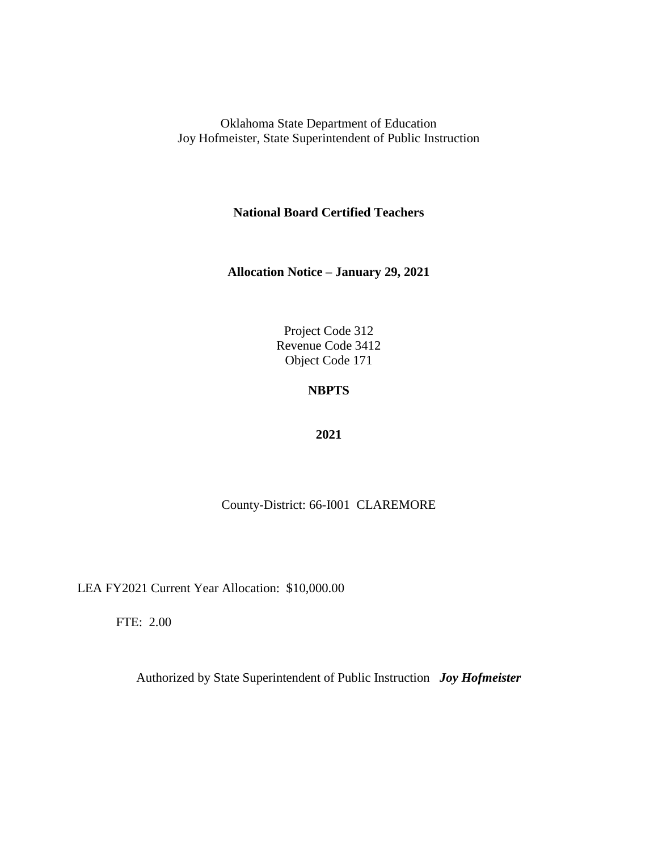**National Board Certified Teachers**

**Allocation Notice – January 29, 2021**

Project Code 312 Revenue Code 3412 Object Code 171

# **NBPTS**

#### **2021**

County-District: 66-I001 CLAREMORE

LEA FY2021 Current Year Allocation: \$10,000.00

FTE: 2.00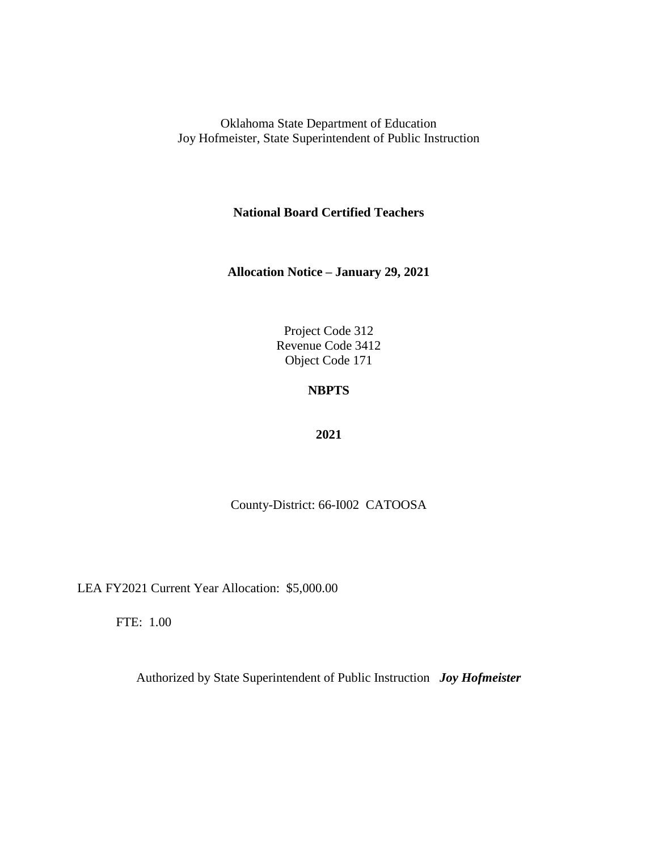**National Board Certified Teachers**

**Allocation Notice – January 29, 2021**

Project Code 312 Revenue Code 3412 Object Code 171

# **NBPTS**

#### **2021**

County-District: 66-I002 CATOOSA

LEA FY2021 Current Year Allocation: \$5,000.00

FTE: 1.00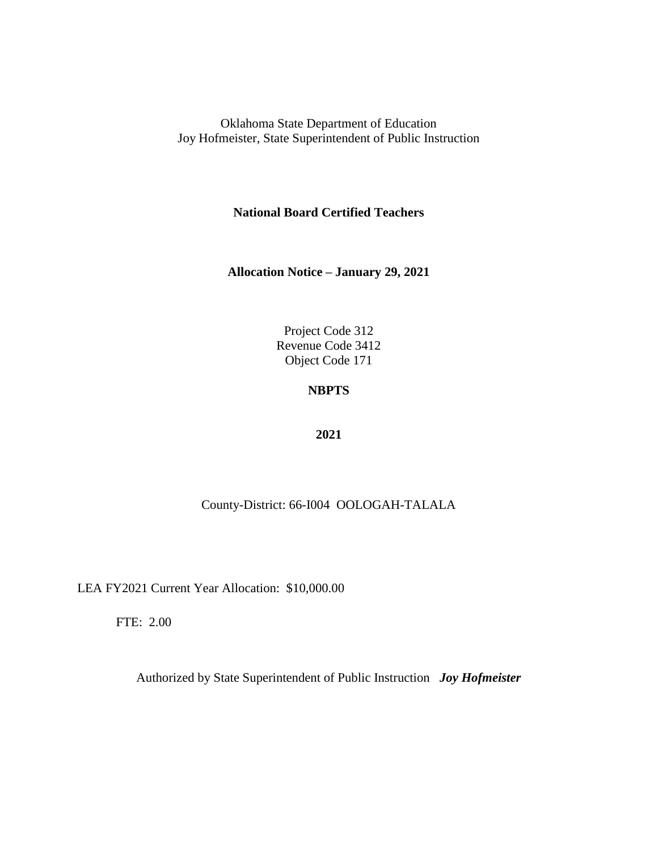**National Board Certified Teachers**

**Allocation Notice – January 29, 2021**

Project Code 312 Revenue Code 3412 Object Code 171

# **NBPTS**

#### **2021**

### County-District: 66-I004 OOLOGAH-TALALA

LEA FY2021 Current Year Allocation: \$10,000.00

FTE: 2.00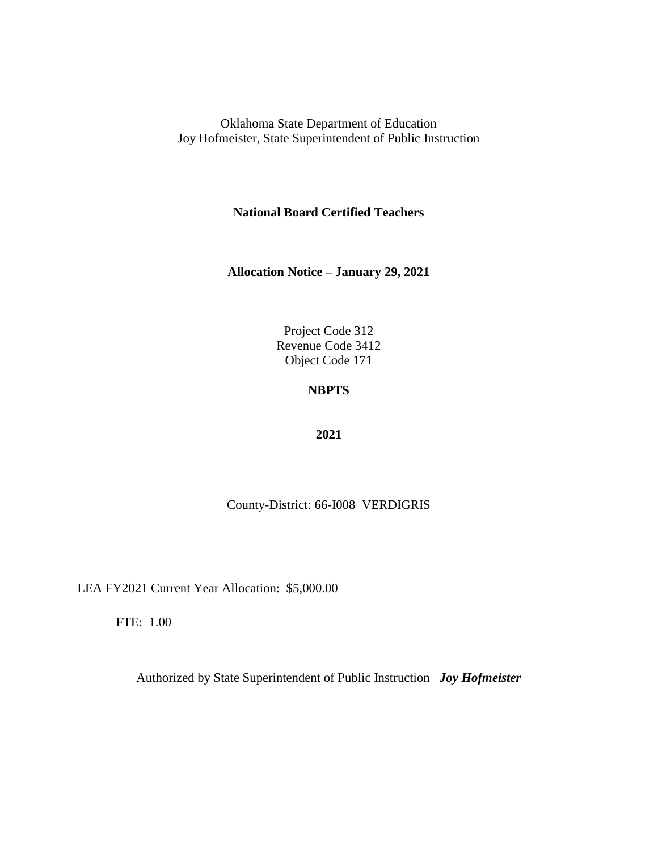**National Board Certified Teachers**

**Allocation Notice – January 29, 2021**

Project Code 312 Revenue Code 3412 Object Code 171

# **NBPTS**

### **2021**

County-District: 66-I008 VERDIGRIS

LEA FY2021 Current Year Allocation: \$5,000.00

FTE: 1.00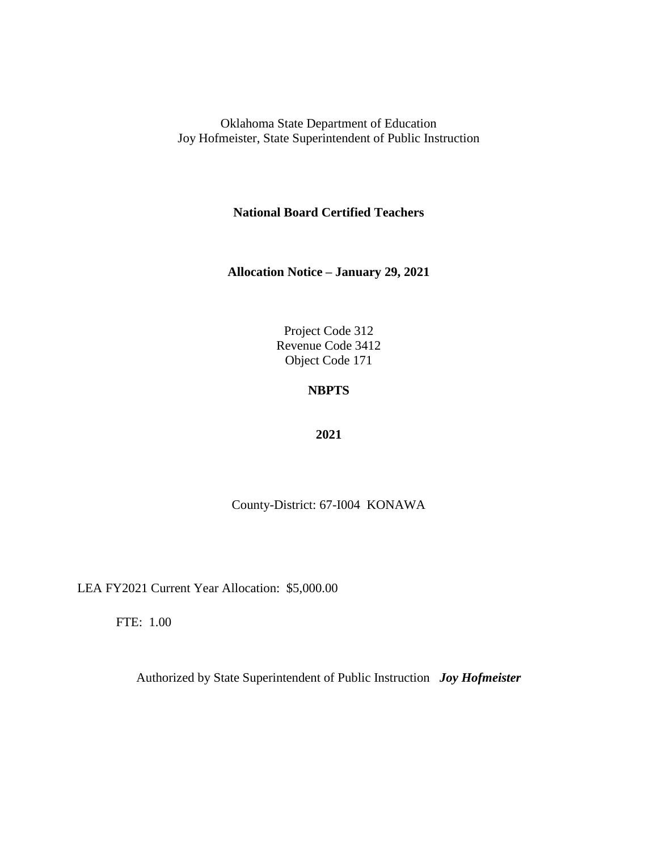**National Board Certified Teachers**

**Allocation Notice – January 29, 2021**

Project Code 312 Revenue Code 3412 Object Code 171

## **NBPTS**

### **2021**

County-District: 67-I004 KONAWA

LEA FY2021 Current Year Allocation: \$5,000.00

FTE: 1.00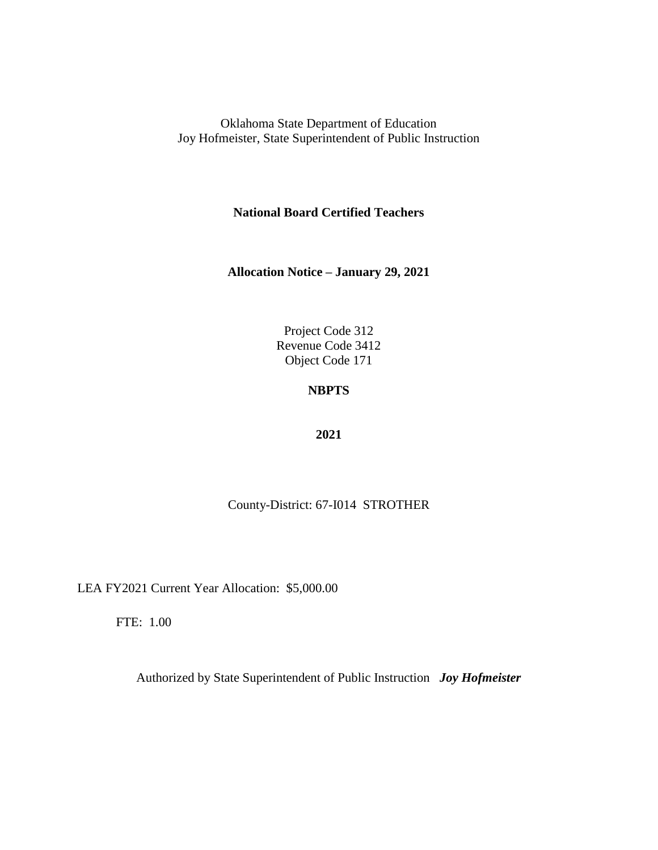**National Board Certified Teachers**

**Allocation Notice – January 29, 2021**

Project Code 312 Revenue Code 3412 Object Code 171

## **NBPTS**

### **2021**

County-District: 67-I014 STROTHER

LEA FY2021 Current Year Allocation: \$5,000.00

FTE: 1.00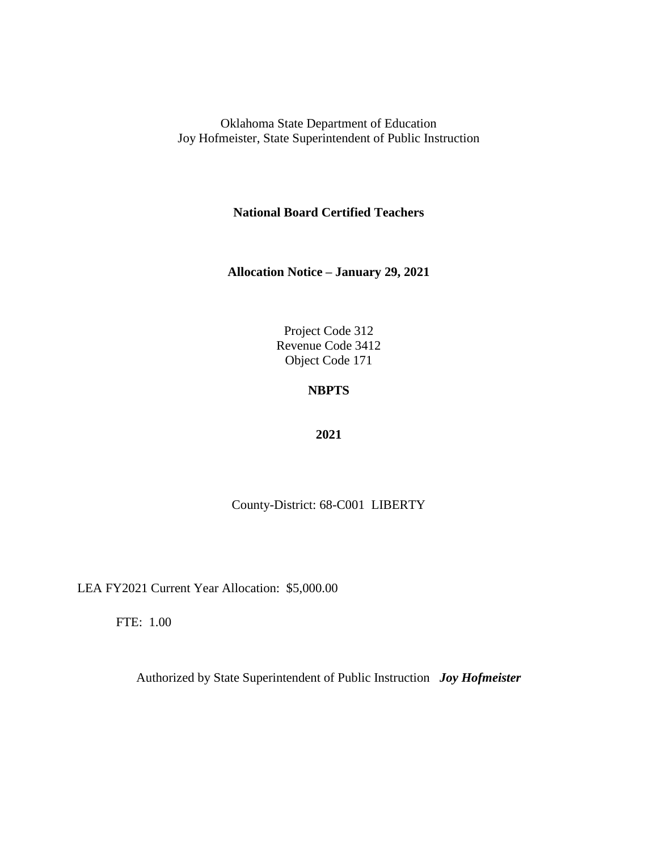**National Board Certified Teachers**

**Allocation Notice – January 29, 2021**

Project Code 312 Revenue Code 3412 Object Code 171

## **NBPTS**

### **2021**

County-District: 68-C001 LIBERTY

LEA FY2021 Current Year Allocation: \$5,000.00

FTE: 1.00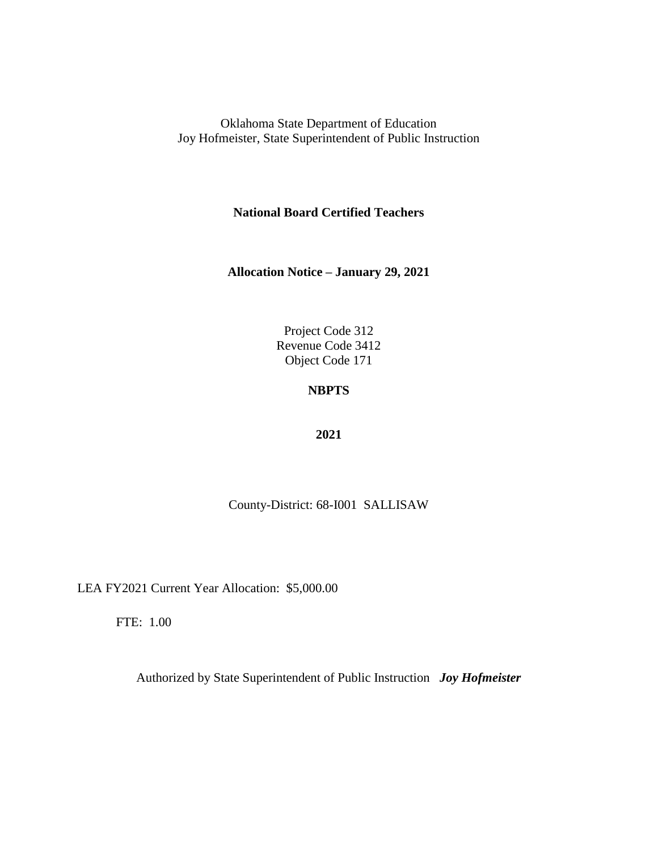**National Board Certified Teachers**

**Allocation Notice – January 29, 2021**

Project Code 312 Revenue Code 3412 Object Code 171

## **NBPTS**

### **2021**

County-District: 68-I001 SALLISAW

LEA FY2021 Current Year Allocation: \$5,000.00

FTE: 1.00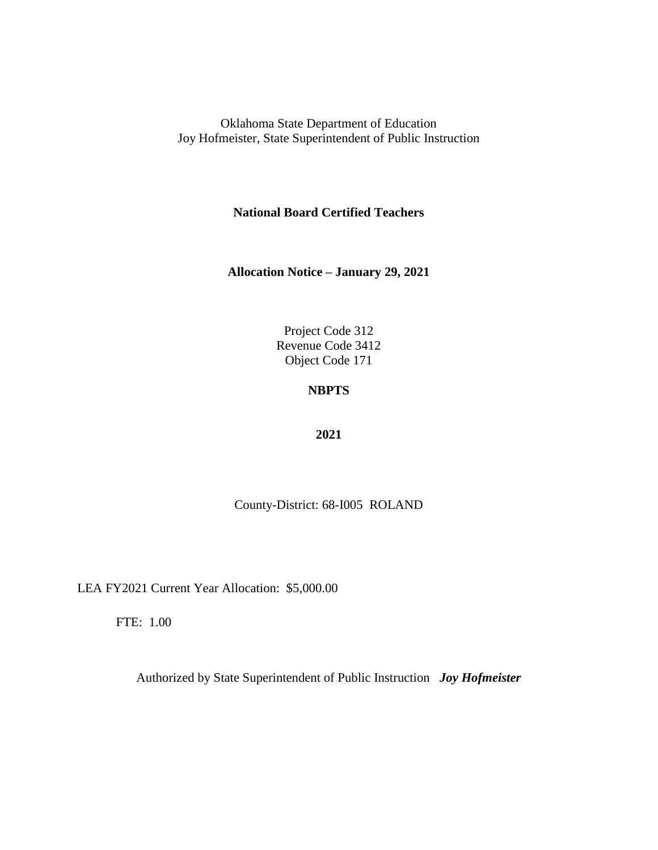**National Board Certified Teachers**

**Allocation Notice – January 29, 2021**

Project Code 312 Revenue Code 3412 Object Code 171

# **NBPTS**

### **2021**

County-District: 68-I005 ROLAND

LEA FY2021 Current Year Allocation: \$5,000.00

FTE: 1.00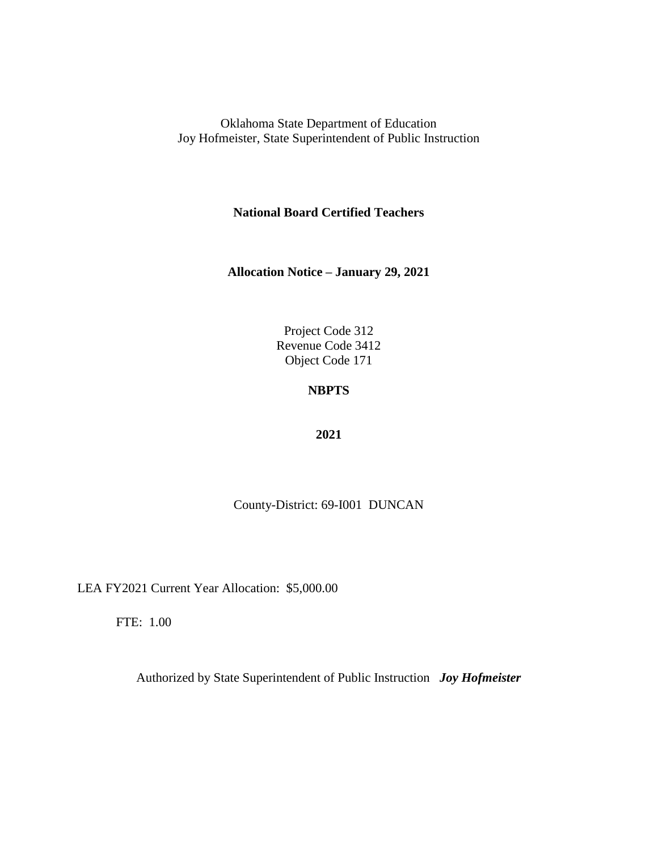**National Board Certified Teachers**

**Allocation Notice – January 29, 2021**

Project Code 312 Revenue Code 3412 Object Code 171

## **NBPTS**

### **2021**

County-District: 69-I001 DUNCAN

LEA FY2021 Current Year Allocation: \$5,000.00

FTE: 1.00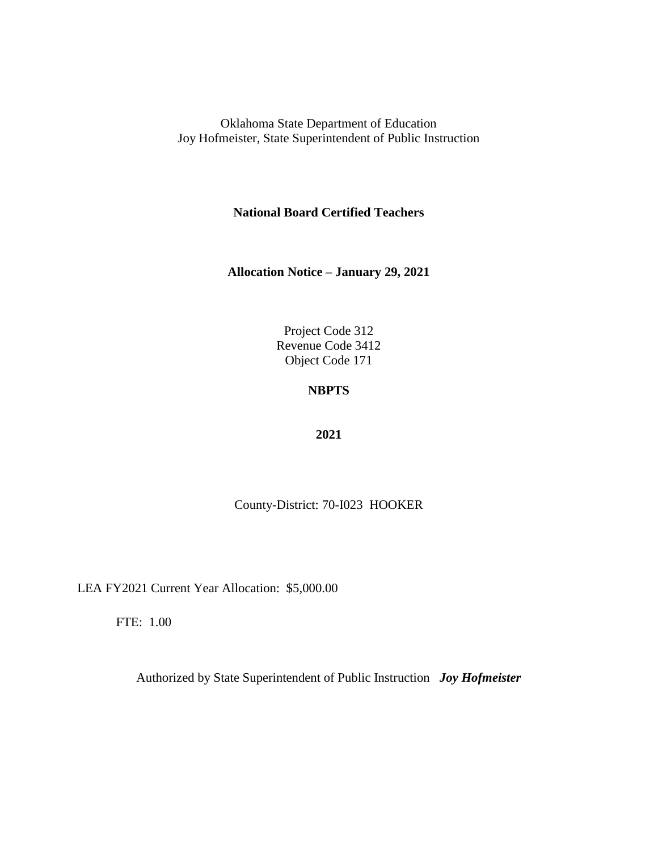**National Board Certified Teachers**

**Allocation Notice – January 29, 2021**

Project Code 312 Revenue Code 3412 Object Code 171

## **NBPTS**

### **2021**

County-District: 70-I023 HOOKER

LEA FY2021 Current Year Allocation: \$5,000.00

FTE: 1.00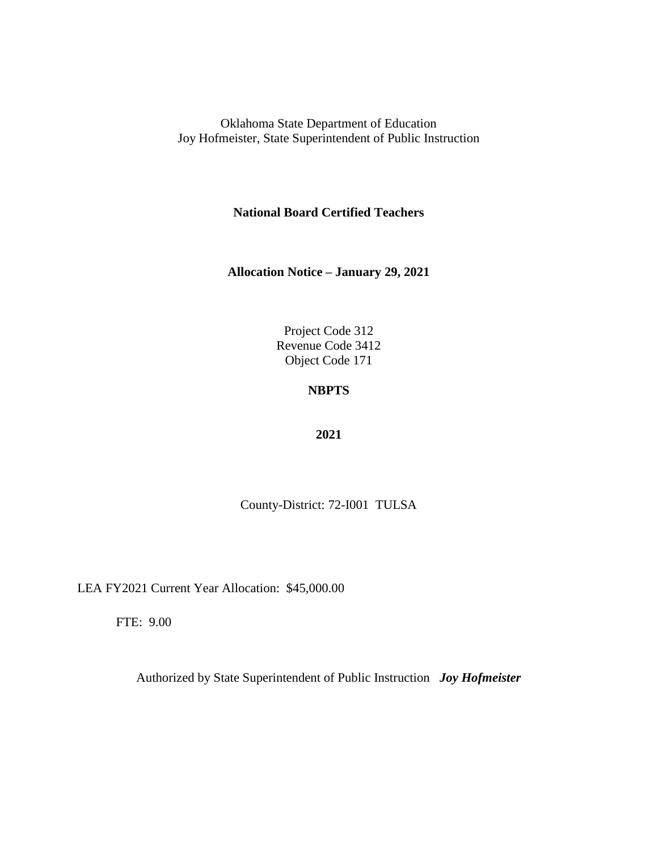**National Board Certified Teachers**

**Allocation Notice – January 29, 2021**

Project Code 312 Revenue Code 3412 Object Code 171

# **NBPTS**

### **2021**

County-District: 72-I001 TULSA

LEA FY2021 Current Year Allocation: \$45,000.00

FTE: 9.00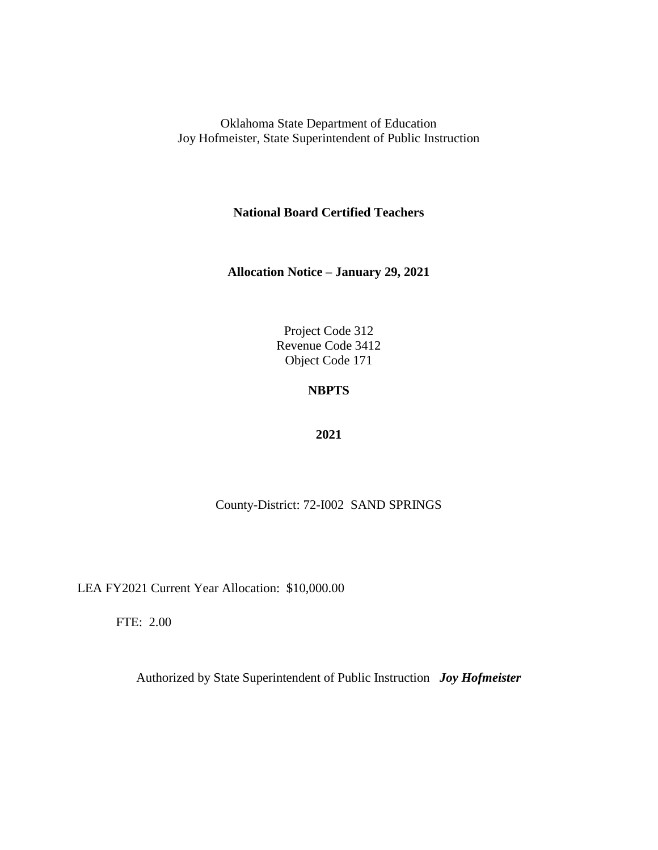**National Board Certified Teachers**

**Allocation Notice – January 29, 2021**

Project Code 312 Revenue Code 3412 Object Code 171

## **NBPTS**

### **2021**

County-District: 72-I002 SAND SPRINGS

LEA FY2021 Current Year Allocation: \$10,000.00

FTE: 2.00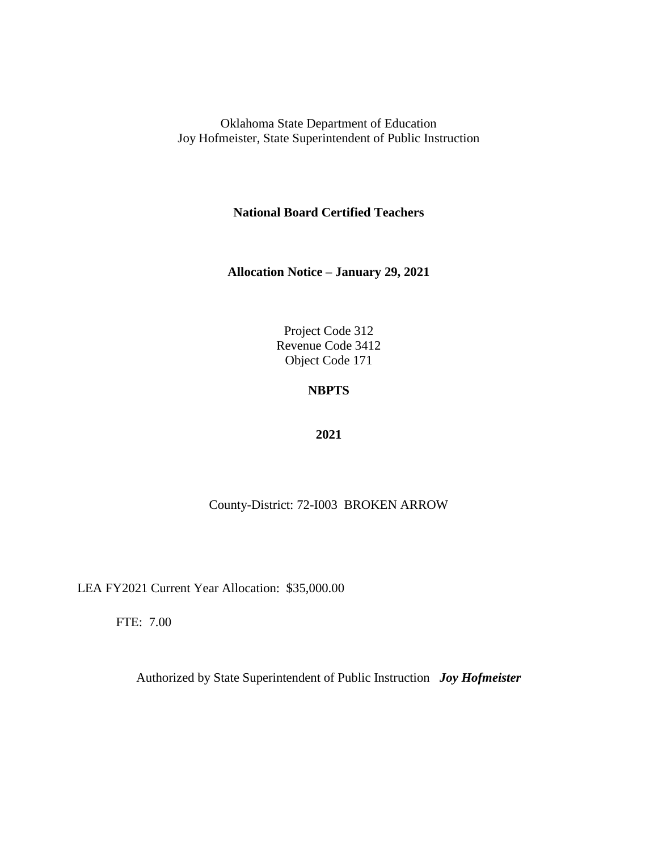**National Board Certified Teachers**

**Allocation Notice – January 29, 2021**

Project Code 312 Revenue Code 3412 Object Code 171

## **NBPTS**

### **2021**

### County-District: 72-I003 BROKEN ARROW

LEA FY2021 Current Year Allocation: \$35,000.00

FTE: 7.00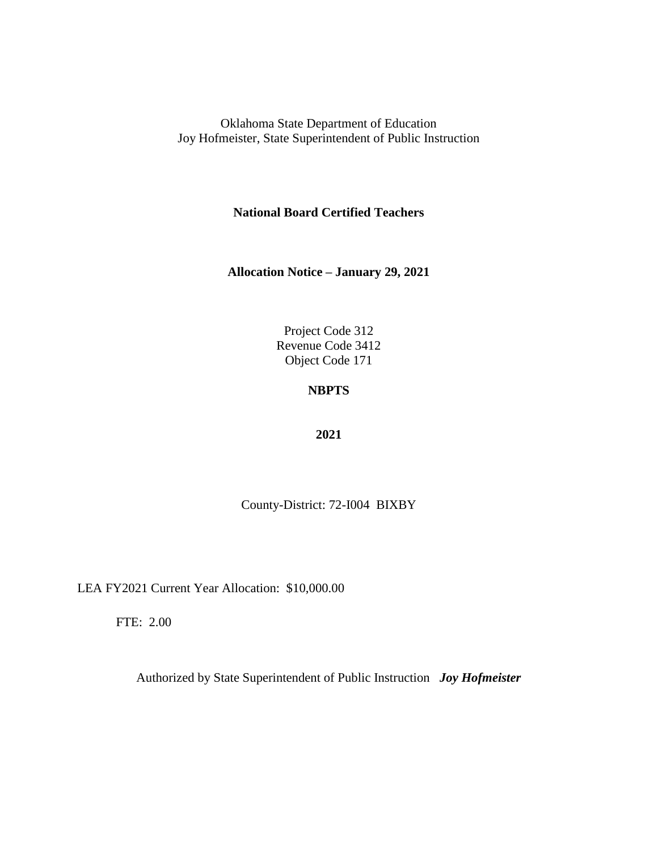**National Board Certified Teachers**

**Allocation Notice – January 29, 2021**

Project Code 312 Revenue Code 3412 Object Code 171

# **NBPTS**

### **2021**

County-District: 72-I004 BIXBY

LEA FY2021 Current Year Allocation: \$10,000.00

FTE: 2.00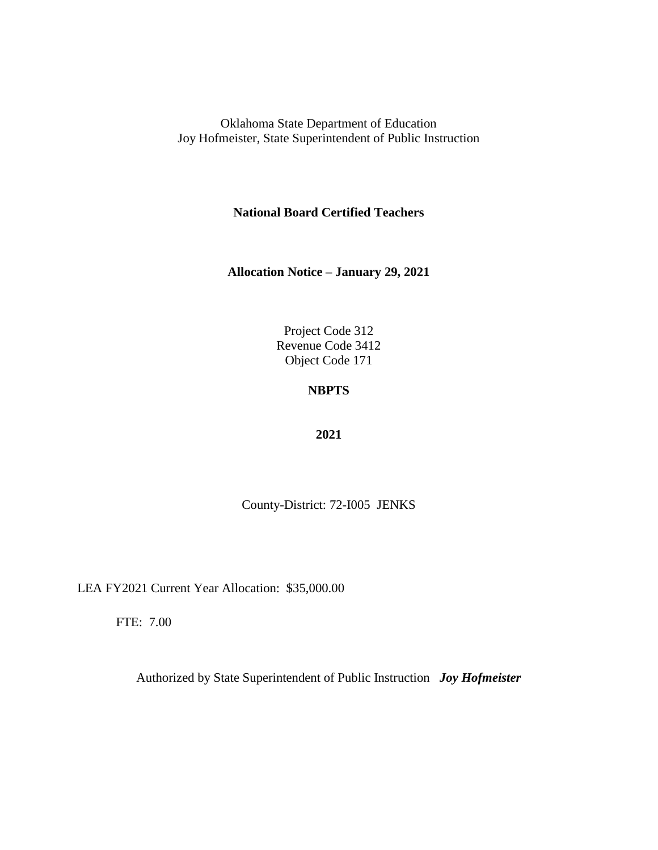**National Board Certified Teachers**

**Allocation Notice – January 29, 2021**

Project Code 312 Revenue Code 3412 Object Code 171

# **NBPTS**

### **2021**

County-District: 72-I005 JENKS

LEA FY2021 Current Year Allocation: \$35,000.00

FTE: 7.00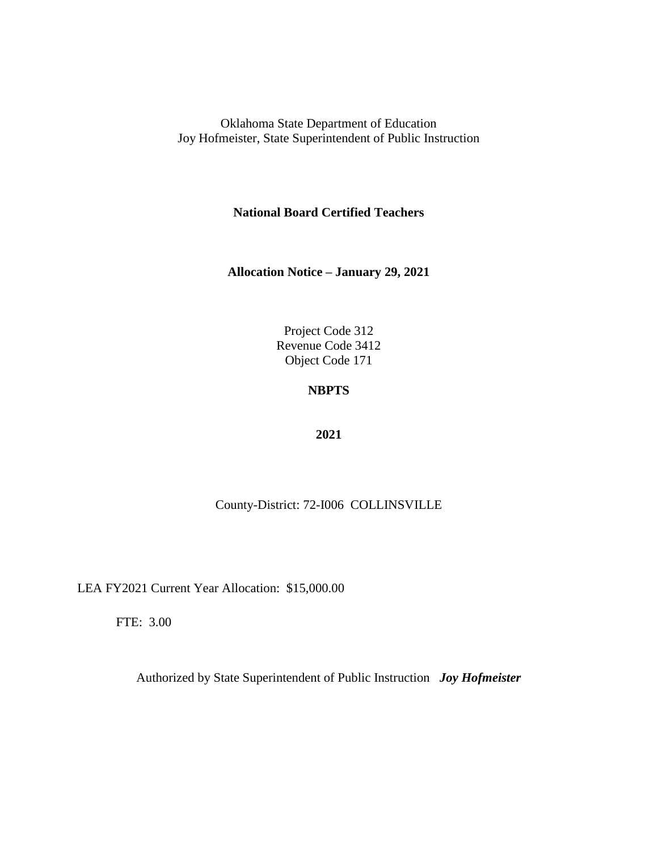**National Board Certified Teachers**

**Allocation Notice – January 29, 2021**

Project Code 312 Revenue Code 3412 Object Code 171

# **NBPTS**

### **2021**

### County-District: 72-I006 COLLINSVILLE

LEA FY2021 Current Year Allocation: \$15,000.00

FTE: 3.00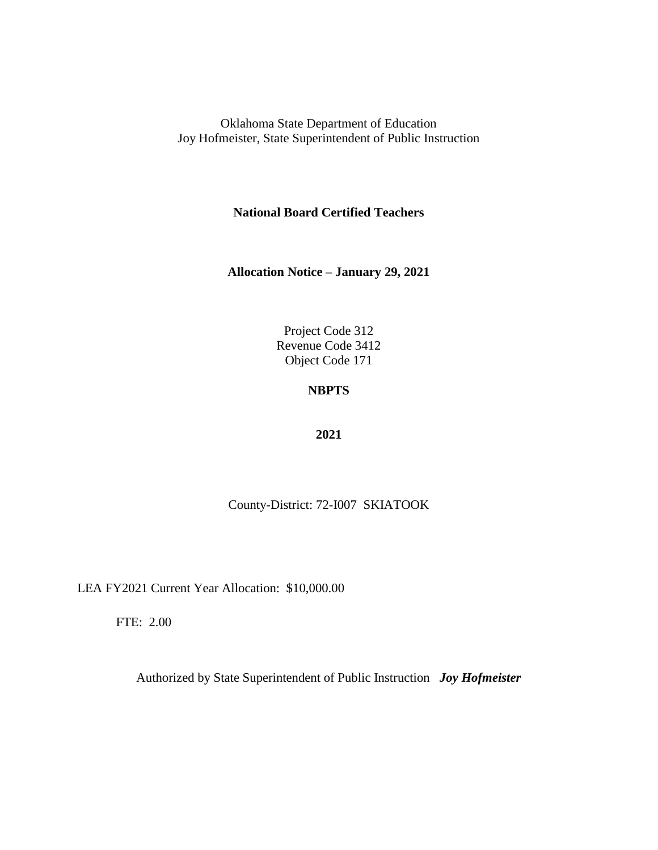**National Board Certified Teachers**

**Allocation Notice – January 29, 2021**

Project Code 312 Revenue Code 3412 Object Code 171

# **NBPTS**

### **2021**

County-District: 72-I007 SKIATOOK

LEA FY2021 Current Year Allocation: \$10,000.00

FTE: 2.00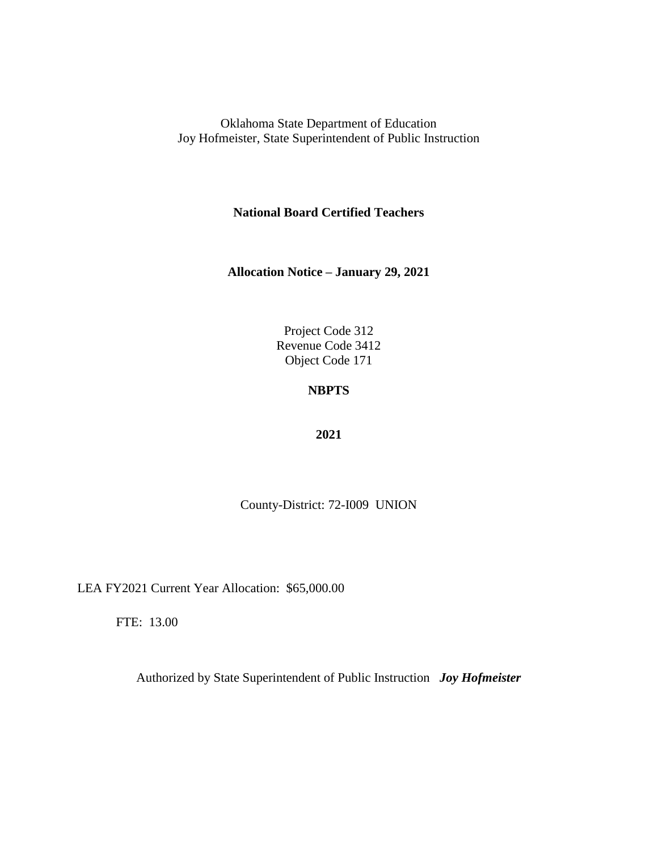**National Board Certified Teachers**

**Allocation Notice – January 29, 2021**

Project Code 312 Revenue Code 3412 Object Code 171

# **NBPTS**

### **2021**

County-District: 72-I009 UNION

LEA FY2021 Current Year Allocation: \$65,000.00

FTE: 13.00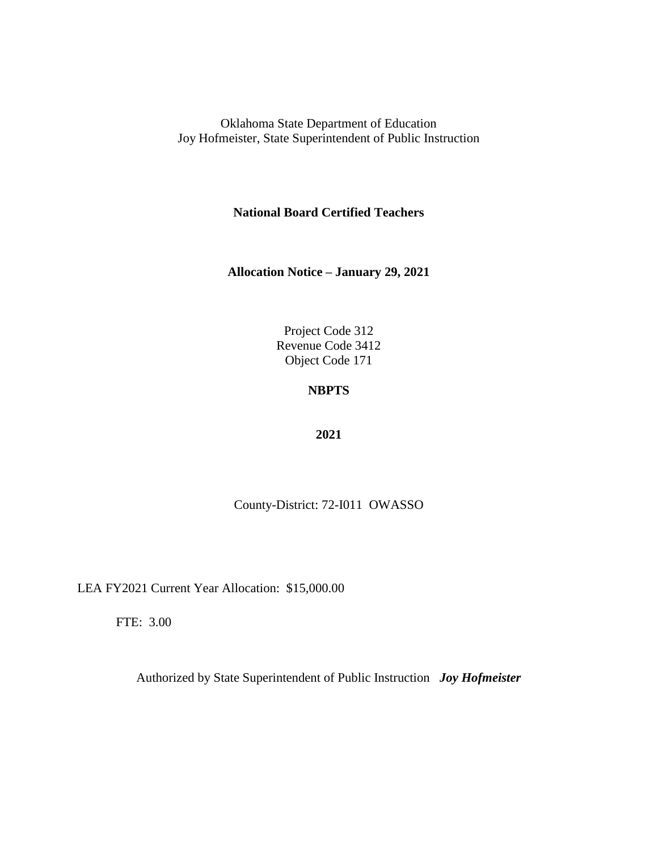**National Board Certified Teachers**

**Allocation Notice – January 29, 2021**

Project Code 312 Revenue Code 3412 Object Code 171

## **NBPTS**

### **2021**

County-District: 72-I011 OWASSO

LEA FY2021 Current Year Allocation: \$15,000.00

FTE: 3.00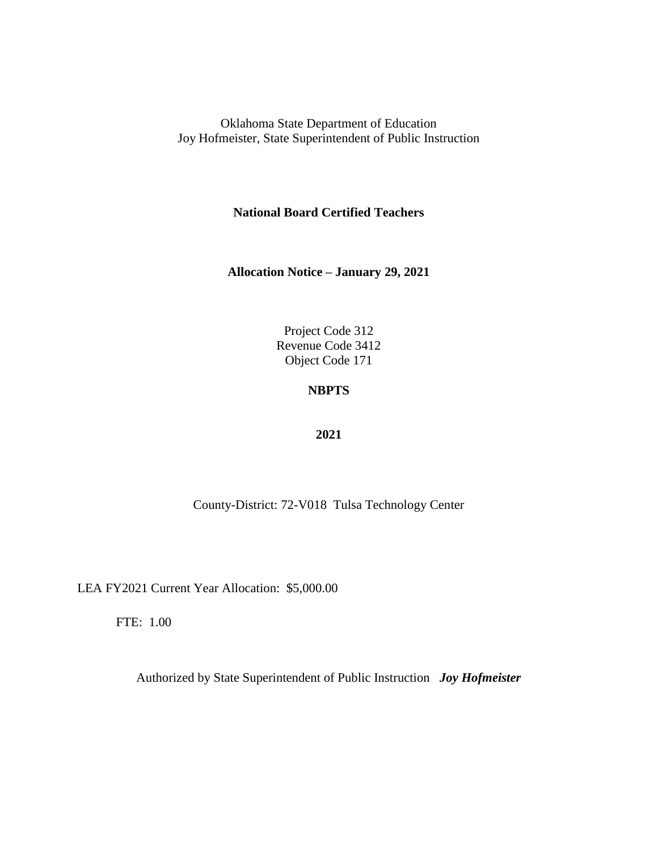**National Board Certified Teachers**

**Allocation Notice – January 29, 2021**

Project Code 312 Revenue Code 3412 Object Code 171

## **NBPTS**

### **2021**

County-District: 72-V018 Tulsa Technology Center

LEA FY2021 Current Year Allocation: \$5,000.00

FTE: 1.00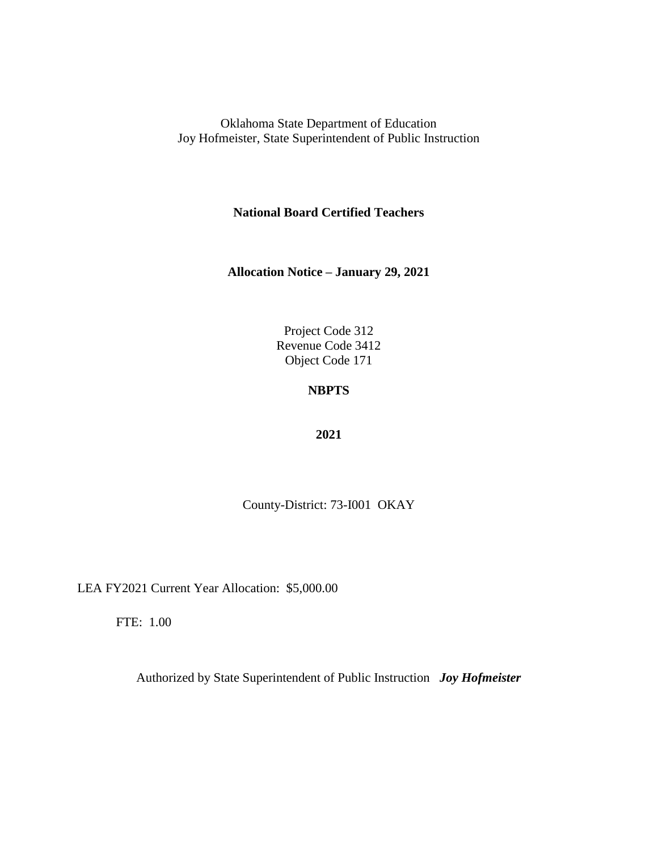**National Board Certified Teachers**

**Allocation Notice – January 29, 2021**

Project Code 312 Revenue Code 3412 Object Code 171

# **NBPTS**

### **2021**

County-District: 73-I001 OKAY

LEA FY2021 Current Year Allocation: \$5,000.00

FTE: 1.00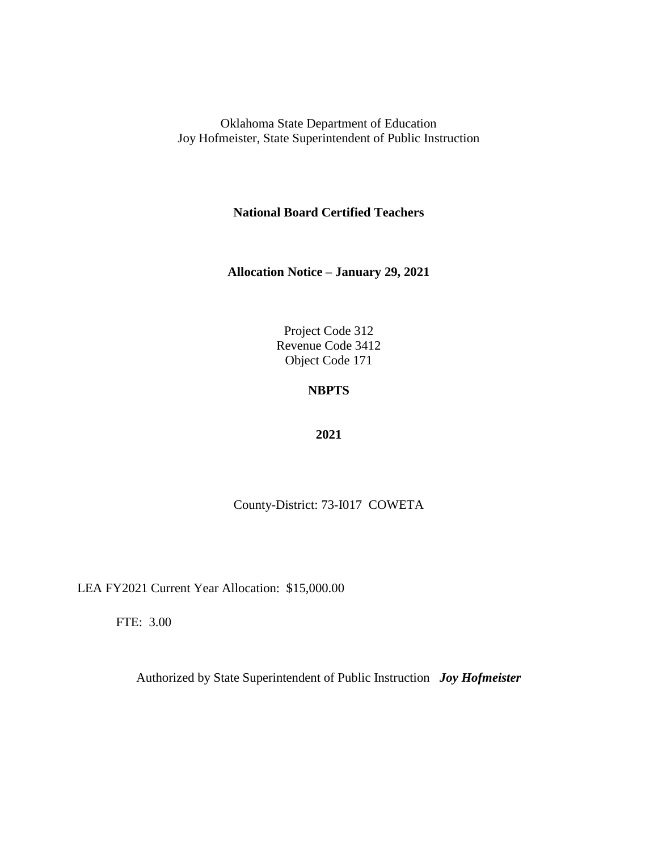**National Board Certified Teachers**

**Allocation Notice – January 29, 2021**

Project Code 312 Revenue Code 3412 Object Code 171

## **NBPTS**

### **2021**

County-District: 73-I017 COWETA

LEA FY2021 Current Year Allocation: \$15,000.00

FTE: 3.00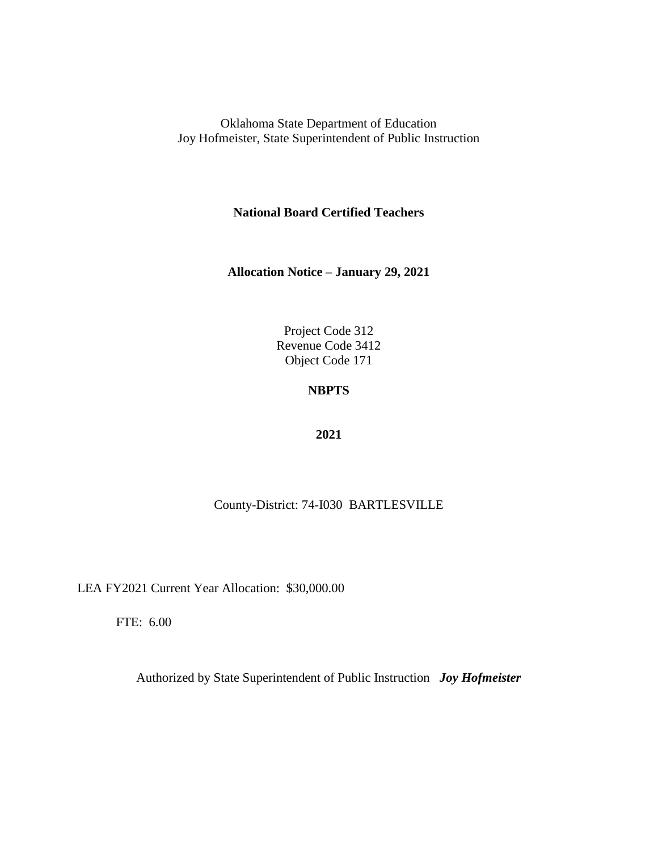**National Board Certified Teachers**

**Allocation Notice – January 29, 2021**

Project Code 312 Revenue Code 3412 Object Code 171

## **NBPTS**

### **2021**

### County-District: 74-I030 BARTLESVILLE

LEA FY2021 Current Year Allocation: \$30,000.00

FTE: 6.00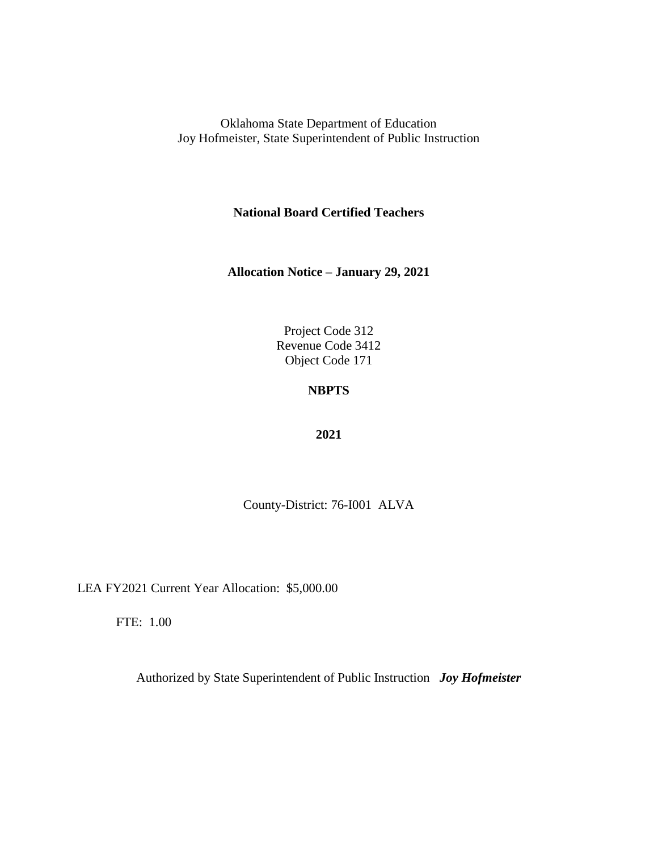**National Board Certified Teachers**

**Allocation Notice – January 29, 2021**

Project Code 312 Revenue Code 3412 Object Code 171

## **NBPTS**

### **2021**

County-District: 76-I001 ALVA

LEA FY2021 Current Year Allocation: \$5,000.00

FTE: 1.00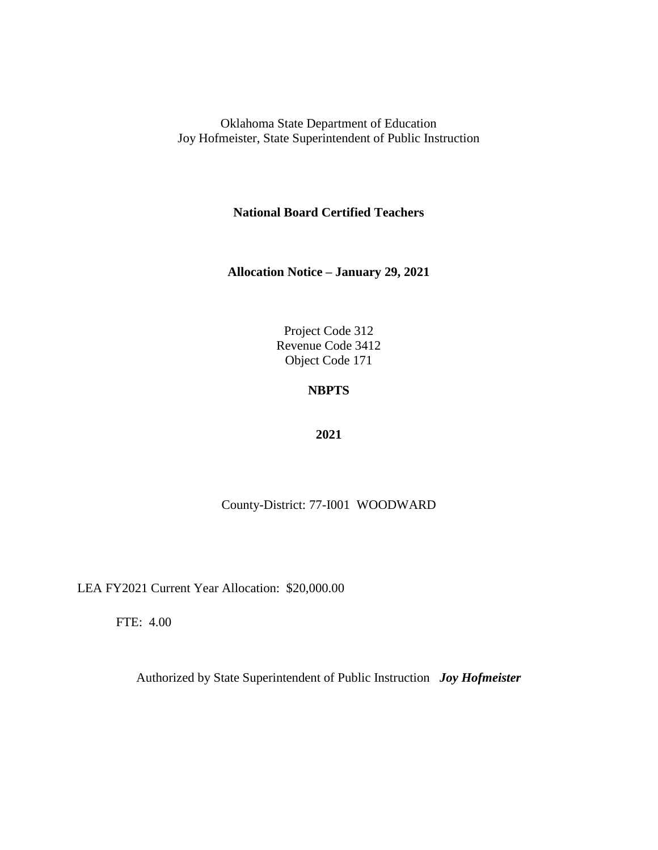**National Board Certified Teachers**

**Allocation Notice – January 29, 2021**

Project Code 312 Revenue Code 3412 Object Code 171

## **NBPTS**

### **2021**

County-District: 77-I001 WOODWARD

LEA FY2021 Current Year Allocation: \$20,000.00

FTE: 4.00